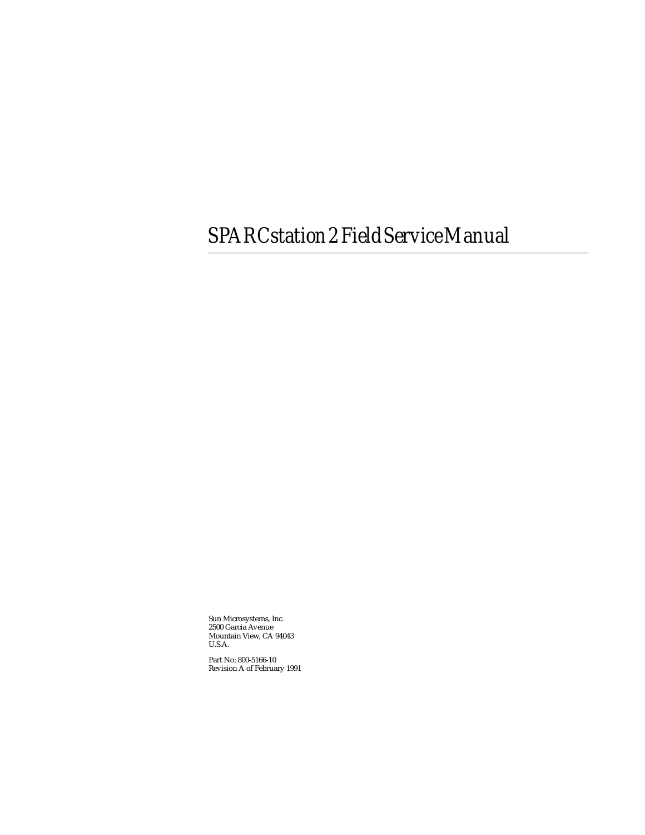## *SPARCstation2FieldServiceManual*

Sun Microsystems, Inc. 2500 Garcia Avenue Mountain View, CA 94043 U.S.A.

Part No: 800-5166-10 Revision A of February 1991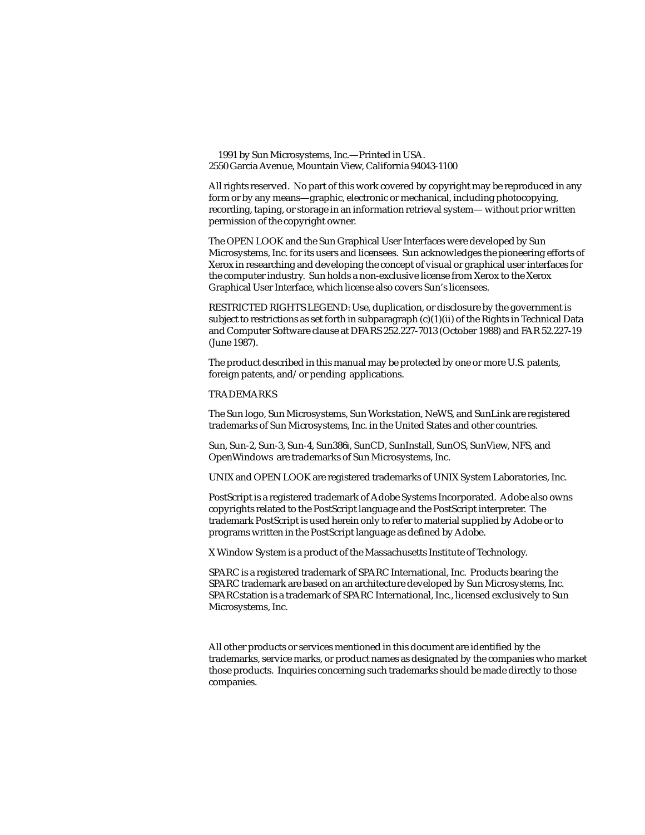1991 by Sun Microsystems, Inc.—Printed in USA. 2550 Garcia Avenue, Mountain View, California 94043-1100

All rights reserved. No part of this work covered by copyright may be reproduced in any form or by any means—graphic, electronic or mechanical, including photocopying, recording, taping, or storage in an information retrieval system— without prior written permission of the copyright owner.

The OPEN LOOK and the Sun Graphical User Interfaces were developed by Sun Microsystems, Inc. for its users and licensees. Sun acknowledges the pioneering efforts of Xerox in researching and developing the concept of visual or graphical user interfaces for the computer industry. Sun holds a non-exclusive license from Xerox to the Xerox Graphical User Interface, which license also covers Sun's licensees.

RESTRICTED RIGHTS LEGEND: Use, duplication, or disclosure by the government is subject to restrictions as set forth in subparagraph (c)(1)(ii) of the Rights in Technical Data and Computer Software clause at DFARS 252.227-7013 (October 1988) and FAR 52.227-19 (June 1987).

The product described in this manual may be protected by one or more U.S. patents, foreign patents, and/or pending applications.

#### TRADEMARKS

The Sun logo, Sun Microsystems, Sun Workstation, NeWS, and SunLink are registered trademarks of Sun Microsystems, Inc. in the United States and other countries.

Sun, Sun-2, Sun-3, Sun-4, Sun386*i*, SunCD, SunInstall, SunOS, SunView, NFS, and OpenWindows are trademarks of Sun Microsystems, Inc.

UNIX and OPEN LOOK are registered trademarks of UNIX System Laboratories, Inc.

PostScript is a registered trademark of Adobe Systems Incorporated. Adobe also owns copyrights related to the PostScript language and the PostScript interpreter. The trademark PostScript is used herein only to refer to material supplied by Adobe or to programs written in the PostScript language as defined by Adobe.

X Window System is a product of the Massachusetts Institute of Technology.

SPARC is a registered trademark of SPARC International, Inc. Products bearing the SPARC trademark are based on an architecture developed by Sun Microsystems, Inc. SPARCstation is a trademark of SPARC International, Inc., licensed exclusively to Sun Microsystems, Inc.

All other products or services mentioned in this document are identified by the trademarks, service marks, or product names as designated by the companies who market those products. Inquiries concerning such trademarks should be made directly to those companies.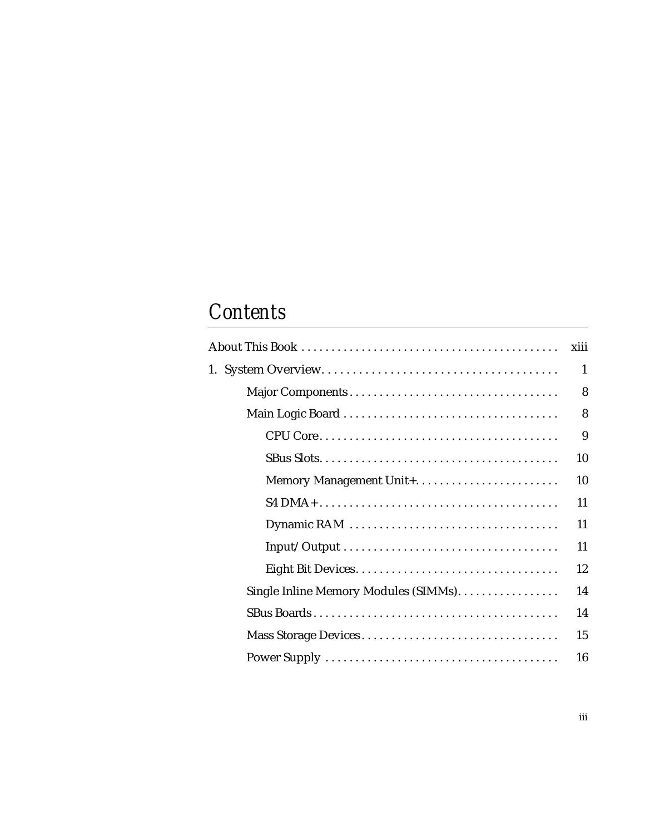## *Contents*

|                                      | xiii |
|--------------------------------------|------|
|                                      | 1    |
|                                      | 8    |
|                                      | 8    |
|                                      | 9    |
|                                      | 10   |
|                                      | 10   |
|                                      | 11   |
|                                      | 11   |
|                                      | 11   |
|                                      | 12   |
| Single Inline Memory Modules (SIMMs) | 14   |
|                                      | 14   |
| Mass Storage Devices                 | 15   |
|                                      | 16   |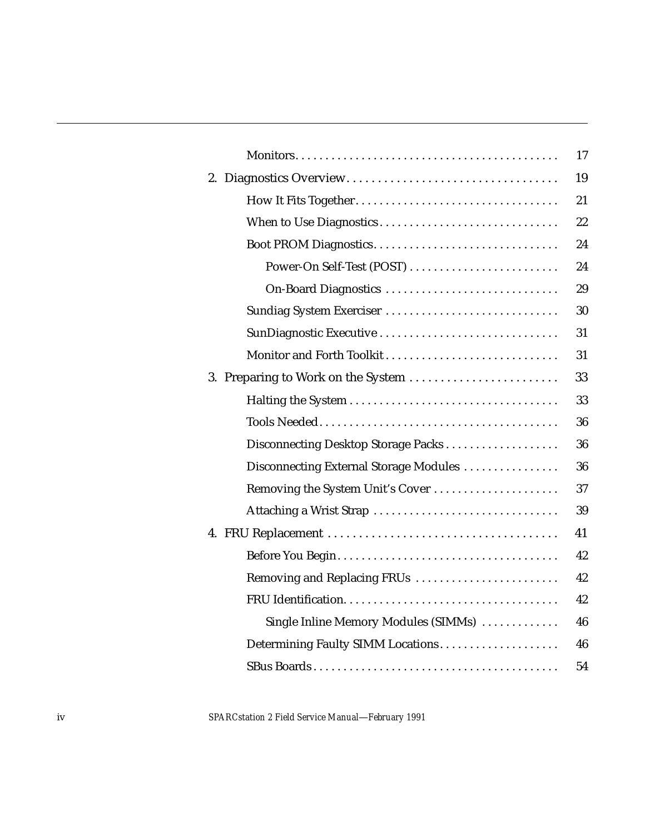|                                        | 17 |
|----------------------------------------|----|
|                                        | 19 |
|                                        | 21 |
| When to Use Diagnostics                | 22 |
|                                        | 24 |
|                                        | 24 |
| On-Board Diagnostics                   | 29 |
| Sundiag System Exerciser               | 30 |
| SunDiagnostic Executive                | 31 |
| Monitor and Forth Toolkit              | 31 |
| 3. Preparing to Work on the System     | 33 |
|                                        | 33 |
|                                        | 36 |
| Disconnecting Desktop Storage Packs    | 36 |
| Disconnecting External Storage Modules | 36 |
| Removing the System Unit's Cover       | 37 |
| Attaching a Wrist Strap                | 39 |
|                                        | 41 |
|                                        | 42 |
| Removing and Replacing FRUs            | 42 |
|                                        | 42 |
| Single Inline Memory Modules (SIMMs)   | 46 |
|                                        | 46 |
|                                        | 54 |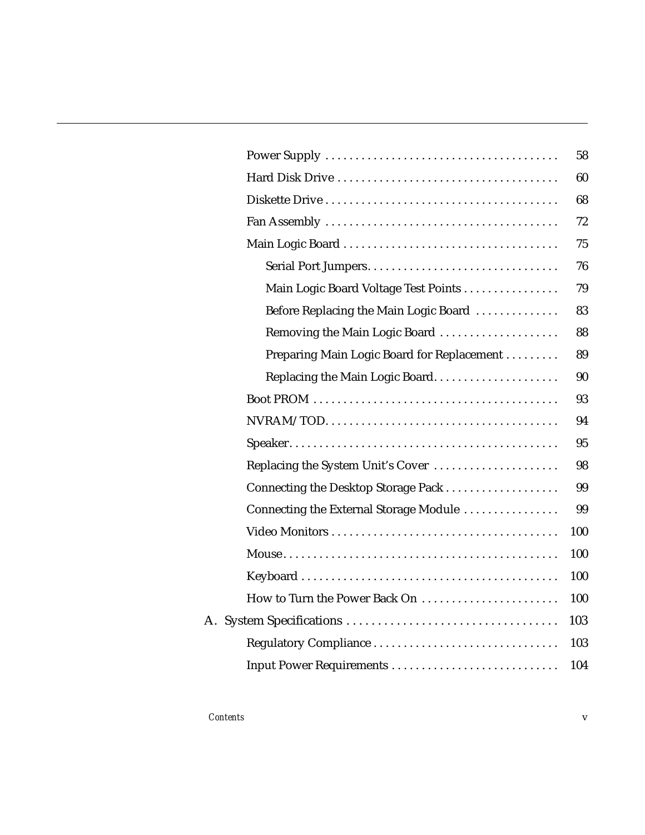|                                            | 58  |
|--------------------------------------------|-----|
|                                            | 60  |
|                                            | 68  |
|                                            | 72  |
|                                            | 75  |
|                                            | 76  |
| Main Logic Board Voltage Test Points       | 79  |
| Before Replacing the Main Logic Board      | 83  |
| Removing the Main Logic Board              | 88  |
| Preparing Main Logic Board for Replacement | 89  |
|                                            | 90  |
|                                            | 93  |
|                                            | 94  |
|                                            | 95  |
| Replacing the System Unit's Cover          | 98  |
| Connecting the Desktop Storage Pack        | 99  |
| Connecting the External Storage Module     | 99  |
|                                            | 100 |
|                                            | 100 |
|                                            | 100 |
| How to Turn the Power Back On              | 100 |
|                                            | 103 |
| Regulatory Compliance                      | 103 |
| Input Power Requirements                   | 104 |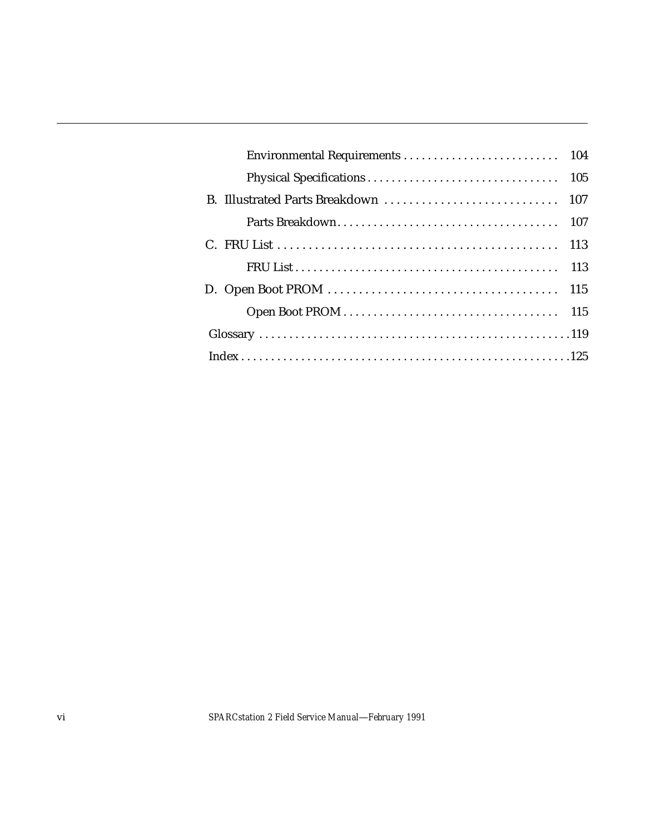|  | 107 |
|--|-----|
|  |     |
|  |     |
|  |     |
|  |     |
|  |     |
|  |     |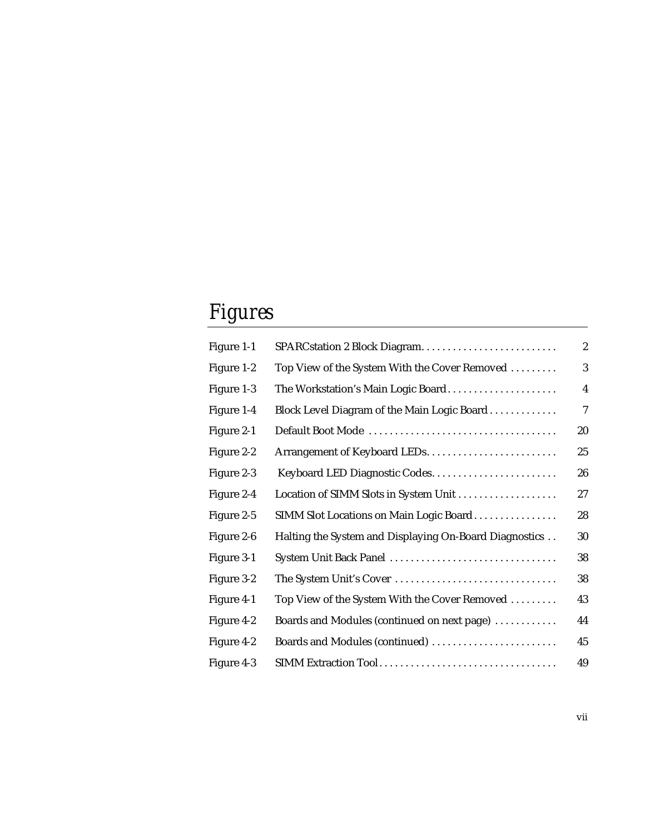# *Figures*

| Figure 1-1 |                                                        | $\overline{c}$ |
|------------|--------------------------------------------------------|----------------|
| Figure 1-2 | Top View of the System With the Cover Removed          | 3              |
| Figure 1-3 | The Workstation's Main Logic Board                     | $\overline{4}$ |
| Figure 1-4 | Block Level Diagram of the Main Logic Board            | $\overline{7}$ |
| Figure 2-1 |                                                        | 20             |
| Figure 2-2 |                                                        | 25             |
| Figure 2-3 |                                                        | 26             |
| Figure 2-4 | Location of SIMM Slots in System Unit                  | 27             |
| Figure 2-5 | SIMM Slot Locations on Main Logic Board                | 28             |
| Figure 2-6 | Halting the System and Displaying On-Board Diagnostics | 30             |
| Figure 3-1 | System Unit Back Panel                                 | 38             |
| Figure 3-2 | The System Unit's Cover                                | 38             |
| Figure 4-1 | Top View of the System With the Cover Removed          | 43             |
| Figure 4-2 | Boards and Modules (continued on next page)            | 44             |
| Figure 4-2 | Boards and Modules (continued)                         | 45             |
| Figure 4-3 |                                                        | 49             |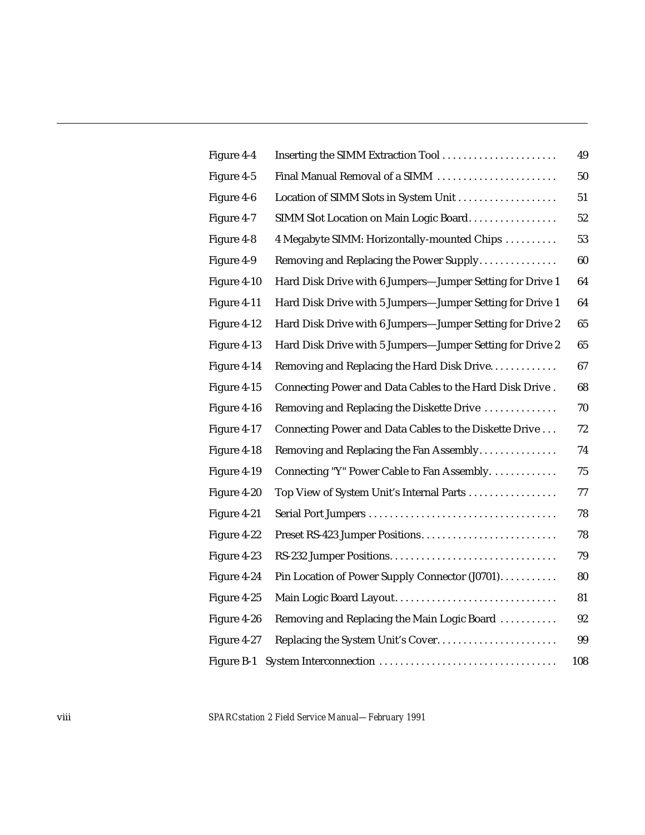| Figure 4-4  |                                                           | 49     |
|-------------|-----------------------------------------------------------|--------|
| Figure 4-5  | Final Manual Removal of a SIMM                            | 50     |
| Figure 4-6  |                                                           | 51     |
| Figure 4-7  | SIMM Slot Location on Main Logic Board                    | 52     |
| Figure 4-8  | 4 Megabyte SIMM: Horizontally-mounted Chips               | 53     |
| Figure 4-9  | Removing and Replacing the Power Supply                   | 60     |
| Figure 4-10 | Hard Disk Drive with 6 Jumpers-Jumper Setting for Drive 1 | 64     |
| Figure 4-11 | Hard Disk Drive with 5 Jumpers-Jumper Setting for Drive 1 | 64     |
| Figure 4-12 | Hard Disk Drive with 6 Jumpers-Jumper Setting for Drive 2 | 65     |
| Figure 4-13 | Hard Disk Drive with 5 Jumpers-Jumper Setting for Drive 2 | 65     |
| Figure 4-14 | Removing and Replacing the Hard Disk Drive                | 67     |
| Figure 4-15 | Connecting Power and Data Cables to the Hard Disk Drive.  | 68     |
| Figure 4-16 | Removing and Replacing the Diskette Drive                 | 70     |
| Figure 4-17 | Connecting Power and Data Cables to the Diskette Drive    | $72\,$ |
| Figure 4-18 | Removing and Replacing the Fan Assembly                   | 74     |
| Figure 4-19 | Connecting "Y" Power Cable to Fan Assembly.               | 75     |
| Figure 4-20 | Top View of System Unit's Internal Parts                  | 77     |
| Figure 4-21 |                                                           | 78     |
| Figure 4-22 |                                                           | 78     |
| Figure 4-23 |                                                           | 79     |
| Figure 4-24 | Pin Location of Power Supply Connector (J0701).           | 80     |
| Figure 4-25 | Main Logic Board Layout                                   | 81     |
| Figure 4-26 | Removing and Replacing the Main Logic Board               | 92     |
| Figure 4-27 |                                                           | 99     |
| Figure B-1  |                                                           | 108    |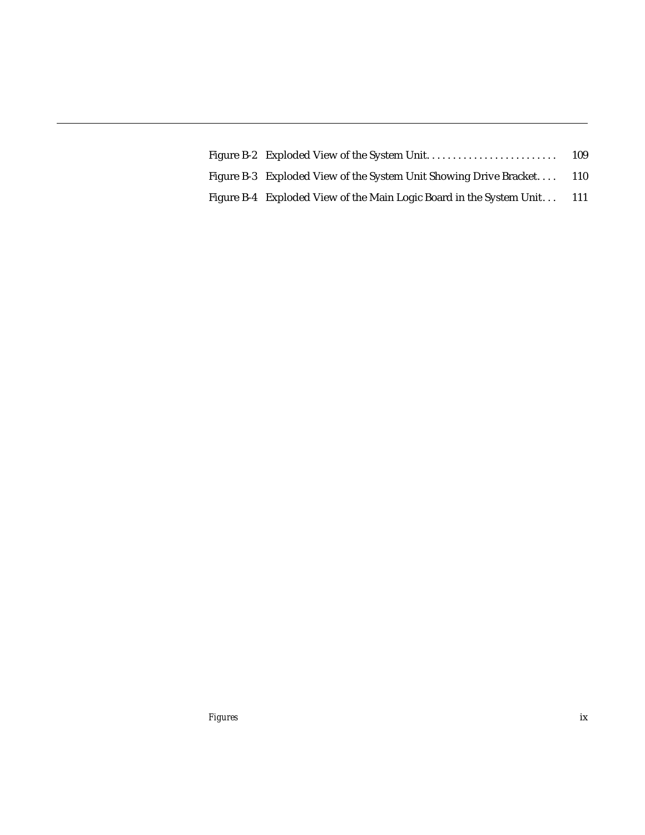|                                                                     | 109   |
|---------------------------------------------------------------------|-------|
| Figure B-3 Exploded View of the System Unit Showing Drive Bracket   | 110   |
| Figure B-4 Exploded View of the Main Logic Board in the System Unit | - 111 |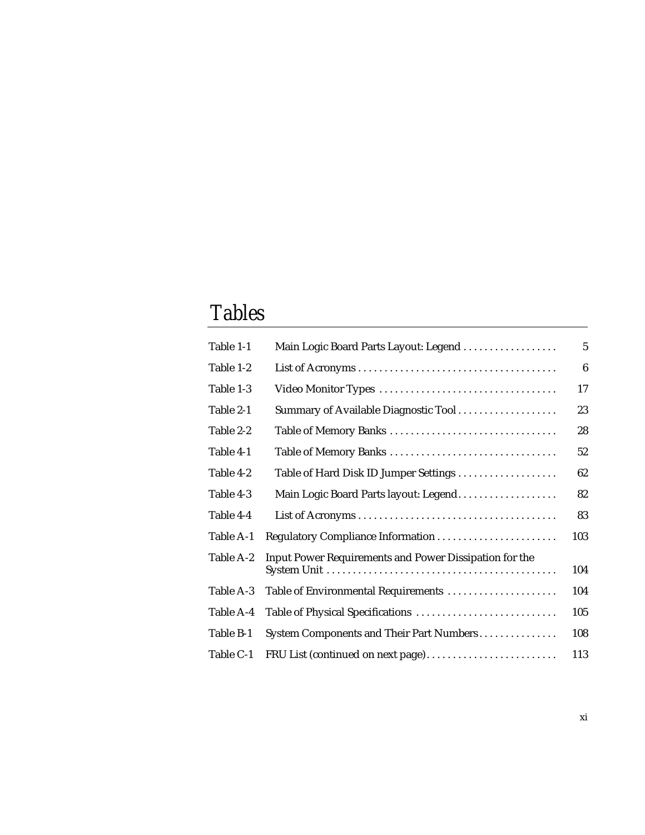# *Tables*

| Table 1-1 | Main Logic Board Parts Layout: Legend                  | $\overline{5}$   |
|-----------|--------------------------------------------------------|------------------|
| Table 1-2 |                                                        | $\boldsymbol{6}$ |
| Table 1-3 |                                                        | 17               |
| Table 2-1 | Summary of Available Diagnostic Tool                   | 23               |
| Table 2-2 | Table of Memory Banks                                  | 28               |
| Table 4-1 | Table of Memory Banks                                  | 52               |
| Table 4-2 | Table of Hard Disk ID Jumper Settings                  | 62               |
| Table 4-3 | Main Logic Board Parts layout: Legend                  | 82               |
| Table 4-4 |                                                        | 83               |
| Table A-1 |                                                        | 103              |
| Table A-2 | Input Power Requirements and Power Dissipation for the | 104              |
| Table A-3 | Table of Environmental Requirements                    | 104              |
| Table A-4 |                                                        | 105              |
| Table B-1 | System Components and Their Part Numbers               | 108              |
| Table C-1 | FRU List (continued on next page)                      | 113              |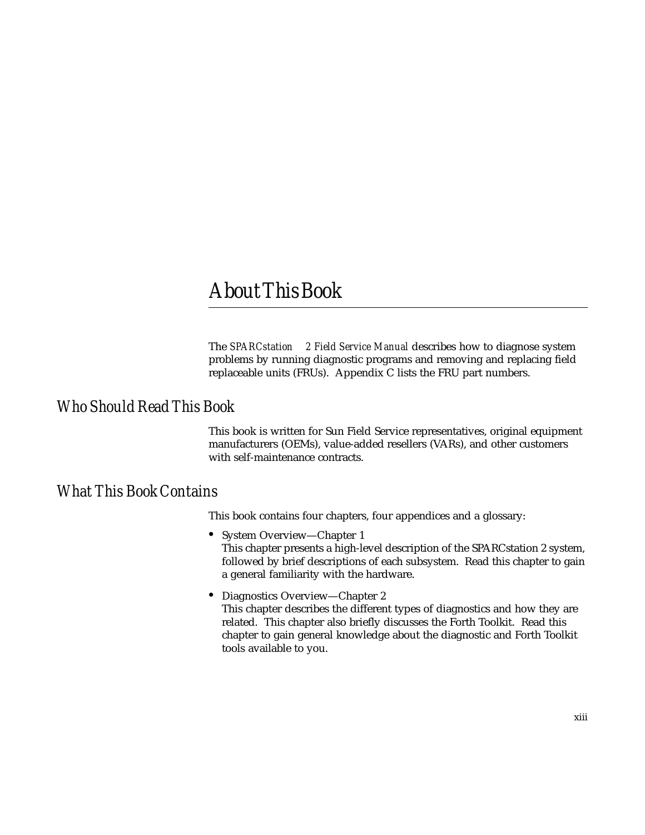### *AboutThisBook*

The *SPARCstation*™ 2 Field Service Manual describes how to diagnose system problems by running diagnostic programs and removing and replacing field replaceable units (FRUs). Appendix C lists the FRU part numbers.

#### *Who Should Read This Book*

This book is written for Sun Field Service representatives, original equipment manufacturers (OEMs), value-added resellers (VARs), and other customers with self-maintenance contracts.

#### *What This Book Contains*

This book contains four chapters, four appendices and a glossary:

- **•** System Overview—Chapter 1 This chapter presents a high-level description of the SPARCstation 2 system, followed by brief descriptions of each subsystem. Read this chapter to gain a general familiarity with the hardware.
- **•** Diagnostics Overview—Chapter 2 This chapter describes the different types of diagnostics and how they are related. This chapter also briefly discusses the Forth Toolkit. Read this chapter to gain general knowledge about the diagnostic and Forth Toolkit tools available to you.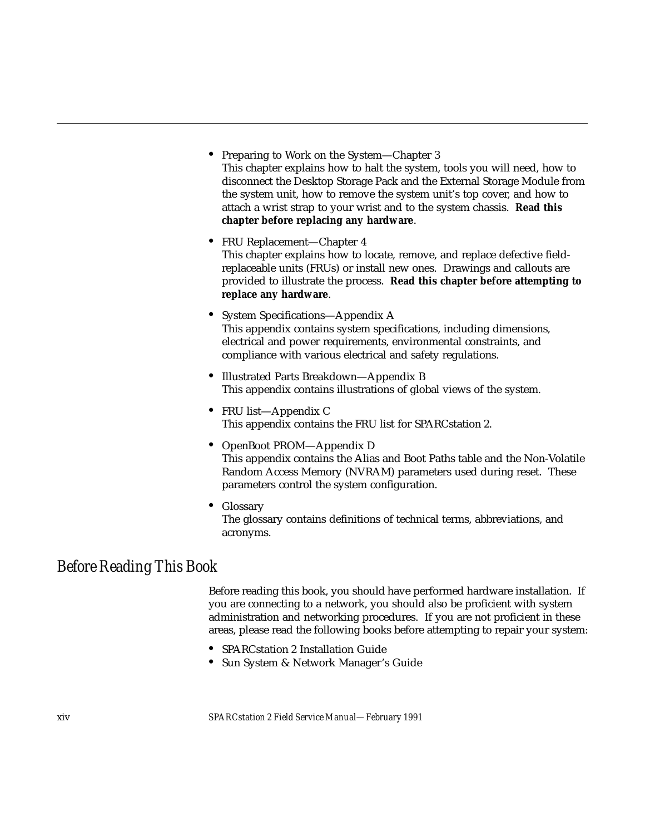- **•** Preparing to Work on the System—Chapter 3 This chapter explains how to halt the system, tools you will need, how to disconnect the Desktop Storage Pack and the External Storage Module from the system unit, how to remove the system unit's top cover, and how to attach a wrist strap to your wrist and to the system chassis. **Read this chapter before replacing any hardware**.
- **•** FRU Replacement—Chapter 4 This chapter explains how to locate, remove, and replace defective fieldreplaceable units (FRUs) or install new ones. Drawings and callouts are provided to illustrate the process. **Read this chapter before attempting to replace any hardware**.
- **•** System Specifications—Appendix A This appendix contains system specifications, including dimensions, electrical and power requirements, environmental constraints, and compliance with various electrical and safety regulations.
- **•** Illustrated Parts Breakdown—Appendix B This appendix contains illustrations of global views of the system.
- **•** FRU list—Appendix C This appendix contains the FRU list for SPARCstation 2.
- **•** OpenBoot PROM—Appendix D This appendix contains the Alias and Boot Paths table and the Non-Volatile Random Access Memory (NVRAM) parameters used during reset. These parameters control the system configuration.
- **•** Glossary The glossary contains definitions of technical terms, abbreviations, and acronyms.

#### *Before Reading This Book*

Before reading this book, you should have performed hardware installation. If you are connecting to a network, you should also be proficient with system administration and networking procedures. If you are not proficient in these areas, please read the following books before attempting to repair your system:

- **•** SPARCstation 2 Installation Guide
- **•** Sun System & Network Manager's Guide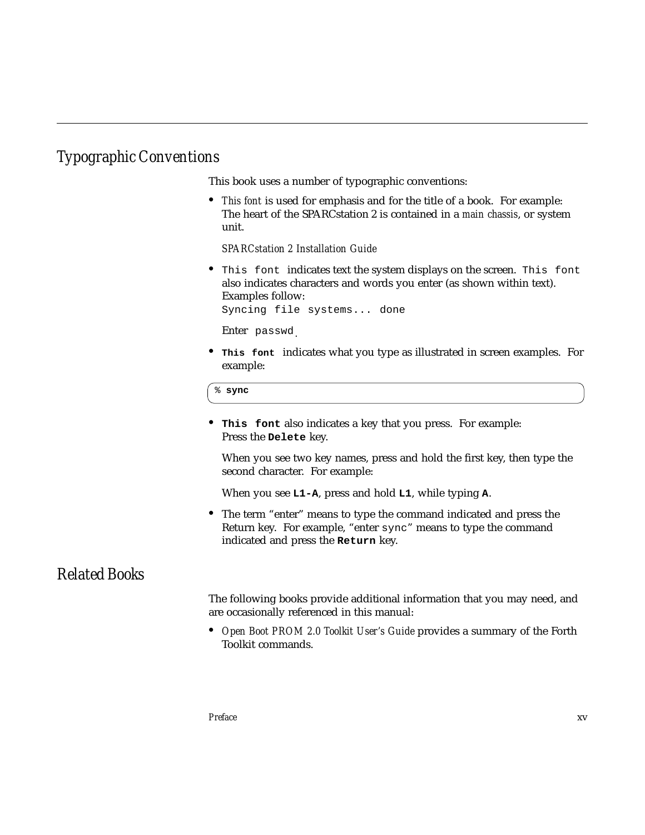### *Typographic Conventions*

This book uses a number of typographic conventions:

**•** *This font* is used for emphasis and for the title of a book. For example: The heart of the SPARCstation 2 is contained in a *main chassis*, or system unit.

*SPARCstation 2 Installation Guide*

**•** This font indicates text the system displays on the screen. This font also indicates characters and words you enter (as shown within text). Examples follow:

Syncing file systems... done

Enter passwd.

**• This font** indicates what you type as illustrated in screen examples. For example:

```
% sync
```
**• This font** also indicates a key that you press. For example: Press the **Delete** key.

When you see two key names, press and hold the first key, then type the second character. For example:

When you see **L1-A**, press and hold **L1**, while typing **A**.

**•** The term "enter" means to type the command indicated and press the Return key. For example, "enter sync" means to type the command indicated and press the **Return** key.

#### *Related Books*

The following books provide additional information that you may need, and are occasionally referenced in this manual:

**•** *Open Boot PROM 2.0 Toolkit User's Guide* provides a summary of the Forth Toolkit commands.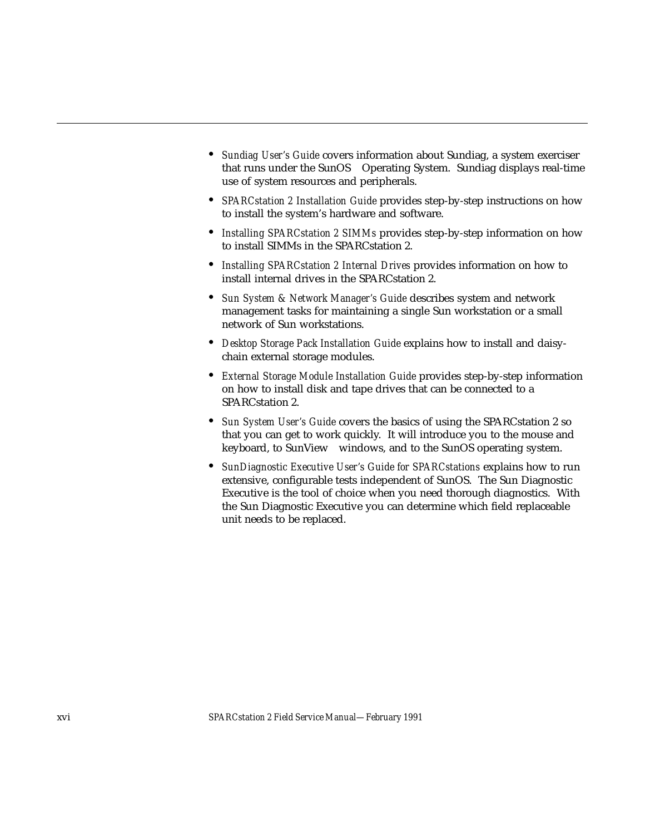- **•** *Sundiag User's Guide* covers information about Sundiag, a system exerciser that runs under the SunOS™ Operating System. Sundiag displays real-time use of system resources and peripherals.
- **•** *SPARCstation 2 Installation Guide* provides step-by-step instructions on how to install the system's hardware and software.
- **•** *Installing SPARCstation 2 SIMMs* provides step-by-step information on how to install SIMMs in the SPARCstation 2.
- **•** *Installing SPARCstation 2 Internal Drives* provides information on how to install internal drives in the SPARCstation 2.
- **•** *Sun System & Network Manager's Guide* describes system and network management tasks for maintaining a single Sun workstation or a small network of Sun workstations.
- **•** *Desktop Storage Pack Installation Guide* explains how to install and daisychain external storage modules.
- **•** *External Storage Module Installation Guide* provides step-by-step information on how to install disk and tape drives that can be connected to a SPARCstation 2.
- **•** *Sun System User's Guide* covers the basics of using the SPARCstation 2 so that you can get to work quickly. It will introduce you to the mouse and keyboard, to SunView™ windows, and to the SunOS operating system.
- **•** *SunDiagnostic Executive User's Guide for SPARCstations* explains how to run extensive, configurable tests independent of SunOS. The Sun Diagnostic Executive is the tool of choice when you need thorough diagnostics. With the Sun Diagnostic Executive you can determine which field replaceable unit needs to be replaced.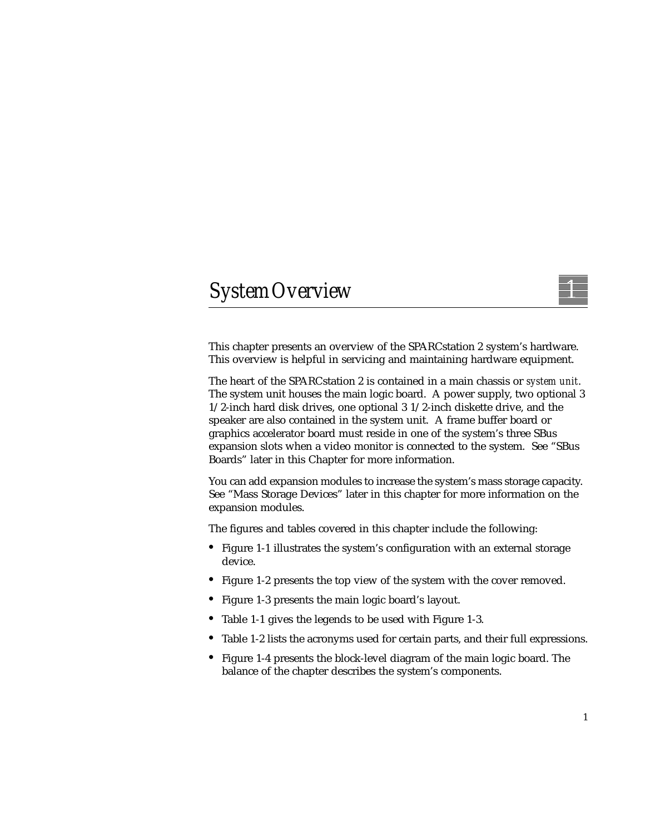## *SystemOverview 1*

This chapter presents an overview of the SPARCstation 2 system's hardware. This overview is helpful in servicing and maintaining hardware equipment.

The heart of the SPARCstation 2 is contained in a main chassis or *system unit*. The system unit houses the main logic board. A power supply, two optional 3 1/2-inch hard disk drives, one optional 3 1/2-inch diskette drive, and the speaker are also contained in the system unit. A frame buffer board or graphics accelerator board must reside in one of the system's three SBus expansion slots when a video monitor is connected to the system. See "SBus Boards" later in this Chapter for more information.

You can add expansion modules to increase the system's mass storage capacity. See "Mass Storage Devices" later in this chapter for more information on the expansion modules.

The figures and tables covered in this chapter include the following:

- **•** Figure 1-1 illustrates the system's configuration with an external storage device.
- **•** Figure 1-2 presents the top view of the system with the cover removed.
- **•** Figure 1-3 presents the main logic board's layout.
- **•** Table 1-1 gives the legends to be used with Figure 1-3.
- **•** Table 1-2 lists the acronyms used for certain parts, and their full expressions.
- **•** Figure 1-4 presents the block-level diagram of the main logic board. The balance of the chapter describes the system's components.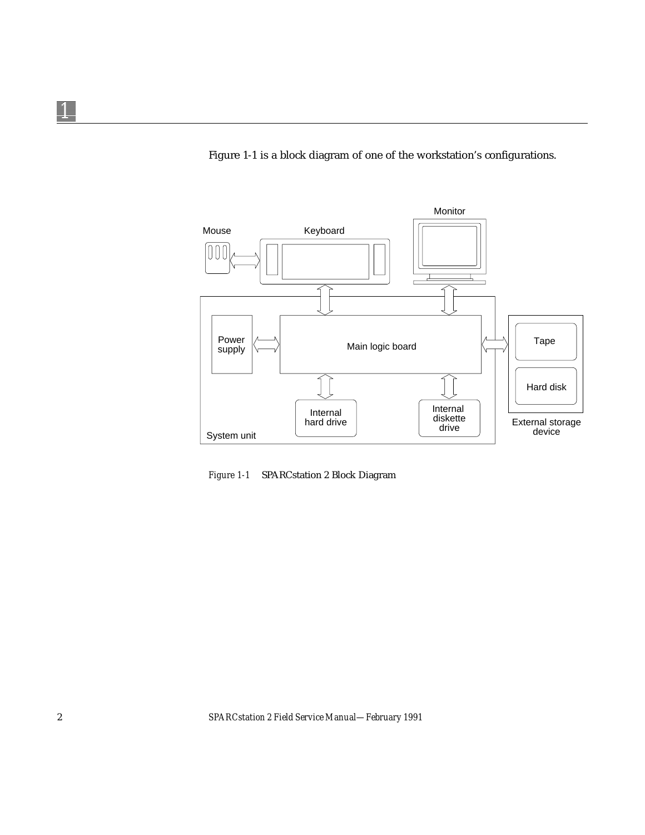Figure 1-1 is a block diagram of one of the workstation's configurations.



*Figure 1-1* SPARCstation 2 Block Diagram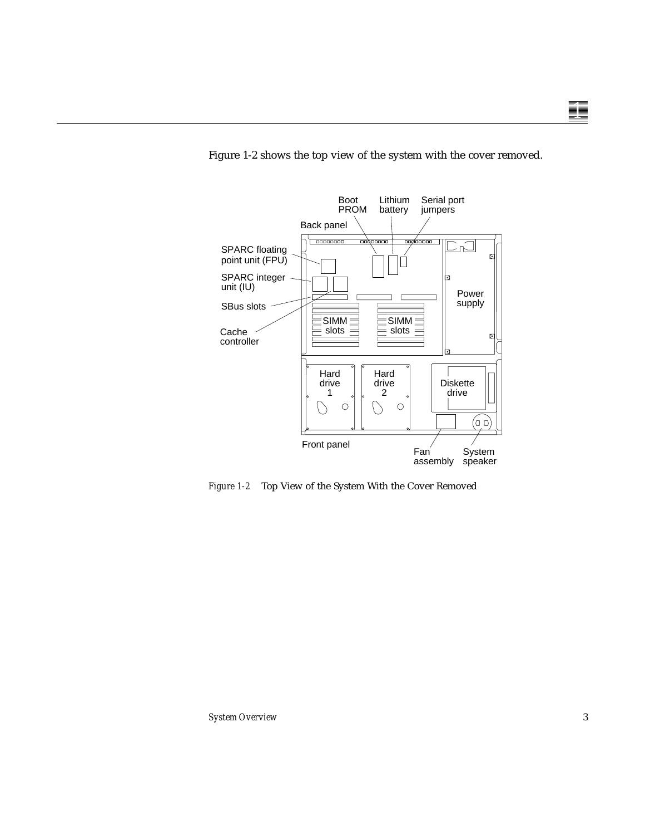

Figure 1-2 shows the top view of the system with the cover removed.

*Figure 1-2* Top View of the System With the Cover Removed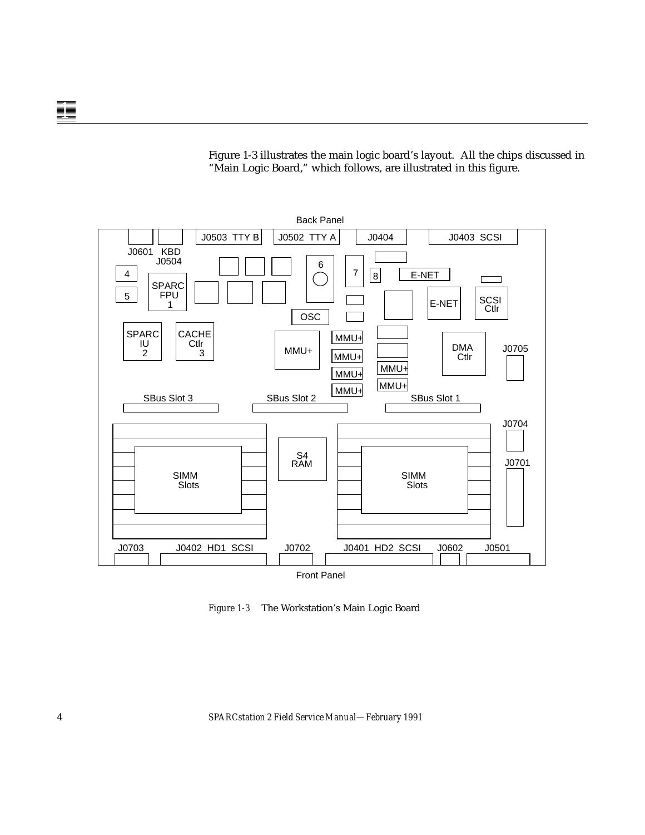Figure 1-3 illustrates the main logic board's layout. All the chips discussed in "Main Logic Board," which follows, are illustrated in this figure.



*Figure 1-3* The Workstation's Main Logic Board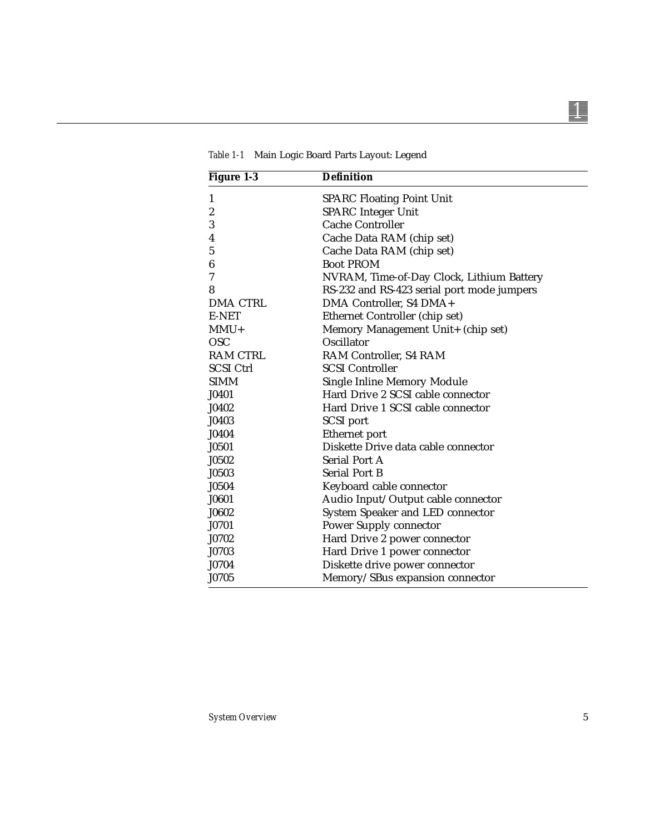| <b>Figure 1-3</b> | <b>Definition</b>                          |
|-------------------|--------------------------------------------|
| 1                 | <b>SPARC Floating Point Unit</b>           |
| $\boldsymbol{2}$  | <b>SPARC</b> Integer Unit                  |
| 3                 | <b>Cache Controller</b>                    |
| 4                 | Cache Data RAM (chip set)                  |
| 5                 | Cache Data RAM (chip set)                  |
| 6                 | <b>Boot PROM</b>                           |
| 7                 | NVRAM, Time-of-Day Clock, Lithium Battery  |
| 8                 | RS-232 and RS-423 serial port mode jumpers |
| <b>DMA CTRL</b>   | DMA Controller, S4 DMA+                    |
| E-NET             | Ethernet Controller (chip set)             |
| $MMU+$            | Memory Management Unit+ (chip set)         |
| <b>OSC</b>        | Oscillator                                 |
| <b>RAM CTRL</b>   | RAM Controller, S4 RAM                     |
| <b>SCSI Ctrl</b>  | <b>SCSI Controller</b>                     |
| <b>SIMM</b>       | <b>Single Inline Memory Module</b>         |
| J0401             | Hard Drive 2 SCSI cable connector          |
| J0402             | Hard Drive 1 SCSI cable connector          |
| J0403             | <b>SCSI</b> port                           |
| J0404             | Ethernet port                              |
| J0501             | Diskette Drive data cable connector        |
| J0502             | <b>Serial Port A</b>                       |
| J0503             | <b>Serial Port B</b>                       |
| J0504             | Keyboard cable connector                   |
| J0601             | Audio Input/Output cable connector         |
| J0602             | System Speaker and LED connector           |
| J0701             | <b>Power Supply connector</b>              |
| J0702             | Hard Drive 2 power connector               |
| J0703             | Hard Drive 1 power connector               |
| J0704             | Diskette drive power connector             |
| J0705             | Memory/SBus expansion connector            |

*Table 1-1* Main Logic Board Parts Layout: Legend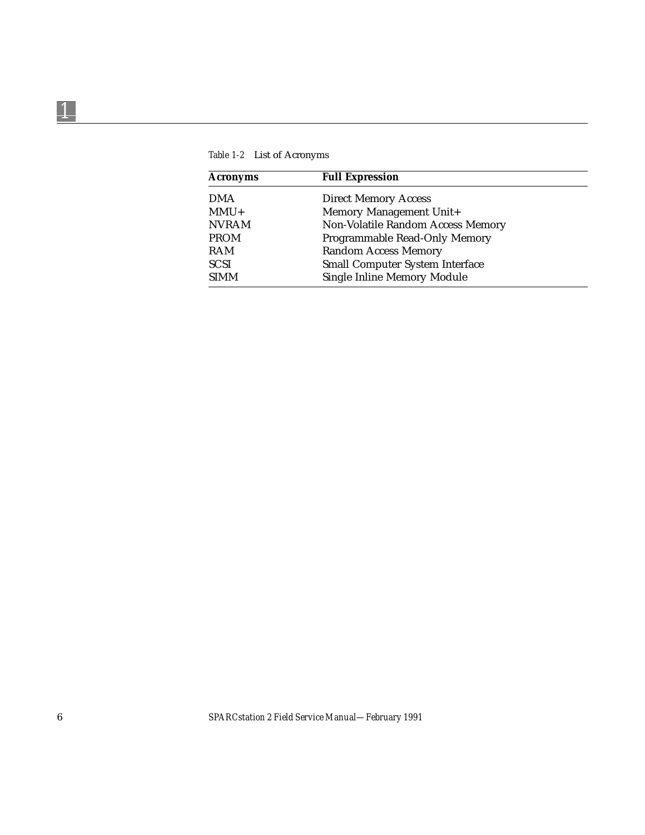| <b>Acronyms</b> | <b>Full Expression</b>                 |
|-----------------|----------------------------------------|
| <b>DMA</b>      | <b>Direct Memory Access</b>            |
| $MMU+$          | Memory Management Unit+                |
| <b>NVRAM</b>    | Non-Volatile Random Access Memory      |
| <b>PROM</b>     | Programmable Read-Only Memory          |
| <b>RAM</b>      | <b>Random Access Memory</b>            |
| <b>SCSI</b>     | <b>Small Computer System Interface</b> |
| <b>SIMM</b>     | <b>Single Inline Memory Module</b>     |

*Table 1-2* List of Acronyms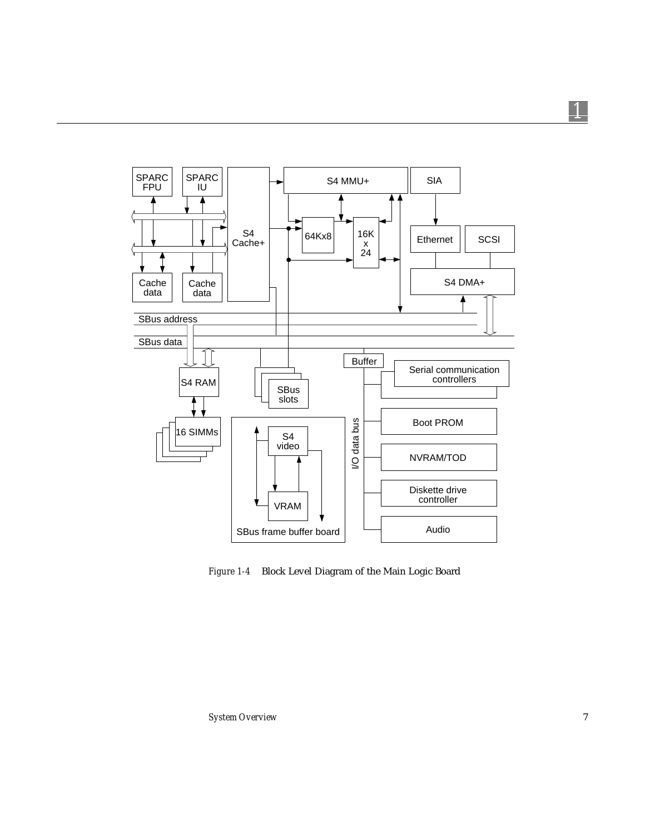

*Figure 1-4* Block Level Diagram of the Main Logic Board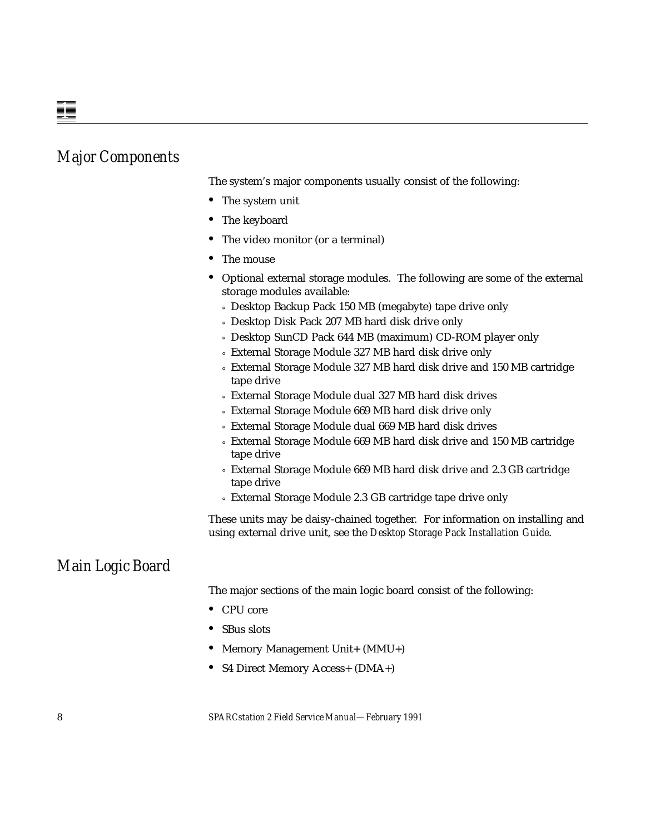#### *Major Components*

The system's major components usually consist of the following:

- **•** The system unit
- **•** The keyboard
- **•** The video monitor (or a terminal)
- **•** The mouse
- **•** Optional external storage modules. The following are some of the external storage modules available:
	- ° Desktop Backup Pack 150 MB (megabyte) tape drive only
	- ° Desktop Disk Pack 207 MB hard disk drive only
	- ° Desktop SunCD Pack 644 MB (maximum) CD-ROM player only
	- ° External Storage Module 327 MB hard disk drive only
	- ° External Storage Module 327 MB hard disk drive and 150 MB cartridge tape drive
	- ° External Storage Module dual 327 MB hard disk drives
	- ° External Storage Module 669 MB hard disk drive only
	- ° External Storage Module dual 669 MB hard disk drives
	- ° External Storage Module 669 MB hard disk drive and 150 MB cartridge tape drive
	- ° External Storage Module 669 MB hard disk drive and 2.3 GB cartridge tape drive
	- ° External Storage Module 2.3 GB cartridge tape drive only

These units may be daisy-chained together. For information on installing and using external drive unit, see the *Desktop Storage Pack Installation Guide*.

#### *Main Logic Board*

The major sections of the main logic board consist of the following:

- **•** CPU core
- **•** SBus slots
- Memory Management Unit+ (MMU+)
- **•** S4 Direct Memory Access+ (DMA+)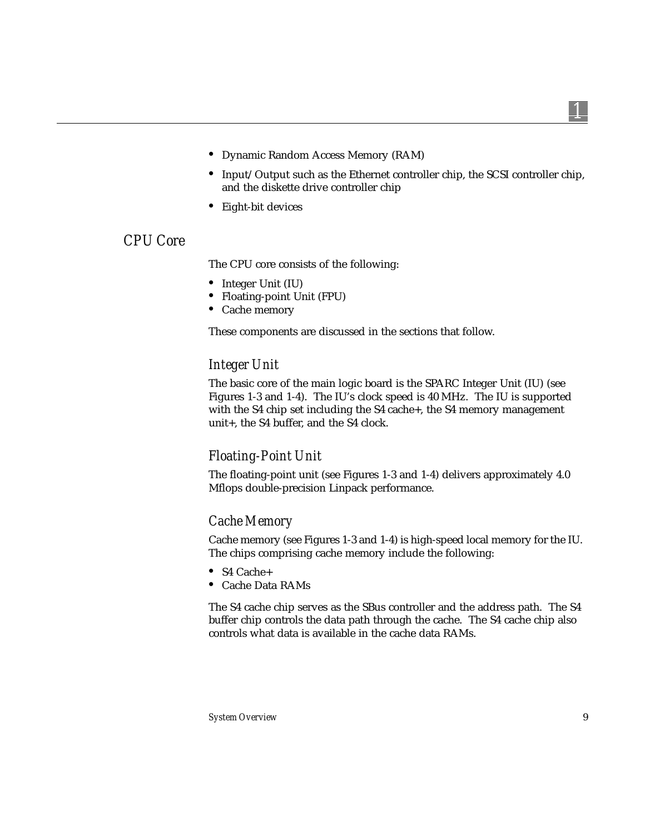- **•** Dynamic Random Access Memory (RAM)
- **•** Input/Output such as the Ethernet controller chip, the SCSI controller chip, and the diskette drive controller chip
- **•** Eight-bit devices

#### *CPU Core*

The CPU core consists of the following:

- **•** Integer Unit (IU)
- **•** Floating-point Unit (FPU)
- **•** Cache memory

These components are discussed in the sections that follow.

#### *Integer Unit*

The basic core of the main logic board is the SPARC Integer Unit (IU) (see Figures 1-3 and 1-4). The IU's clock speed is 40 MHz. The IU is supported with the S4 chip set including the S4 cache+, the S4 memory management unit+, the S4 buffer, and the S4 clock.

#### *Floating-Point Unit*

The floating-point unit (see Figures 1-3 and 1-4) delivers approximately 4.0 Mflops double-precision Linpack performance.

#### *Cache Memory*

Cache memory (see Figures 1-3 and 1-4) is high-speed local memory for the IU. The chips comprising cache memory include the following:

- **•** S4 Cache+
- **•** Cache Data RAMs

The S4 cache chip serves as the SBus controller and the address path. The S4 buffer chip controls the data path through the cache. The S4 cache chip also controls what data is available in the cache data RAMs.

*1*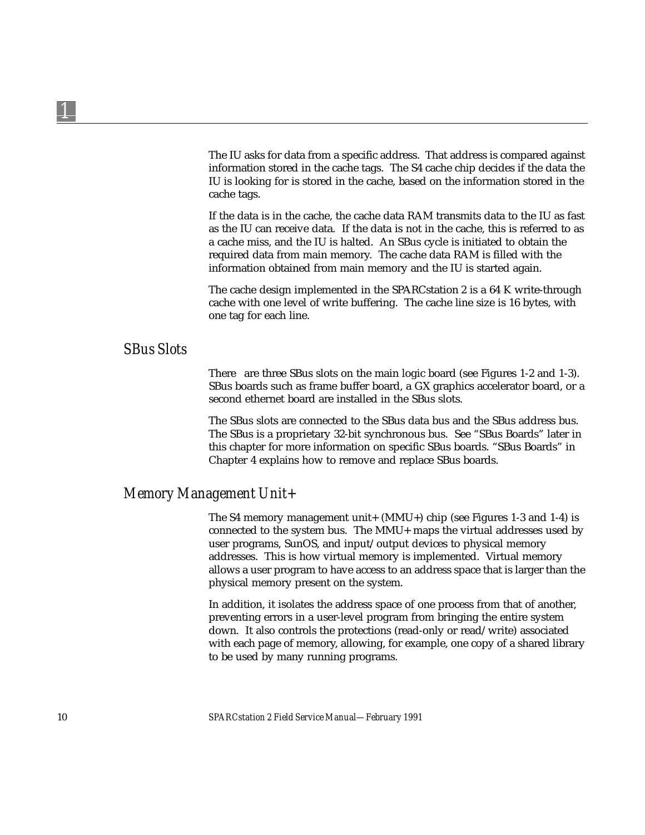The IU asks for data from a specific address. That address is compared against information stored in the cache tags. The S4 cache chip decides if the data the IU is looking for is stored in the cache, based on the information stored in the cache tags.

If the data is in the cache, the cache data RAM transmits data to the IU as fast as the IU can receive data. If the data is not in the cache, this is referred to as a cache miss, and the IU is halted. An SBus cycle is initiated to obtain the required data from main memory. The cache data RAM is filled with the information obtained from main memory and the IU is started again.

The cache design implemented in the SPARCstation 2 is a 64 K write-through cache with one level of write buffering. The cache line size is 16 bytes, with one tag for each line.

#### *SBus Slots*

There are three SBus slots on the main logic board (see Figures 1-2 and 1-3). SBus boards such as frame buffer board, a GX graphics accelerator board, or a second ethernet board are installed in the SBus slots.

The SBus slots are connected to the SBus data bus and the SBus address bus. The SBus is a proprietary 32-bit synchronous bus. See "SBus Boards" later in this chapter for more information on specific SBus boards. "SBus Boards" in Chapter 4 explains how to remove and replace SBus boards.

#### *Memory Management Unit+*

The S4 memory management unit+ (MMU+) chip (see Figures 1-3 and 1-4) is connected to the system bus. The MMU+ maps the virtual addresses used by user programs, SunOS, and input/output devices to physical memory addresses. This is how virtual memory is implemented. Virtual memory allows a user program to have access to an address space that is larger than the physical memory present on the system.

In addition, it isolates the address space of one process from that of another, preventing errors in a user-level program from bringing the entire system down. It also controls the protections (read-only or read/write) associated with each page of memory, allowing, for example, one copy of a shared library to be used by many running programs.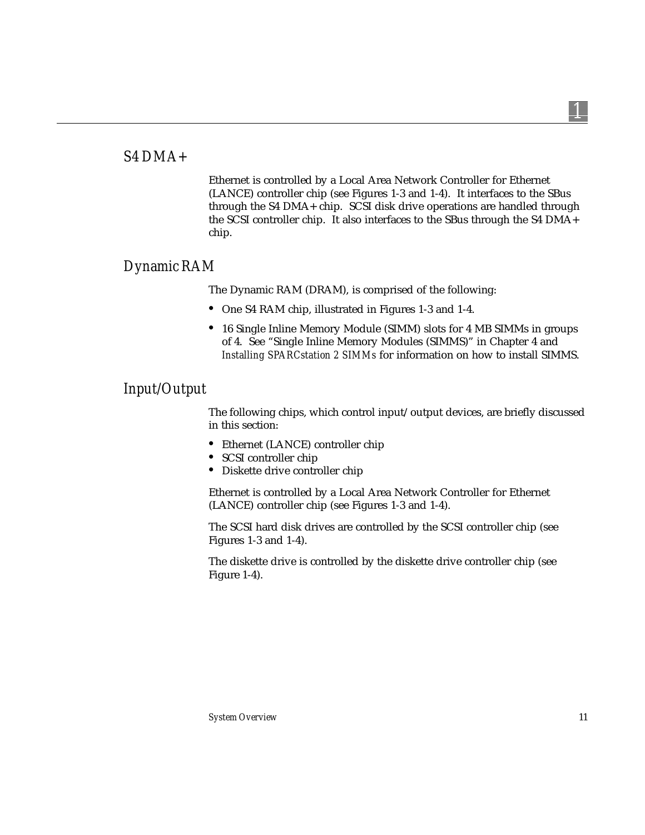#### *S4 DMA+*

Ethernet is controlled by a Local Area Network Controller for Ethernet (LANCE) controller chip (see Figures 1-3 and 1-4). It interfaces to the SBus through the S4 DMA+ chip. SCSI disk drive operations are handled through the SCSI controller chip. It also interfaces to the SBus through the S4 DMA+ chip.

#### *Dynamic RAM*

The Dynamic RAM (DRAM), is comprised of the following:

- **•** One S4 RAM chip, illustrated in Figures 1-3 and 1-4.
- **•** 16 Single Inline Memory Module (SIMM) slots for 4 MB SIMMs in groups of 4. See "Single Inline Memory Modules (SIMMS)" in Chapter 4 and *Installing SPARCstation 2 SIMMs* for information on how to install SIMMS.

#### *Input/Output*

The following chips, which control input/output devices, are briefly discussed in this section:

- **•** Ethernet (LANCE) controller chip
- **•** SCSI controller chip
- **•** Diskette drive controller chip

Ethernet is controlled by a Local Area Network Controller for Ethernet (LANCE) controller chip (see Figures 1-3 and 1-4).

The SCSI hard disk drives are controlled by the SCSI controller chip (see Figures 1-3 and 1-4).

The diskette drive is controlled by the diskette drive controller chip (see Figure 1-4).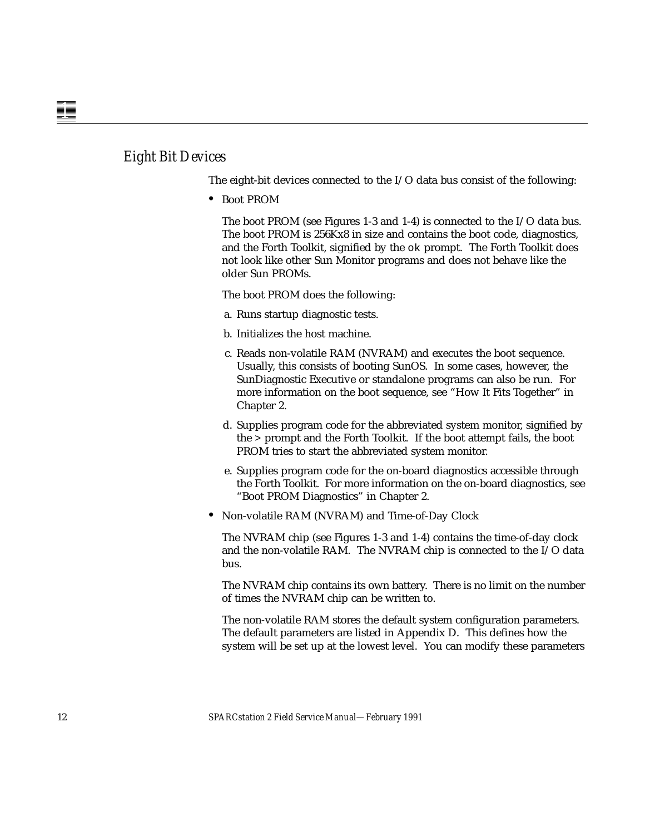The eight-bit devices connected to the I/O data bus consist of the following:

**•** Boot PROM

The boot PROM (see Figures 1-3 and 1-4) is connected to the I/O data bus. The boot PROM is 256Kx8 in size and contains the boot code, diagnostics, and the Forth Toolkit, signified by the ok prompt. The Forth Toolkit does not look like other Sun Monitor programs and does not behave like the older Sun PROMs.

The boot PROM does the following:

- a. Runs startup diagnostic tests.
- b. Initializes the host machine.
- c. Reads non-volatile RAM (NVRAM) and executes the boot sequence. Usually, this consists of booting SunOS. In some cases, however, the SunDiagnostic Executive or standalone programs can also be run. For more information on the boot sequence, see "How It Fits Together" in Chapter 2.
- d. Supplies program code for the abbreviated system monitor, signified by the > prompt and the Forth Toolkit. If the boot attempt fails, the boot PROM tries to start the abbreviated system monitor.
- e. Supplies program code for the on-board diagnostics accessible through the Forth Toolkit. For more information on the on-board diagnostics, see "Boot PROM Diagnostics" in Chapter 2.
- **•** Non-volatile RAM (NVRAM) and Time-of-Day Clock

The NVRAM chip (see Figures 1-3 and 1-4) contains the time-of-day clock and the non-volatile RAM. The NVRAM chip is connected to the I/O data bus.

The NVRAM chip contains its own battery. There is no limit on the number of times the NVRAM chip can be written to.

The non-volatile RAM stores the default system configuration parameters. The default parameters are listed in Appendix D. This defines how the system will be set up at the lowest level. You can modify these parameters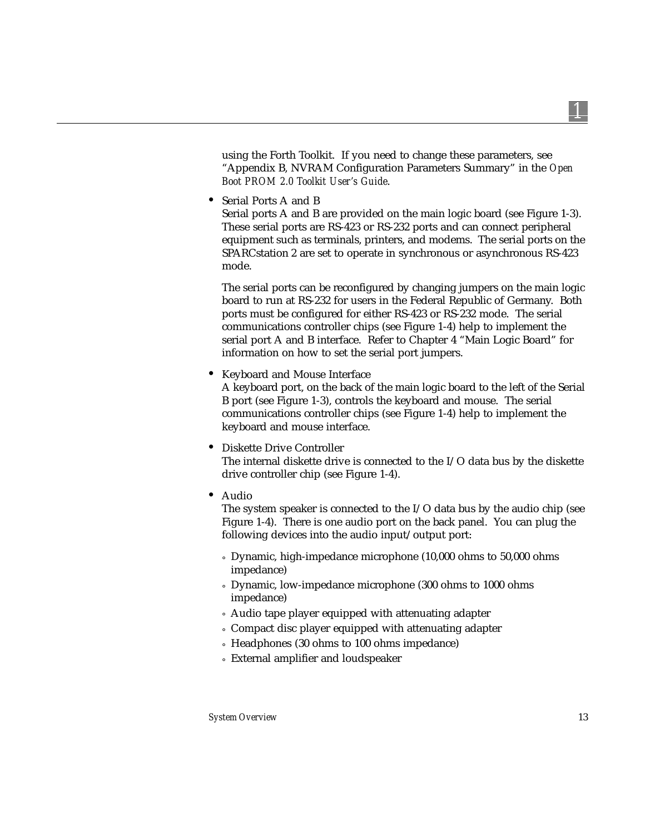using the Forth Toolkit. If you need to change these parameters, see "Appendix B, NVRAM Configuration Parameters Summary" in the *Open Boot PROM 2.0 Toolkit User's Guide*.

**•** Serial Ports A and B

Serial ports A and B are provided on the main logic board (see Figure 1-3). These serial ports are RS-423 or RS-232 ports and can connect peripheral equipment such as terminals, printers, and modems. The serial ports on the SPARCstation 2 are set to operate in synchronous or asynchronous RS-423 mode.

The serial ports can be reconfigured by changing jumpers on the main logic board to run at RS-232 for users in the Federal Republic of Germany. Both ports must be configured for either RS-423 or RS-232 mode. The serial communications controller chips (see Figure 1-4) help to implement the serial port A and B interface. Refer to Chapter 4 "Main Logic Board" for information on how to set the serial port jumpers.

**•** Keyboard and Mouse Interface

A keyboard port, on the back of the main logic board to the left of the Serial B port (see Figure 1-3), controls the keyboard and mouse. The serial communications controller chips (see Figure 1-4) help to implement the keyboard and mouse interface.

**•** Diskette Drive Controller

The internal diskette drive is connected to the I/O data bus by the diskette drive controller chip (see Figure 1-4).

**•** Audio

The system speaker is connected to the I/O data bus by the audio chip (see Figure 1-4). There is one audio port on the back panel. You can plug the following devices into the audio input/output port:

- ° Dynamic, high-impedance microphone (10,000 ohms to 50,000 ohms impedance)
- ° Dynamic, low-impedance microphone (300 ohms to 1000 ohms impedance)
- ° Audio tape player equipped with attenuating adapter
- ° Compact disc player equipped with attenuating adapter
- ° Headphones (30 ohms to 100 ohms impedance)
- ° External amplifier and loudspeaker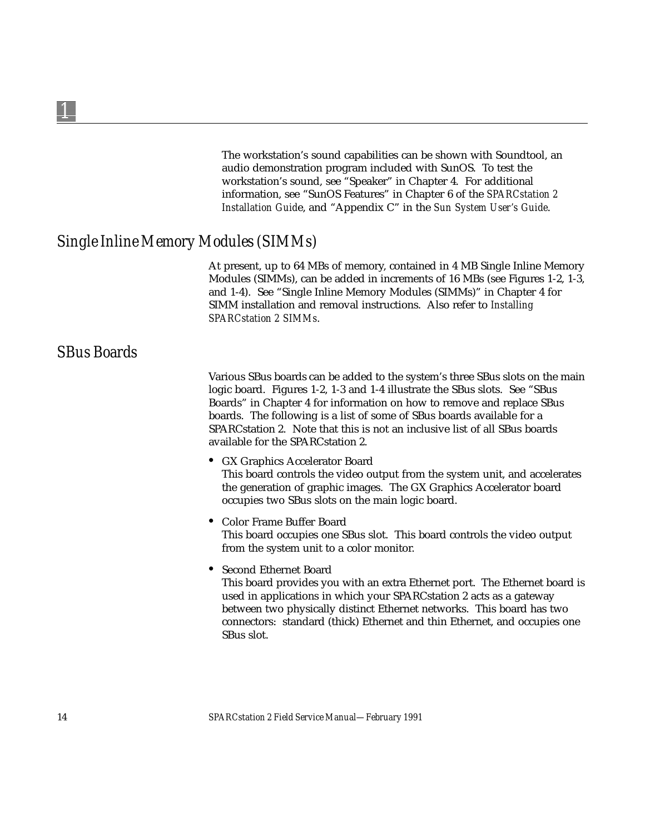The workstation's sound capabilities can be shown with Soundtool, an audio demonstration program included with SunOS. To test the workstation's sound, see "Speaker" in Chapter 4. For additional information, see "SunOS Features" in Chapter 6 of the *SPARCstation 2 Installation Guid*e, and "Appendix C" in the *Sun System User's Guide*.

#### *Single Inline Memory Modules (SIMMs)*

At present, up to 64 MBs of memory, contained in 4 MB Single Inline Memory Modules (SIMMs), can be added in increments of 16 MBs (see Figures 1-2, 1-3, and 1-4). See "Single Inline Memory Modules (SIMMs)" in Chapter 4 for SIMM installation and removal instructions. Also refer to *Installing SPARCstation 2 SIMMs*.

#### *SBus Boards*

Various SBus boards can be added to the system's three SBus slots on the main logic board. Figures 1-2, 1-3 and 1-4 illustrate the SBus slots. See "SBus Boards" in Chapter 4 for information on how to remove and replace SBus boards. The following is a list of some of SBus boards available for a SPARCstation 2. Note that this is not an inclusive list of all SBus boards available for the SPARCstation 2.

- **•** GX Graphics Accelerator Board This board controls the video output from the system unit, and accelerates the generation of graphic images. The GX Graphics Accelerator board occupies two SBus slots on the main logic board.
- **•** Color Frame Buffer Board This board occupies one SBus slot. This board controls the video output from the system unit to a color monitor.
- **•** Second Ethernet Board

This board provides you with an extra Ethernet port. The Ethernet board is used in applications in which your SPARCstation 2 acts as a gateway between two physically distinct Ethernet networks. This board has two connectors: standard (thick) Ethernet and thin Ethernet, and occupies one SBus slot.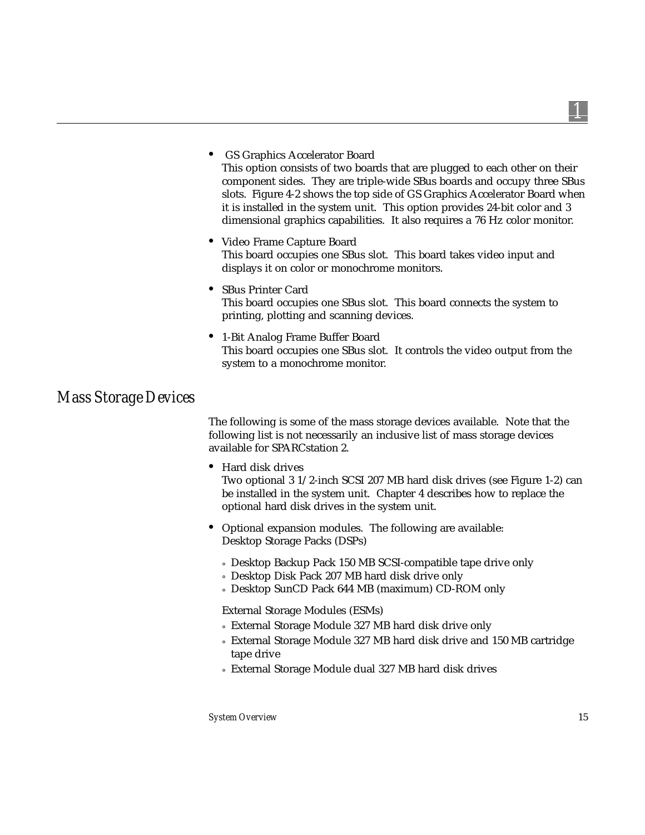#### **•** GS Graphics Accelerator Board

This option consists of two boards that are plugged to each other on their component sides. They are triple-wide SBus boards and occupy three SBus slots. Figure 4-2 shows the top side of GS Graphics Accelerator Board when it is installed in the system unit. This option provides 24-bit color and 3 dimensional graphics capabilities. It also requires a 76 Hz color monitor.

- **•** Video Frame Capture Board This board occupies one SBus slot. This board takes video input and displays it on color or monochrome monitors.
- **•** SBus Printer Card This board occupies one SBus slot. This board connects the system to printing, plotting and scanning devices.
- **•** 1-Bit Analog Frame Buffer Board This board occupies one SBus slot. It controls the video output from the system to a monochrome monitor.

#### *Mass Storage Devices*

The following is some of the mass storage devices available. Note that the following list is not necessarily an inclusive list of mass storage devices available for SPARCstation 2.

**•** Hard disk drives

Two optional 3 1/2-inch SCSI 207 MB hard disk drives (see Figure 1-2) can be installed in the system unit. Chapter 4 describes how to replace the optional hard disk drives in the system unit.

- **•** Optional expansion modules. The following are available: Desktop Storage Packs (DSPs)
	- ° Desktop Backup Pack 150 MB SCSI-compatible tape drive only
	- ° Desktop Disk Pack 207 MB hard disk drive only
	- ° Desktop SunCD Pack 644 MB (maximum) CD-ROM only

External Storage Modules (ESMs)

- ° External Storage Module 327 MB hard disk drive only
- ° External Storage Module 327 MB hard disk drive and 150 MB cartridge tape drive
- ° External Storage Module dual 327 MB hard disk drives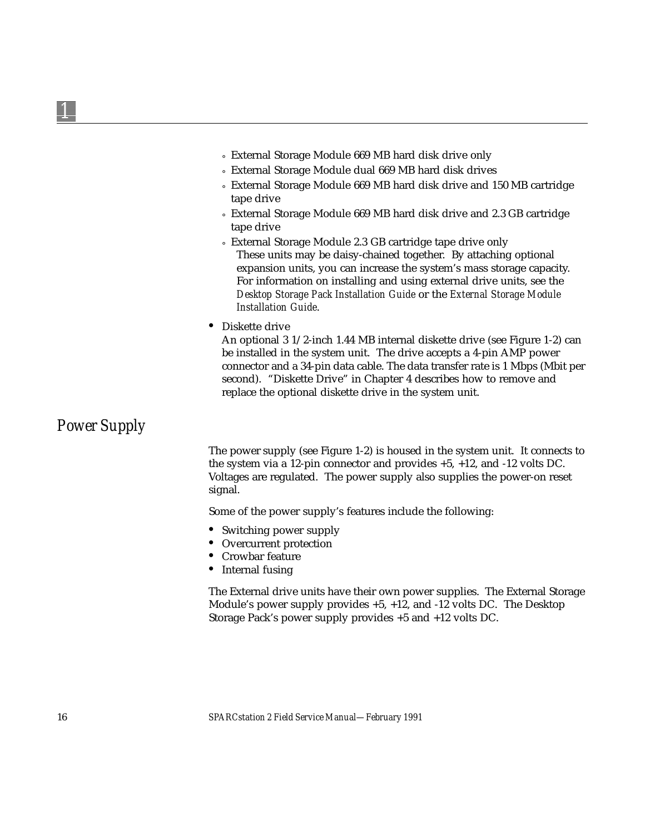- ° External Storage Module 669 MB hard disk drive only
- ° External Storage Module dual 669 MB hard disk drives
- ° External Storage Module 669 MB hard disk drive and 150 MB cartridge tape drive
- ° External Storage Module 669 MB hard disk drive and 2.3 GB cartridge tape drive
- ° External Storage Module 2.3 GB cartridge tape drive only These units may be daisy-chained together. By attaching optional expansion units, you can increase the system's mass storage capacity. For information on installing and using external drive units, see the *Desktop Storage Pack Installation Guide* or the *External Storage Module Installation Guide*.
- **•** Diskette drive

An optional 3 1/2-inch 1.44 MB internal diskette drive (see Figure 1-2) can be installed in the system unit. The drive accepts a 4-pin AMP power connector and a 34-pin data cable. The data transfer rate is 1 Mbps (Mbit per second). "Diskette Drive" in Chapter 4 describes how to remove and replace the optional diskette drive in the system unit.

#### *Power Supply*

The power supply (see Figure 1-2) is housed in the system unit. It connects to the system via a 12-pin connector and provides +5, +12, and -12 volts DC. Voltages are regulated. The power supply also supplies the power-on reset signal.

Some of the power supply's features include the following:

- **•** Switching power supply
- **•** Overcurrent protection
- **•** Crowbar feature
- **•** Internal fusing

The External drive units have their own power supplies. The External Storage Module's power supply provides +5, +12, and -12 volts DC. The Desktop Storage Pack's power supply provides +5 and +12 volts DC.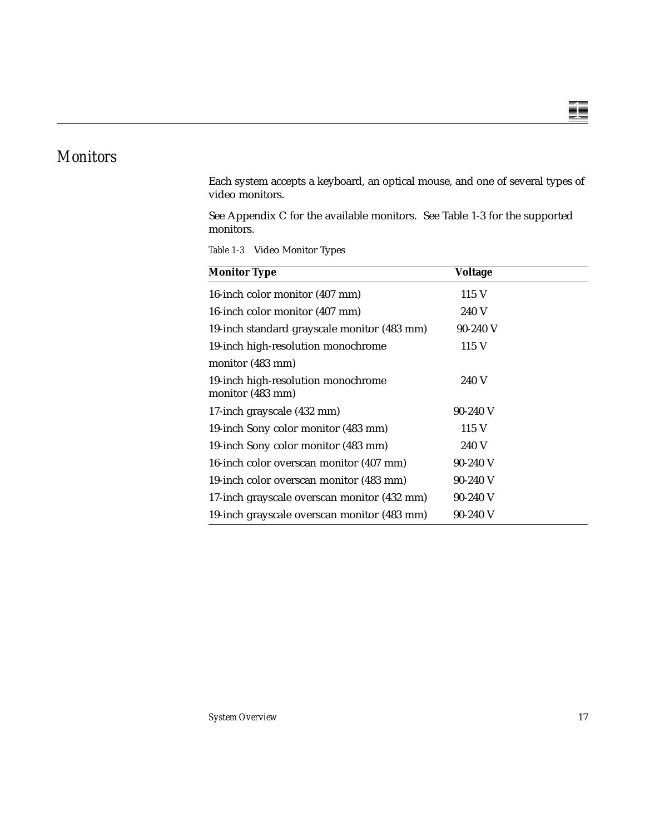### *Monitors*

Each system accepts a keyboard, an optical mouse, and one of several types of video monitors.

See Appendix C for the available monitors. See Table 1-3 for the supported monitors.

*Table 1-3* Video Monitor Types

| <b>Monitor Type</b>                                    | <b>Voltage</b> |  |
|--------------------------------------------------------|----------------|--|
| 16-inch color monitor (407 mm)                         | 115 V          |  |
| 16-inch color monitor (407 mm)                         | 240 V          |  |
| 19-inch standard grayscale monitor (483 mm)            | $90-240$ V     |  |
| 19-inch high-resolution monochrome                     | 115 V          |  |
| monitor (483 mm)                                       |                |  |
| 19-inch high-resolution monochrome<br>monitor (483 mm) | 240 V          |  |
| 17-inch grayscale (432 mm)                             | $90-240$ V     |  |
| 19-inch Sony color monitor (483 mm)                    | 115 V          |  |
| 19-inch Sony color monitor (483 mm)                    | 240 V          |  |
| 16-inch color overscan monitor (407 mm)                | $90-240$ V     |  |
| 19-inch color overscan monitor (483 mm)                | $90-240$ V     |  |
| 17-inch grayscale overscan monitor (432 mm)            | $90-240$ V     |  |
| 19-inch grayscale overscan monitor (483 mm)            | $90-240$ V     |  |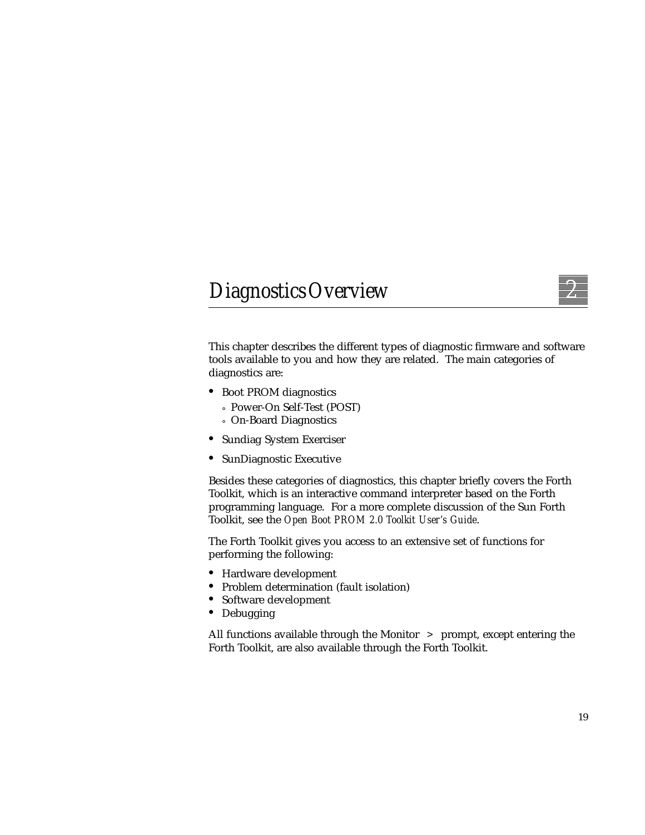## *DiagnosticsOverview 2*



This chapter describes the different types of diagnostic firmware and software tools available to you and how they are related. The main categories of diagnostics are:

- **•** Boot PROM diagnostics
	- ° Power-On Self-Test (POST)
	- ° On-Board Diagnostics
- **•** Sundiag System Exerciser
- **•** SunDiagnostic Executive

Besides these categories of diagnostics, this chapter briefly covers the Forth Toolkit, which is an interactive command interpreter based on the Forth programming language. For a more complete discussion of the Sun Forth Toolkit, see the *Open Boot PROM 2.0 Toolkit User's Guide*.

The Forth Toolkit gives you access to an extensive set of functions for performing the following:

- **•** Hardware development
- **•** Problem determination (fault isolation)
- **•** Software development
- **•** Debugging

All functions available through the Monitor > prompt, except entering the Forth Toolkit, are also available through the Forth Toolkit.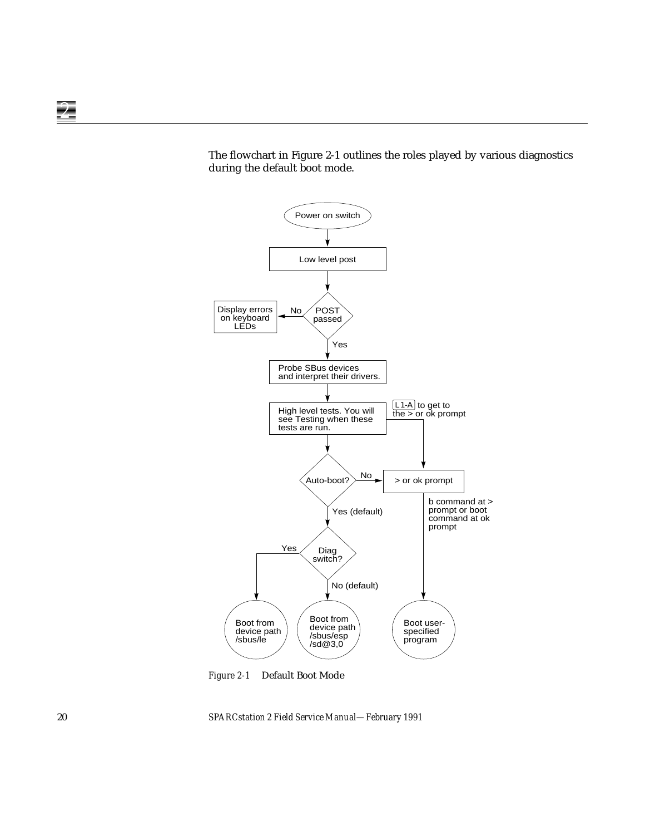The flowchart in Figure 2-1 outlines the roles played by various diagnostics during the default boot mode.



*Figure 2-1* Default Boot Mode

*2*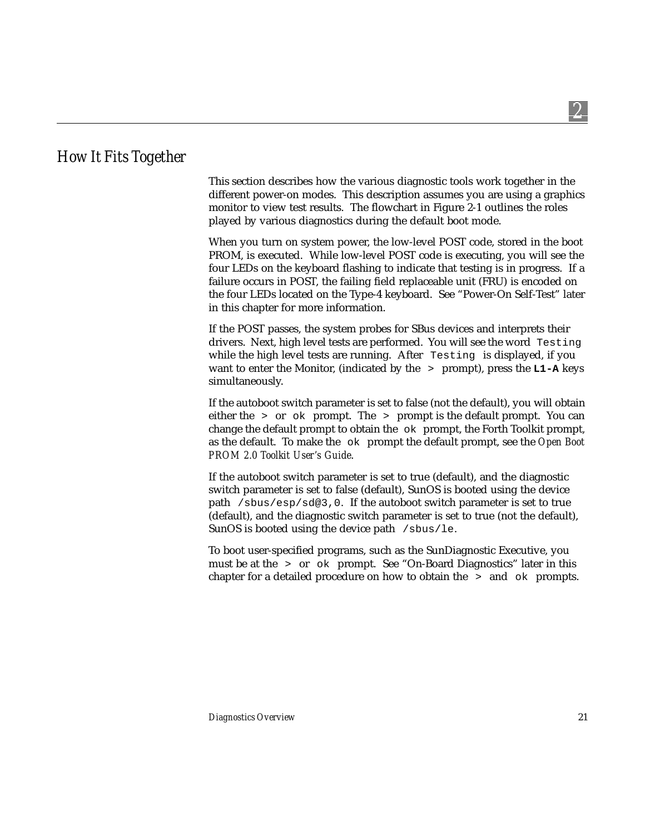### *How It Fits Together*

This section describes how the various diagnostic tools work together in the different power-on modes. This description assumes you are using a graphics monitor to view test results. The flowchart in Figure 2-1 outlines the roles played by various diagnostics during the default boot mode.

When you turn on system power, the low-level POST code, stored in the boot PROM, is executed. While low-level POST code is executing, you will see the four LEDs on the keyboard flashing to indicate that testing is in progress. If a failure occurs in POST, the failing field replaceable unit (FRU) is encoded on the four LEDs located on the Type-4 keyboard. See "Power-On Self-Test" later in this chapter for more information.

If the POST passes, the system probes for SBus devices and interprets their drivers. Next, high level tests are performed. You will see the word Testing while the high level tests are running. After Testing is displayed, if you want to enter the Monitor, (indicated by the > prompt), press the **L1-A** keys simultaneously.

If the autoboot switch parameter is set to false (not the default), you will obtain either the  $>$  or  $\circ$ k prompt. The  $>$  prompt is the default prompt. You can change the default prompt to obtain the  $\alpha$  prompt, the Forth Toolkit prompt, as the default. To make the ok prompt the default prompt, see the *Open Boot PROM 2.0 Toolkit User's Guide*.

If the autoboot switch parameter is set to true (default), and the diagnostic switch parameter is set to false (default), SunOS is booted using the device path /sbus/esp/sd@3,0. If the autoboot switch parameter is set to true (default), and the diagnostic switch parameter is set to true (not the default), SunOS is booted using the device path /sbus/le.

To boot user-specified programs, such as the SunDiagnostic Executive, you must be at the  $\rightarrow$  or  $\circ$ k prompt. See "On-Board Diagnostics" later in this chapter for a detailed procedure on how to obtain the  $\rightarrow$  and  $\circ$ k prompts.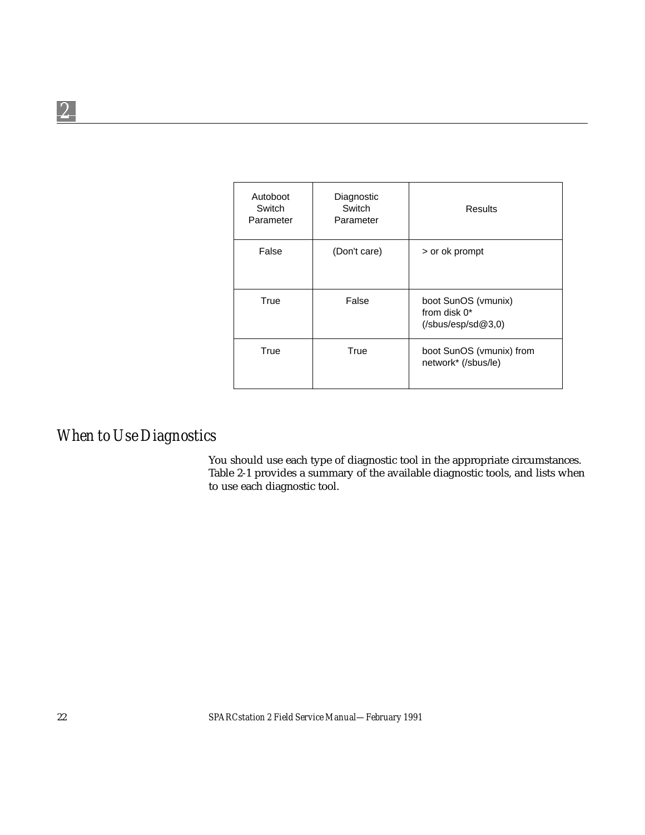| Autoboot<br>Switch<br>Parameter | Diagnostic<br>Switch<br>Parameter | <b>Results</b>                                                                                         |
|---------------------------------|-----------------------------------|--------------------------------------------------------------------------------------------------------|
| False                           | (Don't care)                      | > or ok prompt                                                                                         |
| True                            | False                             | boot SunOS (vmunix)<br>from disk 0*<br>$(\mathsf{sbus} / \mathsf{esp} / \mathsf{sd} \mathcal{Q} 3, 0)$ |
| True                            | True                              | boot SunOS (vmunix) from<br>network* (/sbus/le)                                                        |

# *When to Use Diagnostics*

You should use each type of diagnostic tool in the appropriate circumstances. Table 2-1 provides a summary of the available diagnostic tools, and lists when to use each diagnostic tool.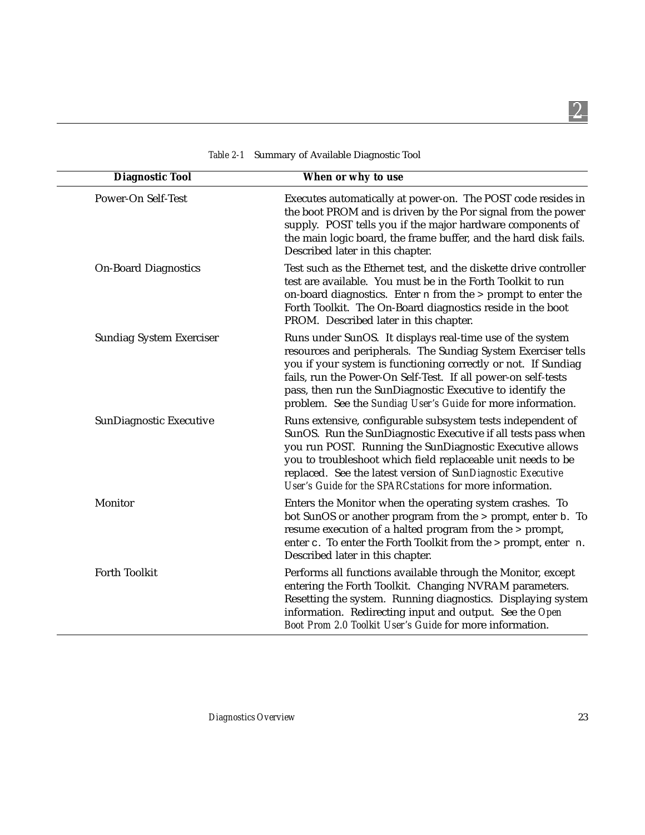| <b>Diagnostic Tool</b>          | When or why to use                                                                                                                                                                                                                                                                                                                                                                         |
|---------------------------------|--------------------------------------------------------------------------------------------------------------------------------------------------------------------------------------------------------------------------------------------------------------------------------------------------------------------------------------------------------------------------------------------|
| Power-On Self-Test              | Executes automatically at power-on. The POST code resides in<br>the boot PROM and is driven by the Por signal from the power<br>supply. POST tells you if the major hardware components of<br>the main logic board, the frame buffer, and the hard disk fails.<br>Described later in this chapter.                                                                                         |
| <b>On-Board Diagnostics</b>     | Test such as the Ethernet test, and the diskette drive controller<br>test are available. You must be in the Forth Toolkit to run<br>on-board diagnostics. Enter n from the > prompt to enter the<br>Forth Toolkit. The On-Board diagnostics reside in the boot<br>PROM. Described later in this chapter.                                                                                   |
| <b>Sundiag System Exerciser</b> | Runs under SunOS. It displays real-time use of the system<br>resources and peripherals. The Sundiag System Exerciser tells<br>you if your system is functioning correctly or not. If Sundiag<br>fails, run the Power-On Self-Test. If all power-on self-tests<br>pass, then run the SunDiagnostic Executive to identify the<br>problem. See the Sundiag User's Guide for more information. |
| SunDiagnostic Executive         | Runs extensive, configurable subsystem tests independent of<br>SunOS. Run the SunDiagnostic Executive if all tests pass when<br>you run POST. Running the SunDiagnostic Executive allows<br>you to troubleshoot which field replaceable unit needs to be<br>replaced. See the latest version of SunDiagnostic Executive<br>User's Guide for the SPARCstations for more information.        |
| Monitor                         | Enters the Monitor when the operating system crashes. To<br>bot SunOS or another program from the > prompt, enter b. To<br>resume execution of a halted program from the > prompt,<br>enter c. To enter the Forth Toolkit from the > prompt, enter n.<br>Described later in this chapter.                                                                                                  |
| <b>Forth Toolkit</b>            | Performs all functions available through the Monitor, except<br>entering the Forth Toolkit. Changing NVRAM parameters.<br>Resetting the system. Running diagnostics. Displaying system<br>information. Redirecting input and output. See the Open<br>Boot Prom 2.0 Toolkit User's Guide for more information.                                                                              |

*Table 2-1* Summary of Available Diagnostic Tool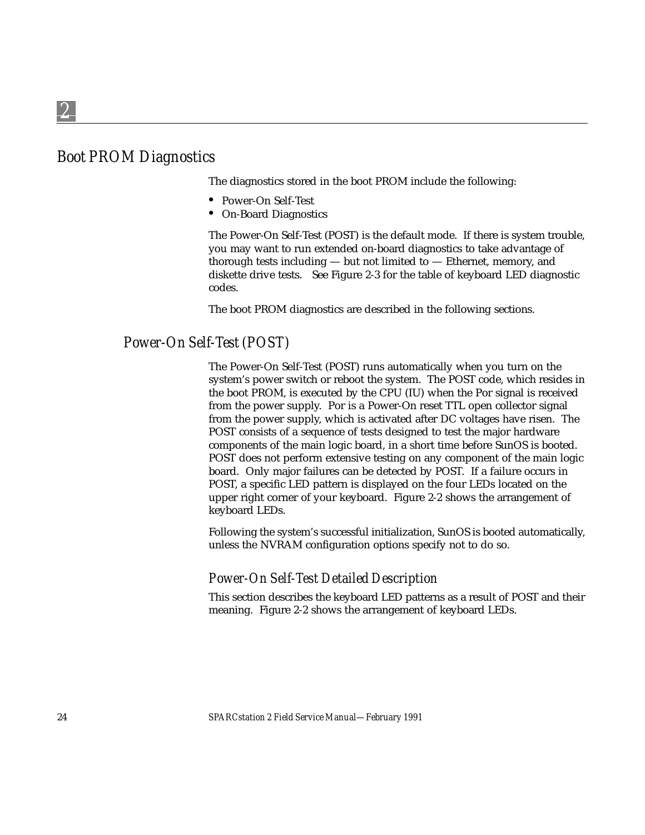# *Boot PROM Diagnostics*

The diagnostics stored in the boot PROM include the following:

- **•** Power-On Self-Test
- **•** On-Board Diagnostics

The Power-On Self-Test (POST) is the default mode. If there is system trouble, you may want to run extended on-board diagnostics to take advantage of thorough tests including — but not limited to — Ethernet, memory, and diskette drive tests. See Figure 2-3 for the table of keyboard LED diagnostic codes.

The boot PROM diagnostics are described in the following sections.

### *Power-On Self-Test (POST)*

The Power-On Self-Test (POST) runs automatically when you turn on the system's power switch or reboot the system. The POST code, which resides in the boot PROM, is executed by the CPU (IU) when the Por signal is received from the power supply. Por is a Power-On reset TTL open collector signal from the power supply, which is activated after DC voltages have risen. The POST consists of a sequence of tests designed to test the major hardware components of the main logic board, in a short time before SunOS is booted. POST does not perform extensive testing on any component of the main logic board. Only major failures can be detected by POST. If a failure occurs in POST, a specific LED pattern is displayed on the four LEDs located on the upper right corner of your keyboard. Figure 2-2 shows the arrangement of keyboard LEDs.

Following the system's successful initialization, SunOS is booted automatically, unless the NVRAM configuration options specify not to do so.

### *Power-On Self-Test Detailed Description*

This section describes the keyboard LED patterns as a result of POST and their meaning. Figure 2-2 shows the arrangement of keyboard LEDs.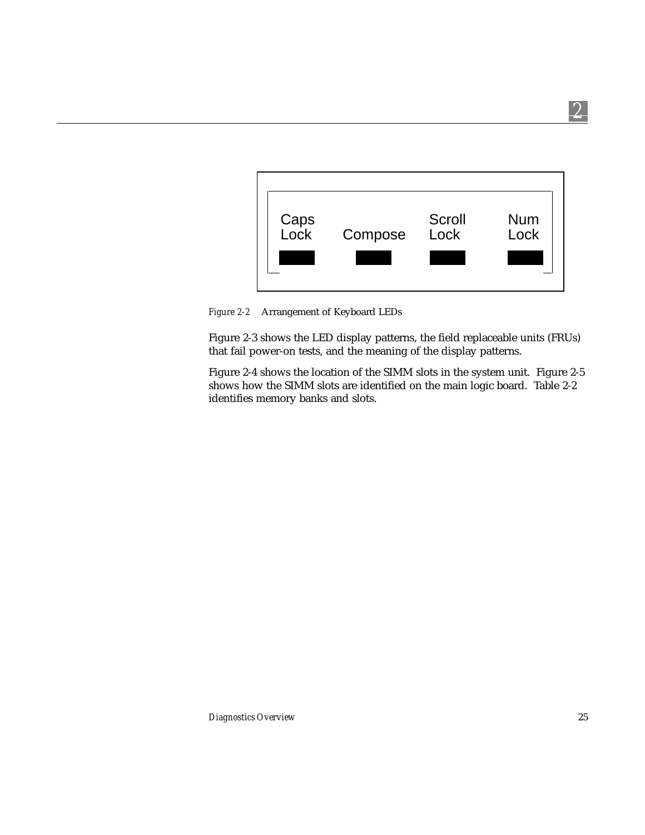

*Figure 2-2* Arrangement of Keyboard LEDs

Figure 2-3 shows the LED display patterns, the field replaceable units (FRUs) that fail power-on tests, and the meaning of the display patterns.

Figure 2-4 shows the location of the SIMM slots in the system unit. Figure 2-5 shows how the SIMM slots are identified on the main logic board. Table 2-2 identifies memory banks and slots.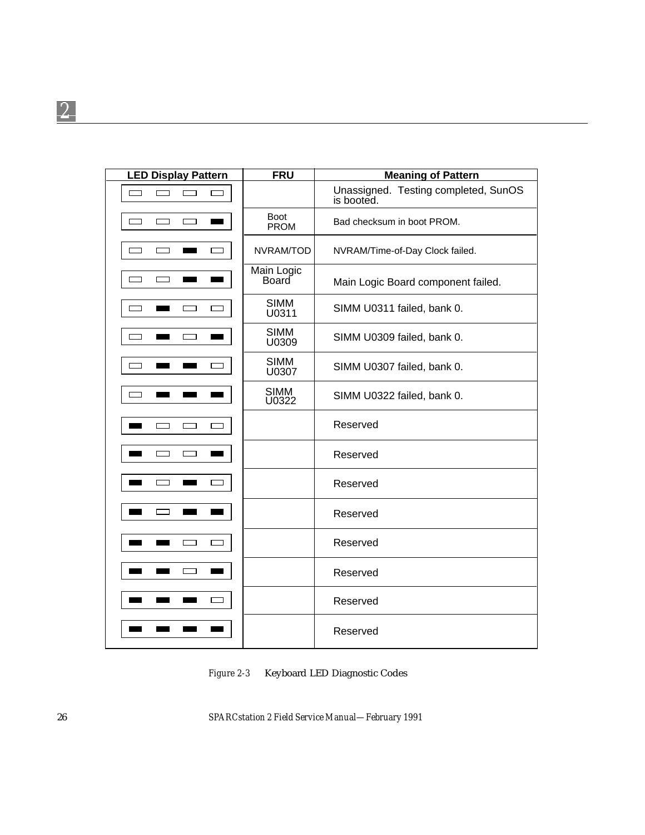| <b>LED Display Pattern</b>                   | <b>FRU</b>                 | <b>Meaning of Pattern</b>                          |
|----------------------------------------------|----------------------------|----------------------------------------------------|
| $\Box$<br>$\overline{\phantom{0}}$<br>$\Box$ |                            | Unassigned. Testing completed, SunOS<br>is booted. |
| $\Box$                                       | <b>Boot</b><br><b>PROM</b> | Bad checksum in boot PROM.                         |
|                                              | NVRAM/TOD                  | NVRAM/Time-of-Day Clock failed.                    |
|                                              | Main Logic<br>Board        | Main Logic Board component failed.                 |
|                                              | <b>SIMM</b><br>U0311       | SIMM U0311 failed, bank 0.                         |
|                                              | <b>SIMM</b><br>U0309       | SIMM U0309 failed, bank 0.                         |
|                                              | <b>SIMM</b><br>U0307       | SIMM U0307 failed, bank 0.                         |
|                                              | <b>SIMM</b><br>U0322       | SIMM U0322 failed, bank 0.                         |
|                                              |                            | Reserved                                           |
| г                                            |                            | Reserved                                           |
|                                              |                            | Reserved                                           |
|                                              |                            | Reserved                                           |
|                                              |                            | Reserved                                           |
|                                              |                            | Reserved                                           |
|                                              |                            | Reserved                                           |
|                                              |                            | Reserved                                           |

*Figure 2-3* Keyboard LED Diagnostic Codes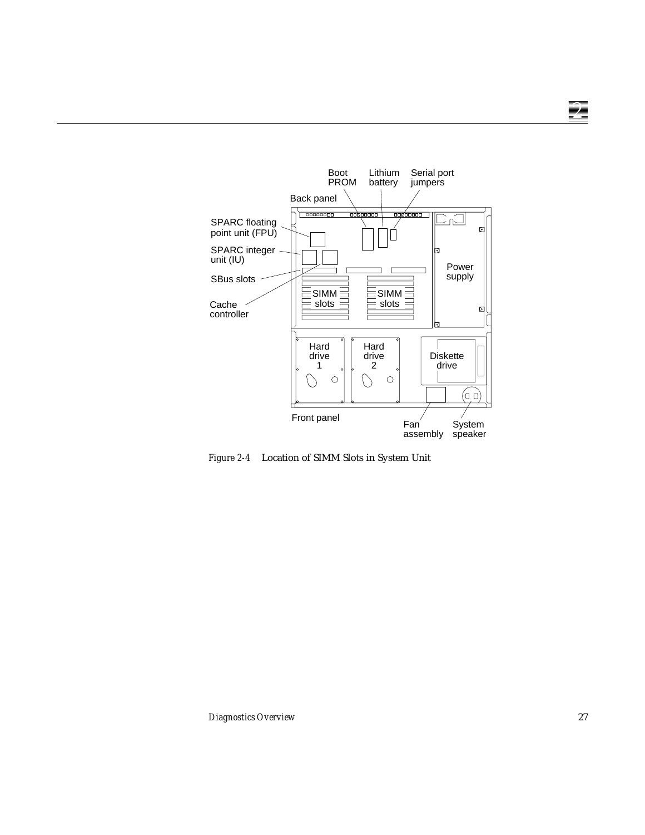

*Figure 2-4* Location of SIMM Slots in System Unit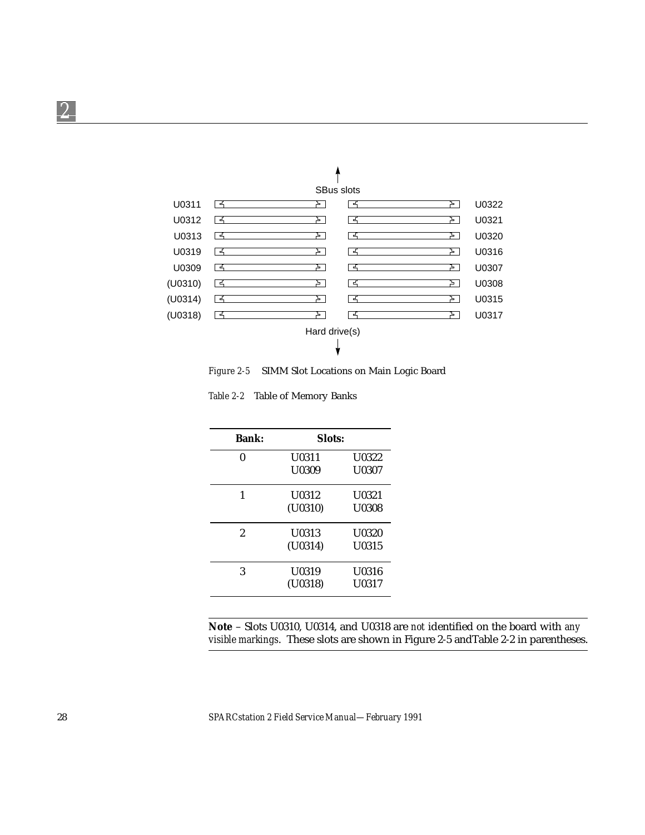

*Figure 2-5* SIMM Slot Locations on Main Logic Board

*Table 2-2* Table of Memory Banks

| <b>Bank:</b> | Slots:  |              |
|--------------|---------|--------------|
| 0            | U0311   | <b>U0322</b> |
|              | U0309   | U0307        |
| 1            | U0312   | U0321        |
|              | (U0310) | <b>U0308</b> |
| 2            | U0313   | U0320        |
|              | (U0314) | U0315        |
| 3            | U0319   | U0316        |
|              | (U0318) | U0317        |

**Note** – Slots U0310, U0314, and U0318 are *not* identified on the board with *any visible markings*. These slots are shown in Figure 2-5 andTable 2-2 in parentheses.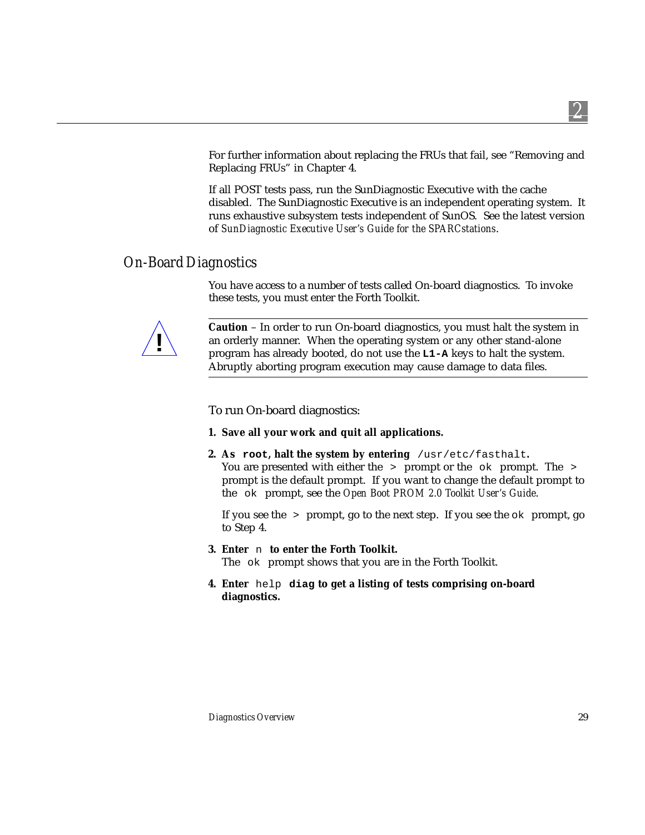For further information about replacing the FRUs that fail, see "Removing and Replacing FRUs" in Chapter 4.

If all POST tests pass, run the SunDiagnostic Executive with the cache disabled. The SunDiagnostic Executive is an independent operating system. It runs exhaustive subsystem tests independent of SunOS. See the latest version of *SunDiagnostic Executive User's Guide for the SPARCstations*.

### *On-Board Diagnostics*

You have access to a number of tests called On-board diagnostics. To invoke these tests, you must enter the Forth Toolkit.



**Caution** – In order to run On-board diagnostics, you must halt the system in an orderly manner. When the operating system or any other stand-alone program has already booted, do not use the **L1-A** keys to halt the system. Abruptly aborting program execution may cause damage to data files.

To run On-board diagnostics:

- **1. Save all your work and quit all applications.**
- **2. As root, halt the system by entering** /usr/etc/fasthalt**.** You are presented with either the > prompt or the ok prompt. The > prompt is the default prompt. If you want to change the default prompt to the ok prompt, see the *Open Boot PROM 2.0 Toolkit User's Guide*.

If you see the  $\ge$  prompt, go to the next step. If you see the  $\circ$ k prompt, go to Step 4.

- **3. Enter** n **to enter the Forth Toolkit.** The ok prompt shows that you are in the Forth Toolkit.
- **4. Enter** help **diag to get a listing of tests comprising on-board diagnostics.**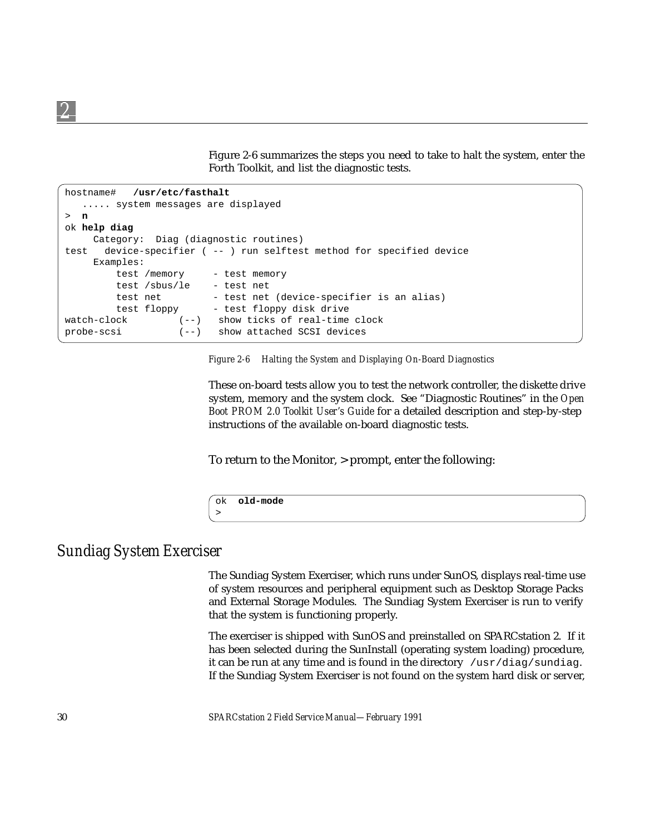Figure 2-6 summarizes the steps you need to take to halt the system, enter the Forth Toolkit, and list the diagnostic tests.

```
hostname# /usr/etc/fasthalt
   ..... system messages are displayed
> n
ok help diag
     Category: Diag (diagnostic routines)
test device-specifier ( -- ) run selftest method for specified device
     Examples:
         test /memory - test memory
         test /sbus/le - test net
         test net - test net (device-specifier is an alias)
         test floppy - test floppy disk drive
watch-clock (--) show ticks of real-time clock
probe-scsi (--) show attached SCSI devices
```
*Figure 2-6 Halting the System and Displaying On-Board Diagnostics*

These on-board tests allow you to test the network controller, the diskette drive system, memory and the system clock. See "Diagnostic Routines" in the *Open Boot PROM 2.0 Toolkit User's Guide* for a detailed description and step-by-step instructions of the available on-board diagnostic tests.

To return to the Monitor, > prompt, enter the following:

```
ok old-mode
```
### *Sundiag System Exerciser*

>

The Sundiag System Exerciser, which runs under SunOS, displays real-time use of system resources and peripheral equipment such as Desktop Storage Packs and External Storage Modules. The Sundiag System Exerciser is run to verify that the system is functioning properly.

The exerciser is shipped with SunOS and preinstalled on SPARCstation 2. If it has been selected during the SunInstall (operating system loading) procedure, it can be run at any time and is found in the directory  $/usr/diag/sundiag$ . If the Sundiag System Exerciser is not found on the system hard disk or server,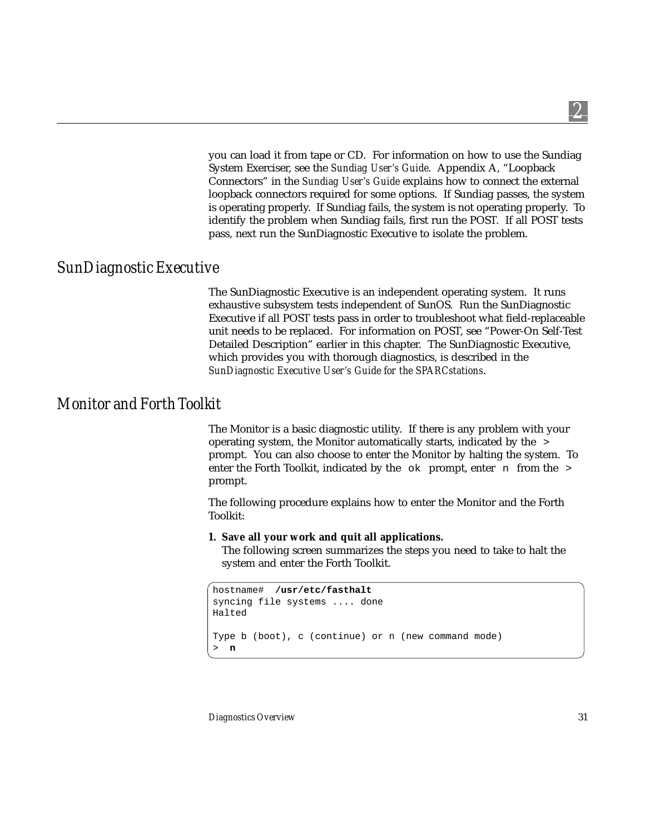you can load it from tape or CD. For information on how to use the Sundiag System Exerciser, see the *Sundiag User's Guide*. Appendix A, "Loopback Connectors" in the *Sundiag User's Guide* explains how to connect the external loopback connectors required for some options. If Sundiag passes, the system is operating properly. If Sundiag fails, the system is not operating properly. To identify the problem when Sundiag fails, first run the POST. If all POST tests pass, next run the SunDiagnostic Executive to isolate the problem.

### *SunDiagnostic Executive*

The SunDiagnostic Executive is an independent operating system. It runs exhaustive subsystem tests independent of SunOS. Run the SunDiagnostic Executive if all POST tests pass in order to troubleshoot what field-replaceable unit needs to be replaced. For information on POST, see "Power-On Self-Test Detailed Description" earlier in this chapter. The SunDiagnostic Executive, which provides you with thorough diagnostics, is described in the *SunDiagnostic Executive User's Guide for the SPARCstations*.

### *Monitor and Forth Toolkit*

The Monitor is a basic diagnostic utility. If there is any problem with your operating system, the Monitor automatically starts, indicated by the > prompt. You can also choose to enter the Monitor by halting the system. To enter the Forth Toolkit, indicated by the  $\circ$  prompt, enter n from the  $\circ$ prompt.

The following procedure explains how to enter the Monitor and the Forth Toolkit:

#### **1. Save all your work and quit all applications.**

The following screen summarizes the steps you need to take to halt the system and enter the Forth Toolkit.

```
hostname# /usr/etc/fasthalt
syncing file systems .... done
Halted
Type b (boot), c (continue) or n (new command mode)
  > n
```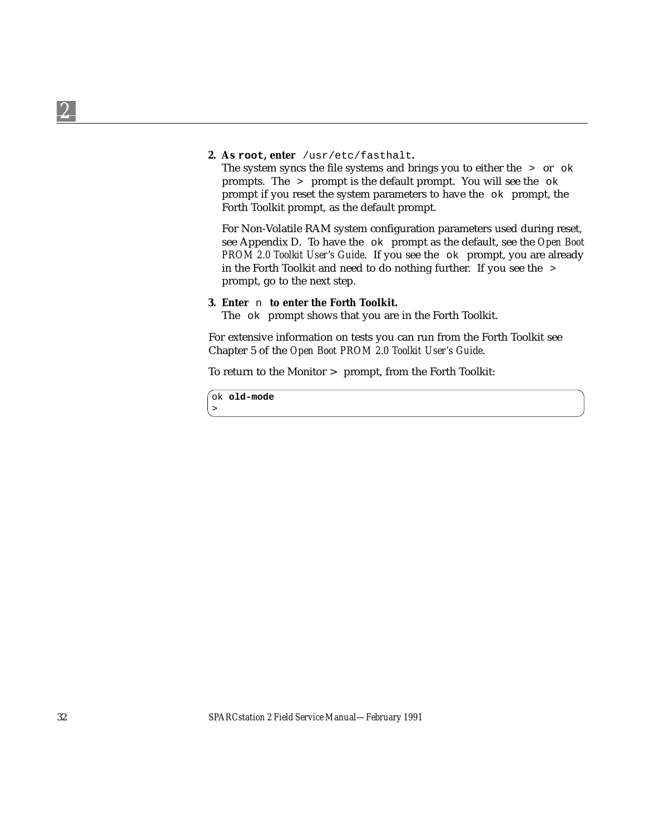#### **2. As root, enter** /usr/etc/fasthalt**.**

The system syncs the file systems and brings you to either the  $\rightarrow$  or  $\circ$ k prompts. The  $>$  prompt is the default prompt. You will see the  $\circ$ k prompt if you reset the system parameters to have the ok prompt, the Forth Toolkit prompt, as the default prompt.

For Non-Volatile RAM system configuration parameters used during reset, see Appendix D. To have the ok prompt as the default, see the *Open Boot PROM 2.0 Toolkit User's Guide*. If you see the ok prompt, you are already in the Forth Toolkit and need to do nothing further. If you see the > prompt, go to the next step.

#### **3. Enter** n **to enter the Forth Toolkit.**

The ok prompt shows that you are in the Forth Toolkit.

For extensive information on tests you can run from the Forth Toolkit see Chapter 5 of the *Open Boot PROM 2.0 Toolkit User's Guide*.

To return to the Monitor > prompt, from the Forth Toolkit:

ok **old-mode** >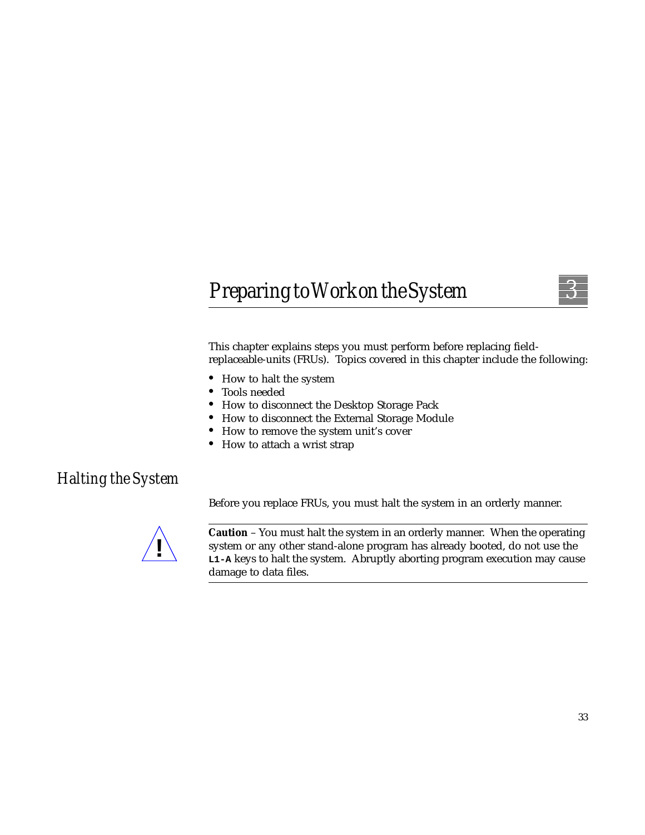# *PreparingtoWorkontheSystem 3*



This chapter explains steps you must perform before replacing fieldreplaceable-units (FRUs). Topics covered in this chapter include the following:

- **•** How to halt the system
- **•** Tools needed
- **•** How to disconnect the Desktop Storage Pack
- **•** How to disconnect the External Storage Module
- **•** How to remove the system unit's cover
- **•** How to attach a wrist strap

### *Halting the System*

Before you replace FRUs, you must halt the system in an orderly manner.



**Caution** – You must halt the system in an orderly manner. When the operating system or any other stand-alone program has already booted, do not use the **L1-A** keys to halt the system. Abruptly aborting program execution may cause damage to data files.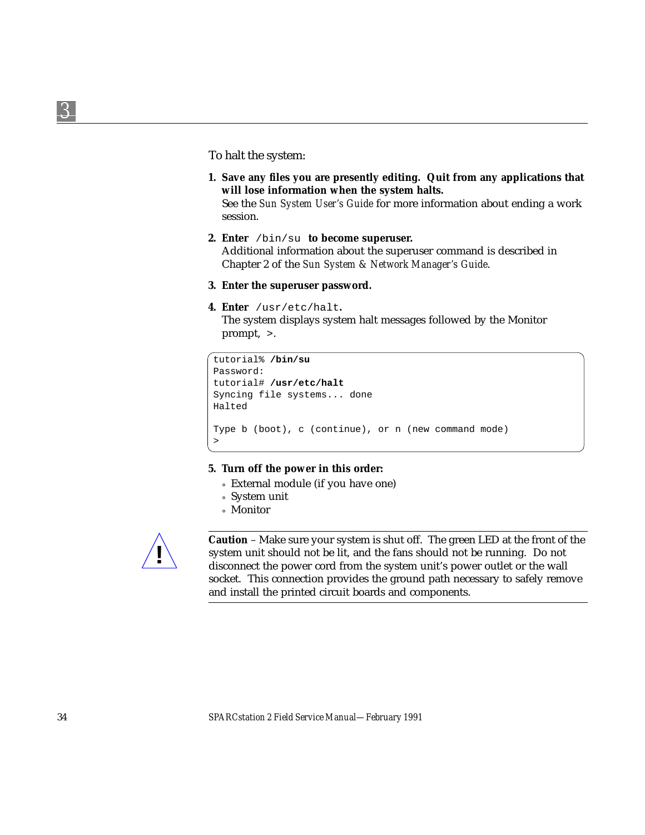To halt the system:

- **1. Save any files you are presently editing. Quit from any applications that will lose information when the system halts.** See the *Sun System User's Guide* for more information about ending a work
- **2. Enter** /bin/su **to become superuser.** Additional information about the superuser command is described in Chapter 2 of the *Sun System & Network Manager's Guide*.
- **3. Enter the superuser password.**
- **4. Enter** /usr/etc/halt**.**

session.

The system displays system halt messages followed by the Monitor prompt, >.

```
tutorial% /bin/su
Password:
tutorial# /usr/etc/halt
Syncing file systems... done
Halted
Type b (boot), c (continue), or n (new command mode)
>
```
#### **5. Turn off the power in this order:**

- ° External module (if you have one)
- ° System unit
- ° Monitor



**Caution** – Make sure your system is shut off. The green LED at the front of the system unit should not be lit, and the fans should not be running. Do not disconnect the power cord from the system unit's power outlet or the wall socket. This connection provides the ground path necessary to safely remove and install the printed circuit boards and components.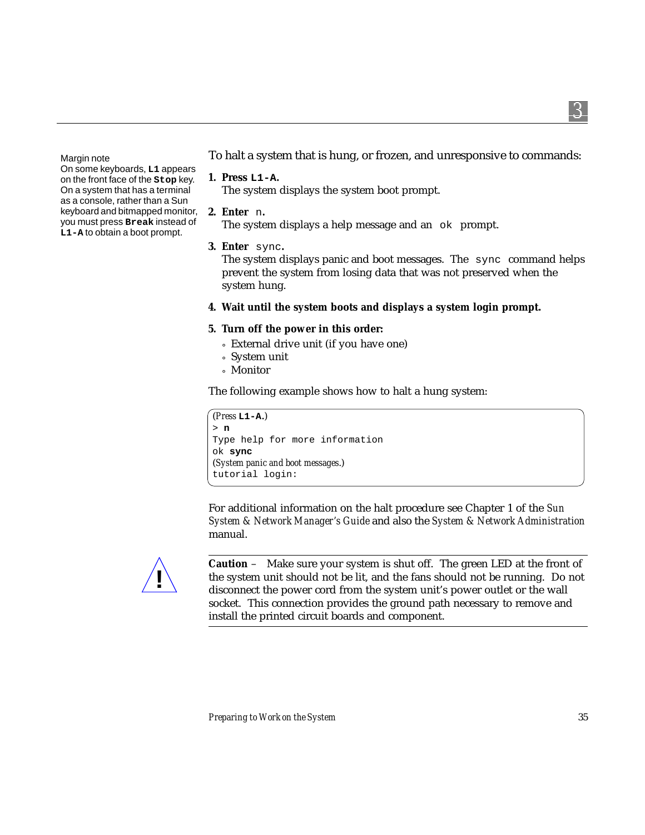*3*

Margin note

On some keyboards, **L1** appears on the front face of the **Stop** key. On a system that has a terminal as a console, rather than a Sun keyboard and bitmapped monitor, you must press **Break** instead of **L1-A** to obtain a boot prompt.

To halt a system that is hung, or frozen, and unresponsive to commands:

**1. Press L1-A.**

The system displays the system boot prompt.

**2. Enter** n**.**

The system displays a help message and an ok prompt.

**3. Enter** sync**.**

The system displays panic and boot messages. The sync command helps prevent the system from losing data that was not preserved when the system hung.

**4. Wait until the system boots and displays a system login prompt.**

#### **5. Turn off the power in this order:**

- ° External drive unit (if you have one)
- ° System unit
- ° Monitor

The following example shows how to halt a hung system:

```
(Press L1-A.)
> n
Type help for more information
ok sync
(System panic and boot messages.)
tutorial login:
```
For additional information on the halt procedure see Chapter 1 of the *Sun System & Network Manager's Guide* and also the *System & Network Administration* manual.



**Caution** – Make sure your system is shut off. The green LED at the front of the system unit should not be lit, and the fans should not be running. Do not disconnect the power cord from the system unit's power outlet or the wall socket. This connection provides the ground path necessary to remove and install the printed circuit boards and component.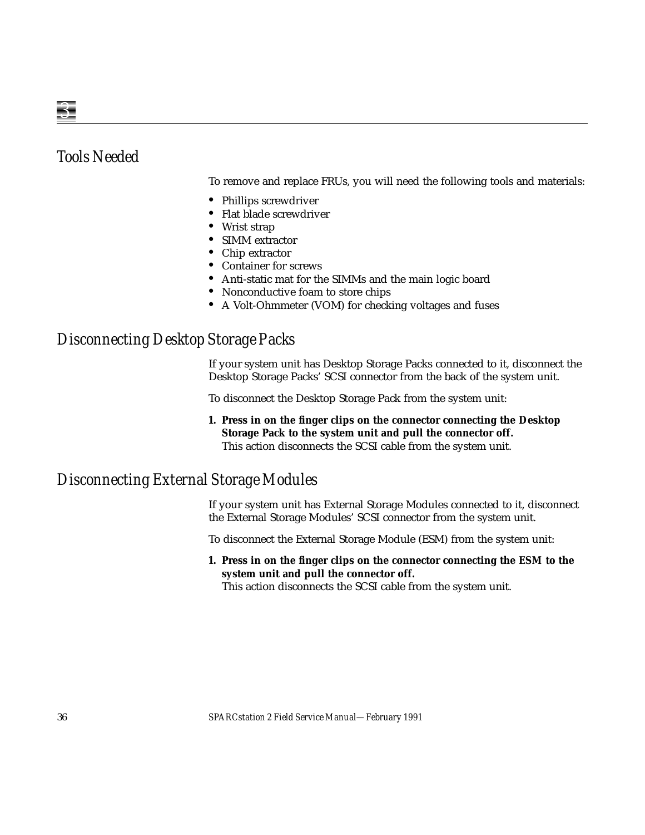## *Tools Needed*

To remove and replace FRUs, you will need the following tools and materials:

- **•** Phillips screwdriver
- **•** Flat blade screwdriver
- **•** Wrist strap
- **•** SIMM extractor
- **•** Chip extractor
- **•** Container for screws
- **•** Anti-static mat for the SIMMs and the main logic board
- **•** Nonconductive foam to store chips
- **•** A Volt-Ohmmeter (VOM) for checking voltages and fuses

### *Disconnecting Desktop Storage Packs*

If your system unit has Desktop Storage Packs connected to it, disconnect the Desktop Storage Packs' SCSI connector from the back of the system unit.

To disconnect the Desktop Storage Pack from the system unit:

**1. Press in on the finger clips on the connector connecting the Desktop Storage Pack to the system unit and pull the connector off.** This action disconnects the SCSI cable from the system unit.

## *Disconnecting External Storage Modules*

If your system unit has External Storage Modules connected to it, disconnect the External Storage Modules' SCSI connector from the system unit.

To disconnect the External Storage Module (ESM) from the system unit:

**1. Press in on the finger clips on the connector connecting the ESM to the system unit and pull the connector off.**

This action disconnects the SCSI cable from the system unit.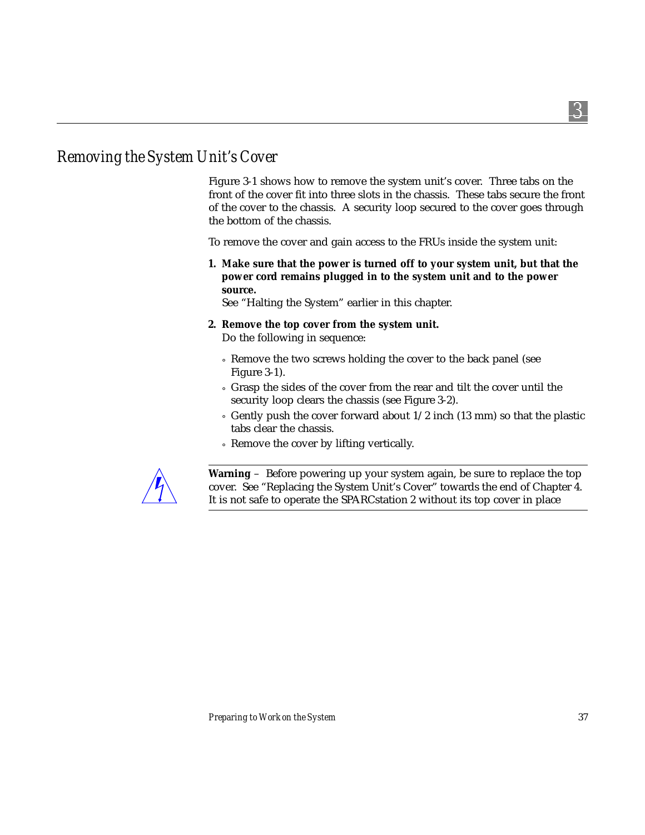# *Removing the System Unit's Cover*

Figure 3-1 shows how to remove the system unit's cover. Three tabs on the front of the cover fit into three slots in the chassis. These tabs secure the front of the cover to the chassis. A security loop secured to the cover goes through the bottom of the chassis.

To remove the cover and gain access to the FRUs inside the system unit:

**1. Make sure that the power is turned off to your system unit, but that the power cord remains plugged in to the system unit and to the power source.**

See "Halting the System" earlier in this chapter.

- **2. Remove the top cover from the system unit.** Do the following in sequence:
	- ° Remove the two screws holding the cover to the back panel (see Figure 3-1).
	- ° Grasp the sides of the cover from the rear and tilt the cover until the security loop clears the chassis (see Figure 3-2).
	- $\circ$  Gently push the cover forward about 1/2 inch (13 mm) so that the plastic tabs clear the chassis.
	- ° Remove the cover by lifting vertically.



**Warning** – Before powering up your system again, be sure to replace the top cover. See "Replacing the System Unit's Cover" towards the end of Chapter 4. It is not safe to operate the SPARCstation 2 without its top cover in place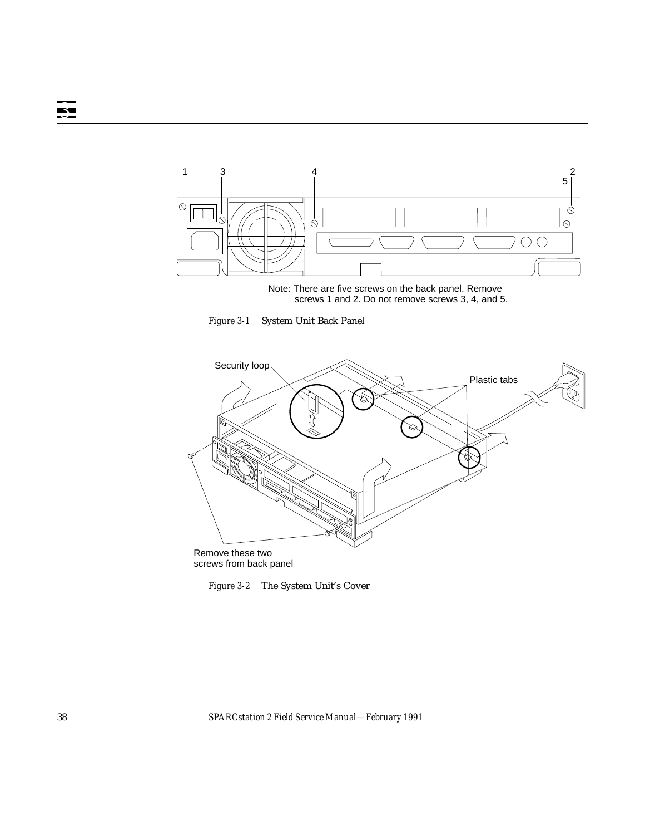

Note: There are five screws on the back panel. Remove screws 1 and 2. Do not remove screws 3, 4, and 5.

*Figure 3-1* System Unit Back Panel



*Figure 3-2* The System Unit's Cover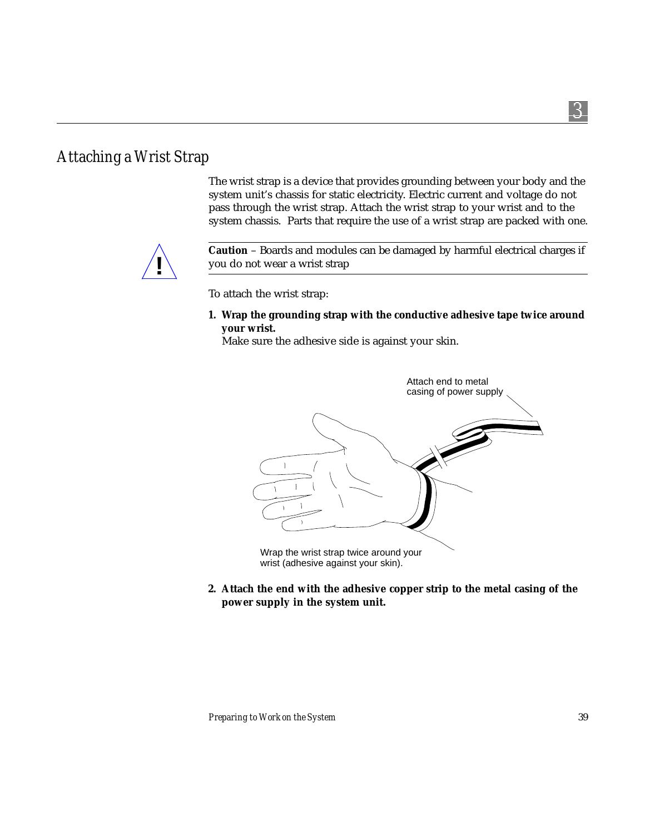# *Attaching a Wrist Strap*

The wrist strap is a device that provides grounding between your body and the system unit's chassis for static electricity. Electric current and voltage do not pass through the wrist strap. Attach the wrist strap to your wrist and to the system chassis. Parts that require the use of a wrist strap are packed with one.



**Caution** – Boards and modules can be damaged by harmful electrical charges if you do not wear a wrist strap

To attach the wrist strap:

**1. Wrap the grounding strap with the conductive adhesive tape twice around your wrist.**

Make sure the adhesive side is against your skin.



wrist (adhesive against your skin).

**2. Attach the end with the adhesive copper strip to the metal casing of the power supply in the system unit.**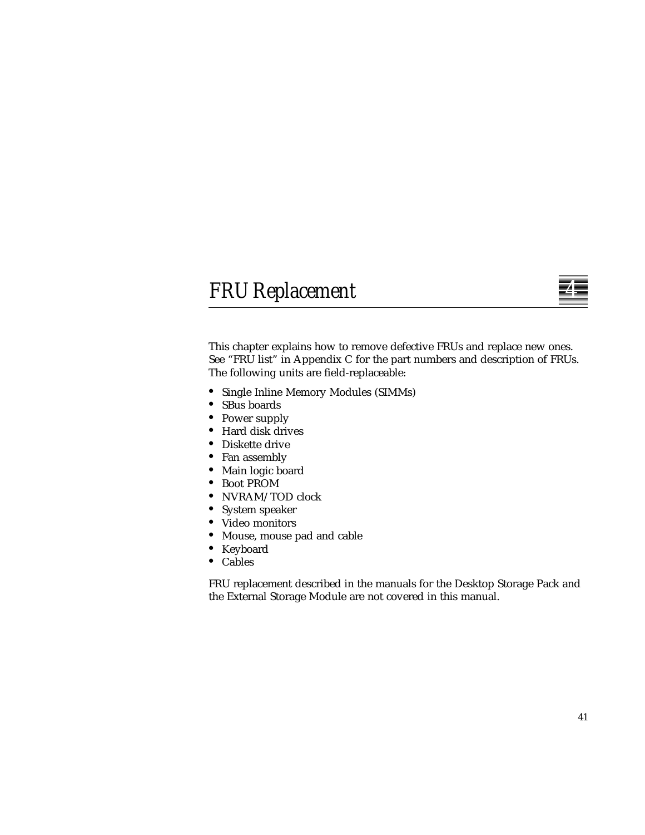# *FRUReplacement 4*



This chapter explains how to remove defective FRUs and replace new ones. See "FRU list" in Appendix C for the part numbers and description of FRUs. The following units are field-replaceable:

- **•** Single Inline Memory Modules (SIMMs)
- **•** SBus boards
- **•** Power supply
- **•** Hard disk drives
- **•** Diskette drive
- **•** Fan assembly
- **•** Main logic board
- **•** Boot PROM
- **•** NVRAM/TOD clock
- **•** System speaker
- **•** Video monitors
- **•** Mouse, mouse pad and cable
- **•** Keyboard
- **•** Cables

FRU replacement described in the manuals for the Desktop Storage Pack and the External Storage Module are not covered in this manual.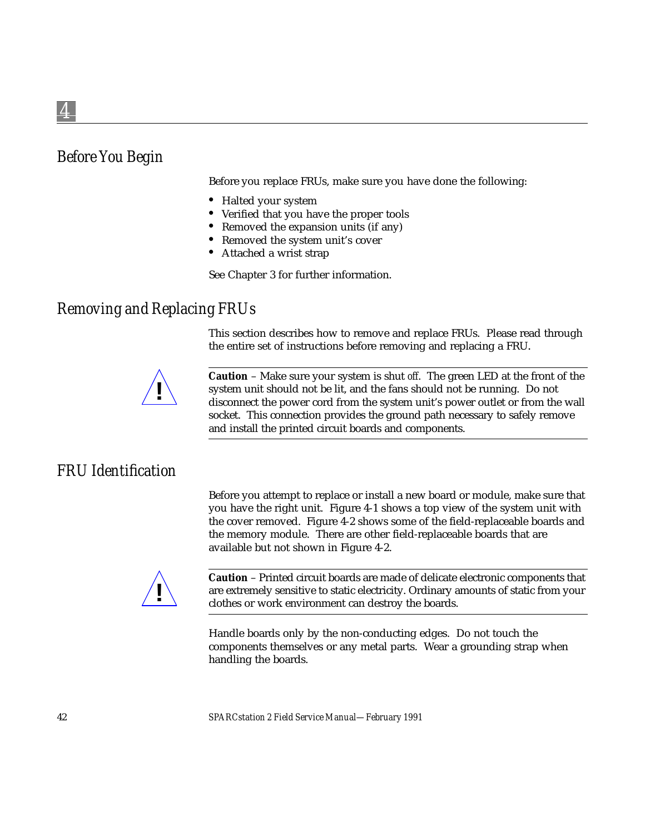# *Before You Begin*

Before you replace FRUs, make sure you have done the following:

- **•** Halted your system
- **•** Verified that you have the proper tools
- **•** Removed the expansion units (if any)
- **•** Removed the system unit's cover
- **•** Attached a wrist strap

See Chapter 3 for further information.

## *Removing and Replacing FRUs*

This section describes how to remove and replace FRUs. Please read through the entire set of instructions before removing and replacing a FRU.



**Caution** – Make sure your system is shut *off*. The green LED at the front of the system unit should not be lit, and the fans should not be running. Do not disconnect the power cord from the system unit's power outlet or from the wall socket. This connection provides the ground path necessary to safely remove and install the printed circuit boards and components.

## *FRU Identification*

Before you attempt to replace or install a new board or module, make sure that you have the right unit. Figure 4-1 shows a top view of the system unit with the cover removed. Figure 4-2 shows some of the field-replaceable boards and the memory module. There are other field-replaceable boards that are available but not shown in Figure 4-2.



**Caution** – Printed circuit boards are made of delicate electronic components that are extremely sensitive to static electricity. Ordinary amounts of static from your clothes or work environment can destroy the boards.

Handle boards only by the non-conducting edges. Do not touch the components themselves or any metal parts. Wear a grounding strap when handling the boards.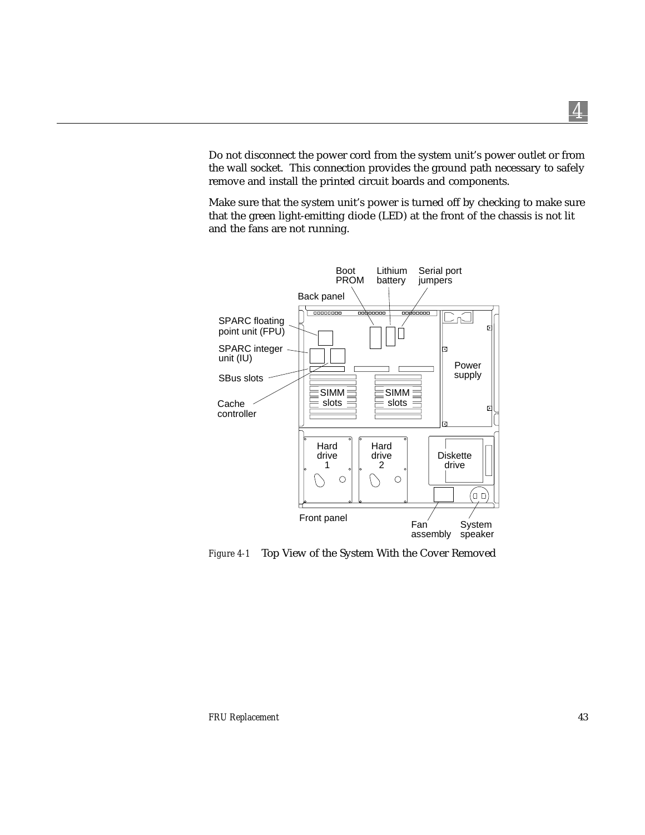Do not disconnect the power cord from the system unit's power outlet or from the wall socket. This connection provides the ground path necessary to safely remove and install the printed circuit boards and components.

Make sure that the system unit's power is turned off by checking to make sure that the green light-emitting diode (LED) at the front of the chassis is not lit and the fans are not running.



*Figure 4-1* Top View of the System With the Cover Removed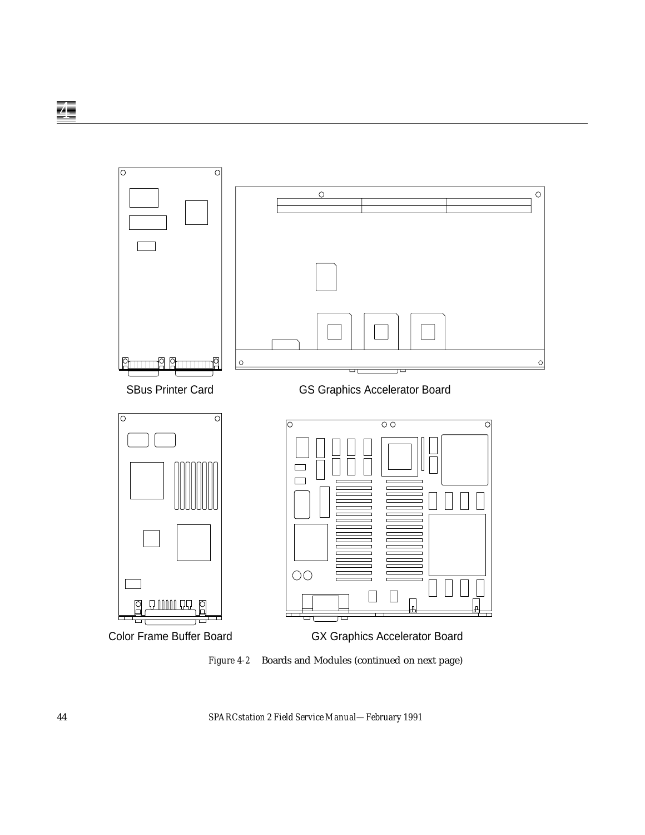

*Figure 4-2* Boards and Modules (continued on next page)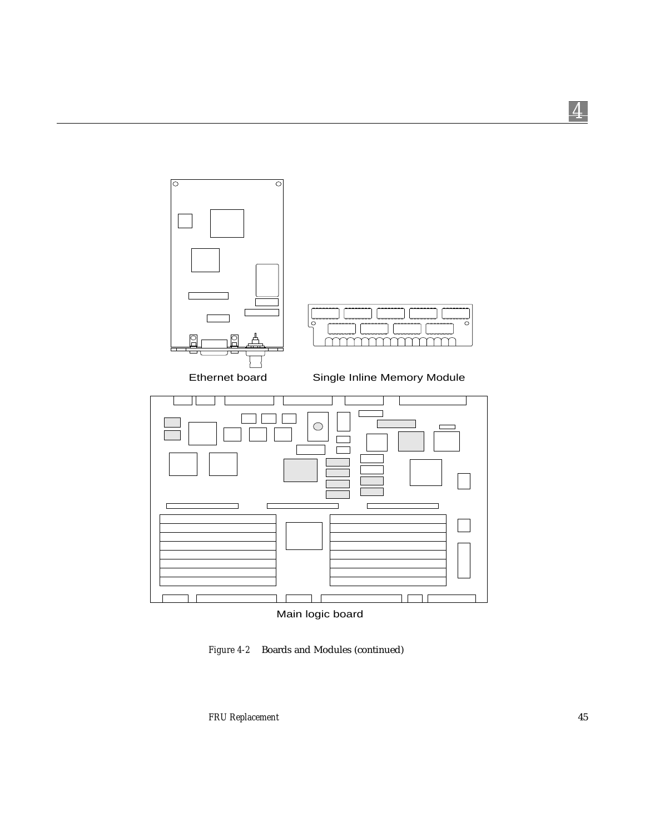$\circ$  $\mathsf{C}$ mm Ethernet board Single Inline Memory Module  $\bigcirc$ 



Main logic board

*Figure 4-2* Boards and Modules (continued)

 $\circ$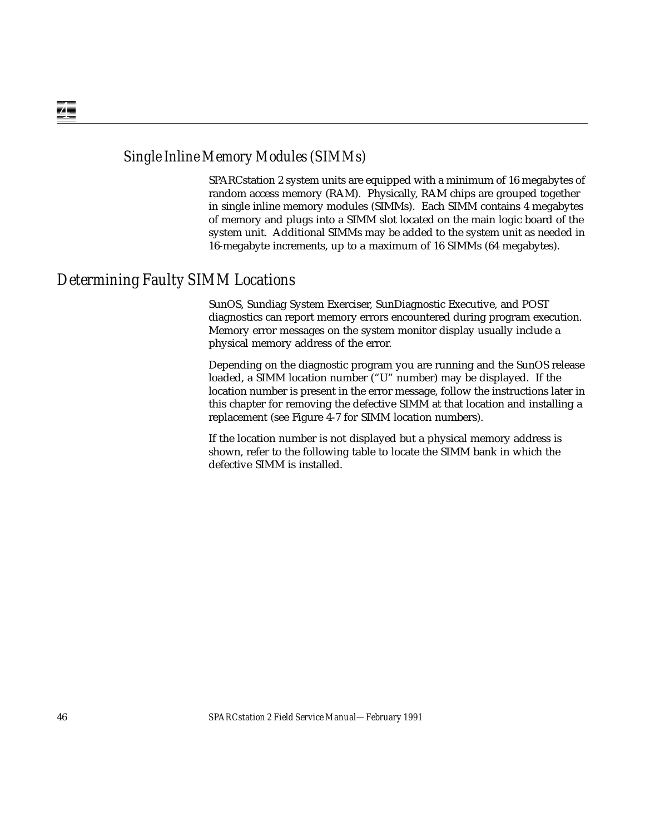### *Single Inline Memory Modules (SIMMs)*

SPARCstation 2 system units are equipped with a minimum of 16 megabytes of random access memory (RAM). Physically, RAM chips are grouped together in single inline memory modules (SIMMs). Each SIMM contains 4 megabytes of memory and plugs into a SIMM slot located on the main logic board of the system unit. Additional SIMMs may be added to the system unit as needed in 16-megabyte increments, up to a maximum of 16 SIMMs (64 megabytes).

### *Determining Faulty SIMM Locations*

SunOS, Sundiag System Exerciser, SunDiagnostic Executive, and POST diagnostics can report memory errors encountered during program execution. Memory error messages on the system monitor display usually include a physical memory address of the error.

Depending on the diagnostic program you are running and the SunOS release loaded, a SIMM location number ("U" number) may be displayed. If the location number is present in the error message, follow the instructions later in this chapter for removing the defective SIMM at that location and installing a replacement (see Figure 4-7 for SIMM location numbers).

If the location number is not displayed but a physical memory address is shown, refer to the following table to locate the SIMM bank in which the defective SIMM is installed.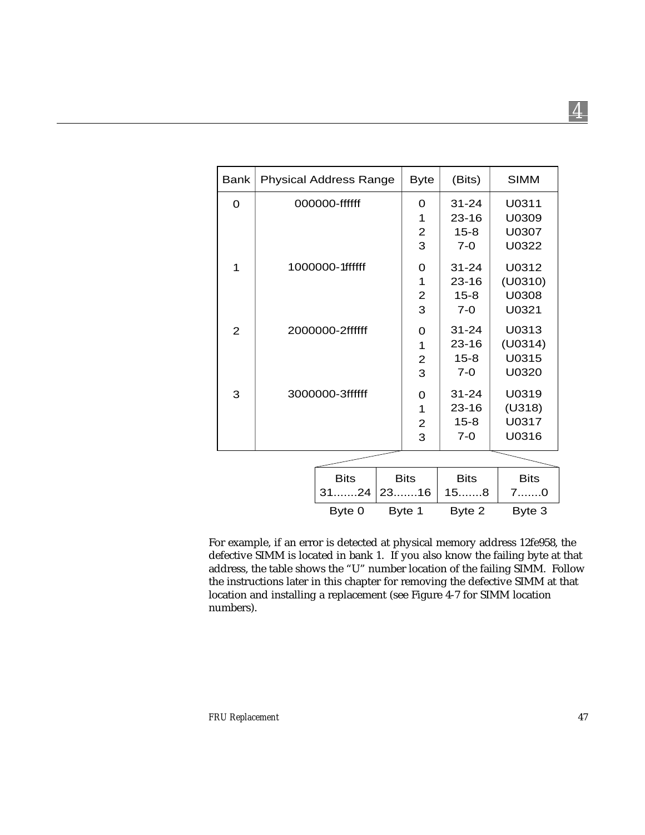| <b>Bank</b>    | <b>Physical Address Range</b> | <b>Byte</b>    | (Bits)      | <b>SIMM</b> |
|----------------|-------------------------------|----------------|-------------|-------------|
| $\Omega$       | 000000-ffffff                 | 0              | $31 - 24$   | U0311       |
|                |                               | 1              | $23 - 16$   | U0309       |
|                |                               | $\overline{2}$ | $15 - 8$    | U0307       |
|                |                               | 3              | $7 - 0$     | U0322       |
| 1              | 1000000-1ffffff               | 0              | $31 - 24$   | U0312       |
|                |                               | 1              | 23-16       | (U0310)     |
|                |                               | 2              | $15 - 8$    | U0308       |
|                |                               | 3              | $7-0$       | U0321       |
| $\overline{2}$ | 2000000-2ffffff               | O              | $31 - 24$   | U0313       |
|                |                               | 1              | $23 - 16$   | (U0314)     |
|                |                               | $\overline{2}$ | $15 - 8$    | U0315       |
|                |                               | 3              | $7 - 0$     | U0320       |
| 3              | 3000000-3ffffff               | 0              | $31 - 24$   | U0319       |
|                |                               | 1              | 23-16       | (U318)      |
|                |                               | 2              | $15 - 8$    | U0317       |
|                |                               | 3              | $7 - 0$     | U0316       |
|                |                               |                |             |             |
|                | <b>Bits</b>                   | <b>Bits</b>    | <b>Bits</b> | <b>Bits</b> |
|                | $31$ 24                       | $23$ 16        | $15$ 8      | 70          |
|                | Byte 0                        | Byte 1         | Byte 2      | Byte 3      |

For example, if an error is detected at physical memory address 12fe958, the defective SIMM is located in bank 1. If you also know the failing byte at that address, the table shows the "U" number location of the failing SIMM. Follow the instructions later in this chapter for removing the defective SIMM at that location and installing a replacement (see Figure 4-7 for SIMM location numbers).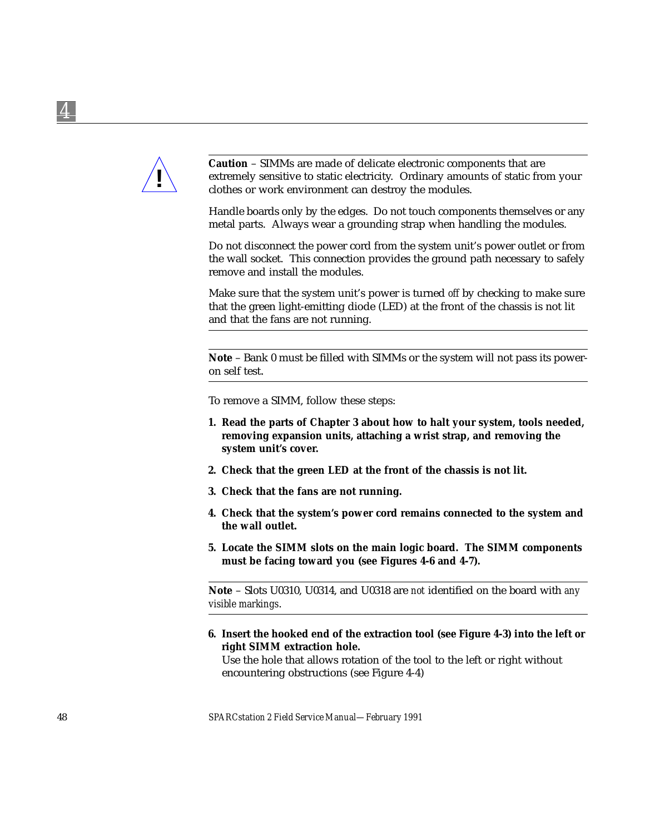

**Caution** – SIMMs are made of delicate electronic components that are extremely sensitive to static electricity. Ordinary amounts of static from your clothes or work environment can destroy the modules.

Handle boards only by the edges. Do not touch components themselves or any metal parts. Always wear a grounding strap when handling the modules.

Do not disconnect the power cord from the system unit's power outlet or from the wall socket. This connection provides the ground path necessary to safely remove and install the modules.

Make sure that the system unit's power is turned *off* by checking to make sure that the green light-emitting diode (LED) at the front of the chassis is not lit and that the fans are not running.

**Note** – Bank 0 must be filled with SIMMs or the system will not pass its poweron self test.

To remove a SIMM, follow these steps:

- **1. Read the parts of Chapter 3 about how to halt your system, tools needed, removing expansion units, attaching a wrist strap, and removing the system unit's cover.**
- **2. Check that the green LED at the front of the chassis is not lit.**
- **3. Check that the fans are not running.**
- **4. Check that the system's power cord remains connected to the system and the wall outlet.**
- **5. Locate the SIMM slots on the main logic board. The SIMM components must be facing toward you (see Figures 4-6 and 4-7).**

**Note** – Slots U0310, U0314, and U0318 are *not* identified on the board with *any visible markings*.

**6. Insert the hooked end of the extraction tool (see Figure 4-3) into the left or right SIMM extraction hole.**

Use the hole that allows rotation of the tool to the left or right without encountering obstructions (see Figure 4-4)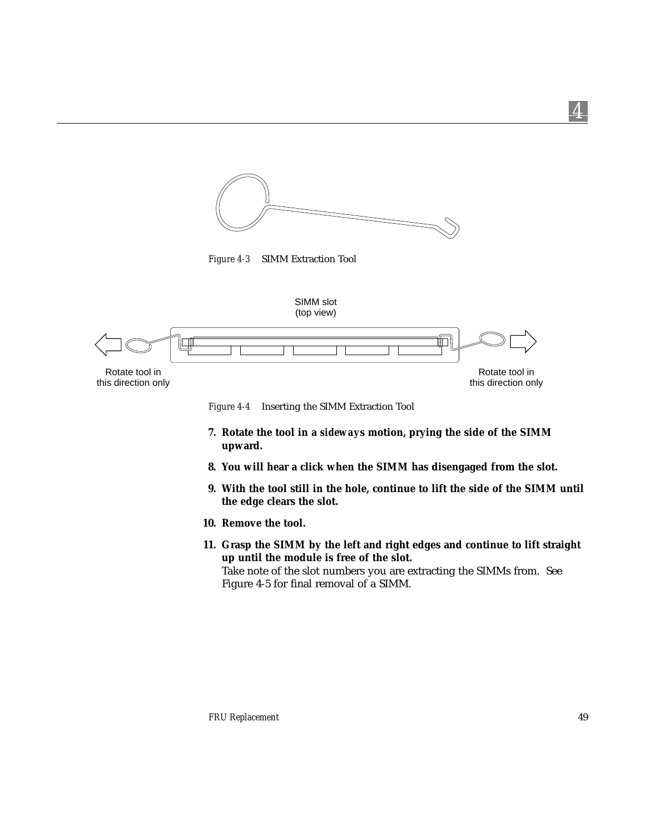

*Figure 4-3* SIMM Extraction Tool



*Figure 4-4* Inserting the SIMM Extraction Tool

- **7. Rotate the tool in a** *sideway***s motion, prying the side of the SIMM upward.**
- **8. You will hear a click when the SIMM has disengaged from the slot.**
- **9. With the tool still in the hole, continue to lift the side of the SIMM until the edge clears the slot.**
- **10. Remove the tool.**
- **11. Grasp the SIMM by the left and right edges and continue to lift straight up until the module is free of the slot.** Take note of the slot numbers you are extracting the SIMMs from. See Figure 4-5 for final removal of a SIMM.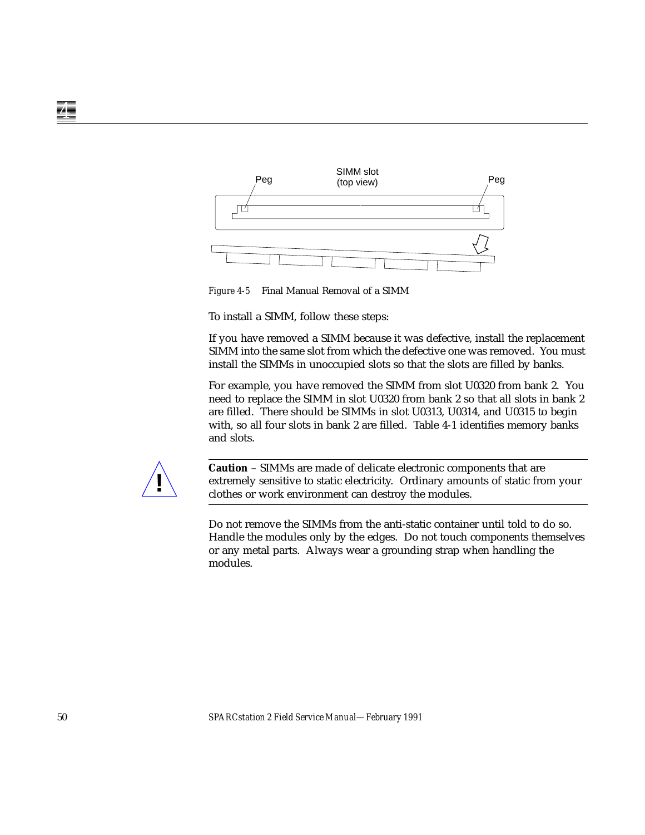

*Figure 4-5* Final Manual Removal of a SIMM

To install a SIMM, follow these steps:

If you have removed a SIMM because it was defective, install the replacement SIMM into the same slot from which the defective one was removed. You must install the SIMMs in unoccupied slots so that the slots are filled by banks.

For example, you have removed the SIMM from slot U0320 from bank 2. You need to replace the SIMM in slot U0320 from bank 2 so that all slots in bank 2 are filled. There should be SIMMs in slot U0313, U0314, and U0315 to begin with, so all four slots in bank 2 are filled. Table 4-1 identifies memory banks and slots.



**Caution** – SIMMs are made of delicate electronic components that are extremely sensitive to static electricity. Ordinary amounts of static from your clothes or work environment can destroy the modules.

Do not remove the SIMMs from the anti-static container until told to do so. Handle the modules only by the edges. Do not touch components themselves or any metal parts. Always wear a grounding strap when handling the modules.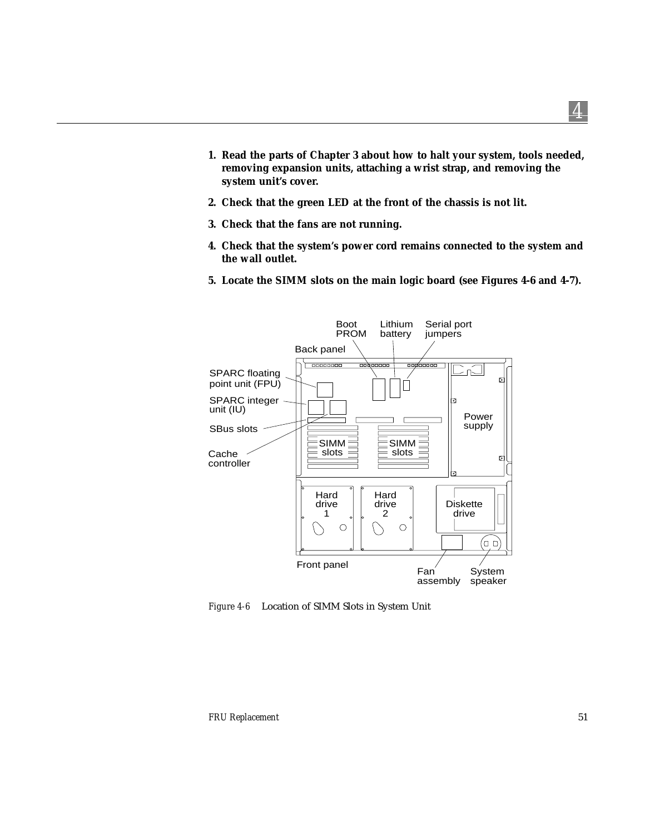- **2. Check that the green LED at the front of the chassis is not lit.**
- **3. Check that the fans are not running.**
- **4. Check that the system's power cord remains connected to the system and the wall outlet.**
- **5. Locate the SIMM slots on the main logic board (see Figures 4-6 and 4-7).**



*Figure 4-6* Location of SIMM Slots in System Unit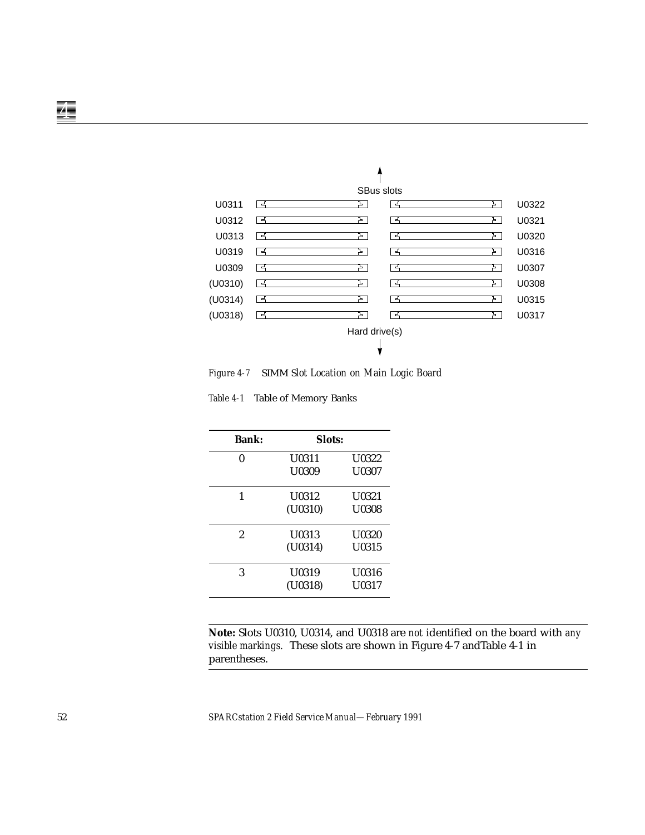

*Figure 4-7* SIMM S*lot Location on Main Logic Board*

*Table 4-1* Table of Memory Banks

| <b>Bank:</b> | Slots:  |              |
|--------------|---------|--------------|
| 0            | U0311   | <b>U0322</b> |
|              | U0309   | U0307        |
| 1            | U0312   | <b>U0321</b> |
|              | (U0310) | <b>U0308</b> |
| 2            | U0313   | <b>U0320</b> |
|              | (U0314) | U0315        |
| 3            | U0319   | U0316        |
|              | (U0318) | U0317        |

**Note:** Slots U0310, U0314, and U0318 are *not* identified on the board with *any visible markings.* These slots are shown in Figure 4-7 andTable 4-1 in parentheses.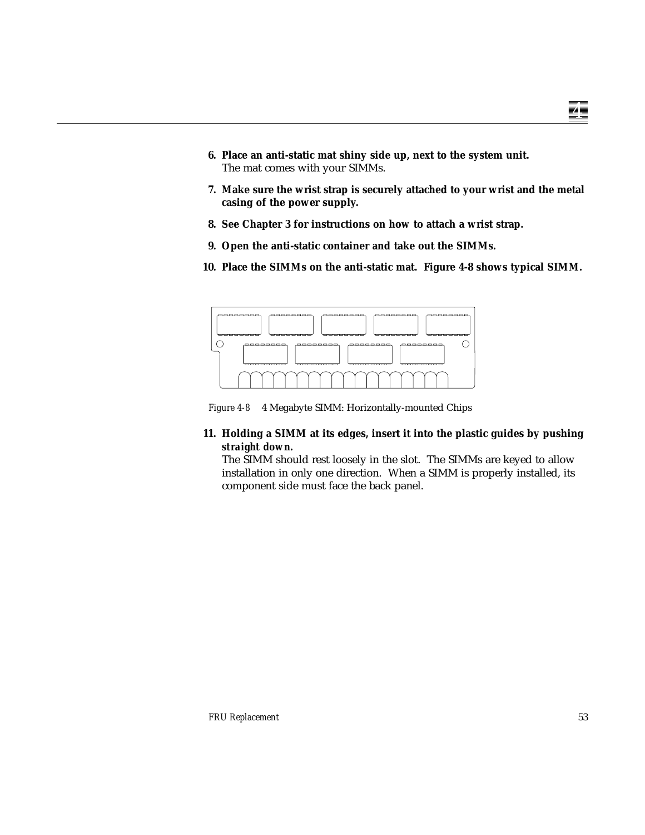- **6. Place an anti-static mat shiny side up, next to the system unit.** The mat comes with your SIMMs.
- **7. Make sure the wrist strap is securely attached to your wrist and the metal casing of the power supply.**
- **8. See Chapter 3 for instructions on how to attach a wrist strap.**
- **9. Open the anti-static container and take out the SIMMs.**
- **10. Place the SIMMs on the anti-static mat. Figure 4-8 shows typical SIMM.**



*Figure 4-8* 4 Megabyte SIMM: Horizontally-mounted Chips

**11. Holding a SIMM at its edges, insert it into the plastic guides by pushing** *straight down***.**

The SIMM should rest loosely in the slot. The SIMMs are keyed to allow installation in only one direction. When a SIMM is properly installed, its component side must face the back panel.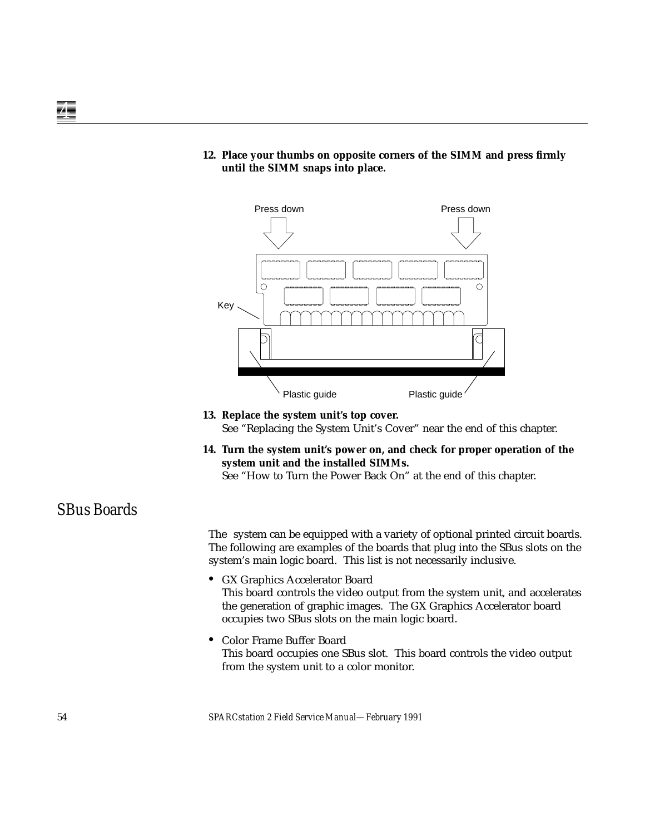**12. Place your thumbs on opposite corners of the SIMM and press firmly until the SIMM snaps into place.**



- **13. Replace the system unit's top cover.** See "Replacing the System Unit's Cover" near the end of this chapter.
- **14. Turn the system unit's power on, and check for proper operation of the system unit and the installed SIMMs.**

See "How to Turn the Power Back On" at the end of this chapter.

### *SBus Boards*

The system can be equipped with a variety of optional printed circuit boards. The following are examples of the boards that plug into the SBus slots on the system's main logic board. This list is not necessarily inclusive.

- **•** GX Graphics Accelerator Board This board controls the video output from the system unit, and accelerates the generation of graphic images. The GX Graphics Accelerator board occupies two SBus slots on the main logic board.
- **•** Color Frame Buffer Board This board occupies one SBus slot. This board controls the video output from the system unit to a color monitor.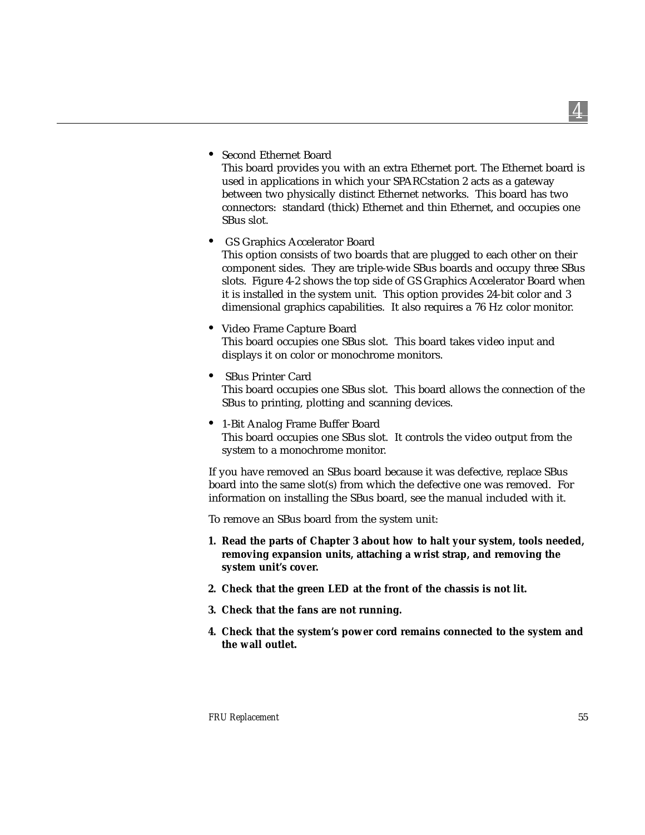**•** Second Ethernet Board

This board provides you with an extra Ethernet port. The Ethernet board is used in applications in which your SPARCstation 2 acts as a gateway between two physically distinct Ethernet networks. This board has two connectors: standard (thick) Ethernet and thin Ethernet, and occupies one SBus slot.

- **•** GS Graphics Accelerator Board This option consists of two boards that are plugged to each other on their component sides. They are triple-wide SBus boards and occupy three SBus slots. Figure 4-2 shows the top side of GS Graphics Accelerator Board when it is installed in the system unit. This option provides 24-bit color and 3 dimensional graphics capabilities. It also requires a 76 Hz color monitor.
- **•** Video Frame Capture Board This board occupies one SBus slot. This board takes video input and displays it on color or monochrome monitors.
- **•** SBus Printer Card This board occupies one SBus slot. This board allows the connection of the SBus to printing, plotting and scanning devices.
- **•** 1-Bit Analog Frame Buffer Board This board occupies one SBus slot. It controls the video output from the system to a monochrome monitor.

If you have removed an SBus board because it was defective, replace SBus board into the same slot(s) from which the defective one was removed. For information on installing the SBus board, see the manual included with it.

To remove an SBus board from the system unit:

- **1. Read the parts of Chapter 3 about how to halt your system, tools needed, removing expansion units, attaching a wrist strap, and removing the system unit's cover.**
- **2. Check that the green LED at the front of the chassis is not lit.**
- **3. Check that the fans are not running.**
- **4. Check that the system's power cord remains connected to the system and the wall outlet.**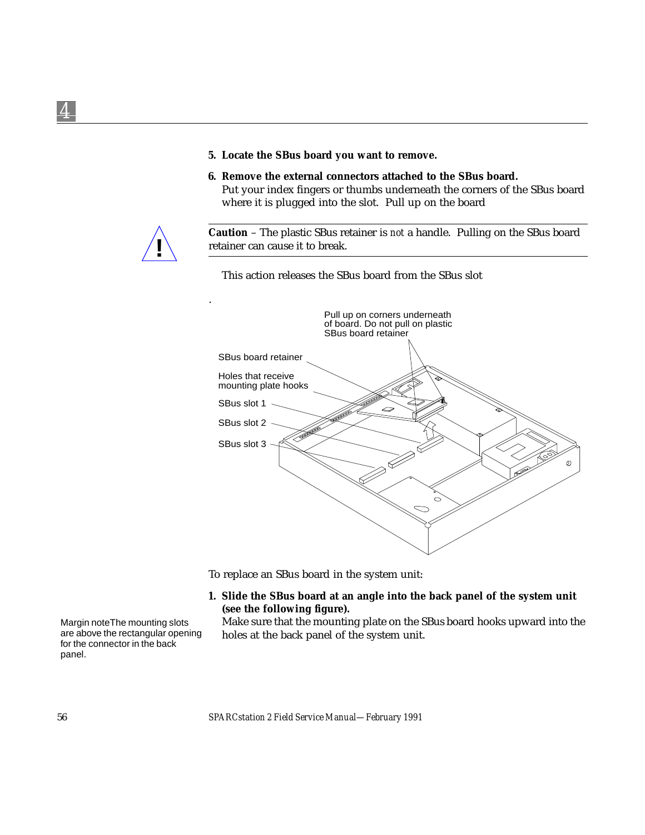- **5. Locate the SBus board you want to remove.**
- **6. Remove the external connectors attached to the SBus board.**

Put your index fingers or thumbs underneath the corners of the SBus board where it is plugged into the slot. Pull up on the board



**Caution** – The plastic SBus retainer is *not* a handle. Pulling on the SBus board retainer can cause it to break.

This action releases the SBus board from the SBus slot



To replace an SBus board in the system unit:

**1. Slide the SBus board at an angle into the back panel of the system unit (see the following figure).**

Margin noteThe mounting slots are above the rectangular opening for the connector in the back panel.

Make sure that the mounting plate on the SBus board hooks upward into the holes at the back panel of the system unit.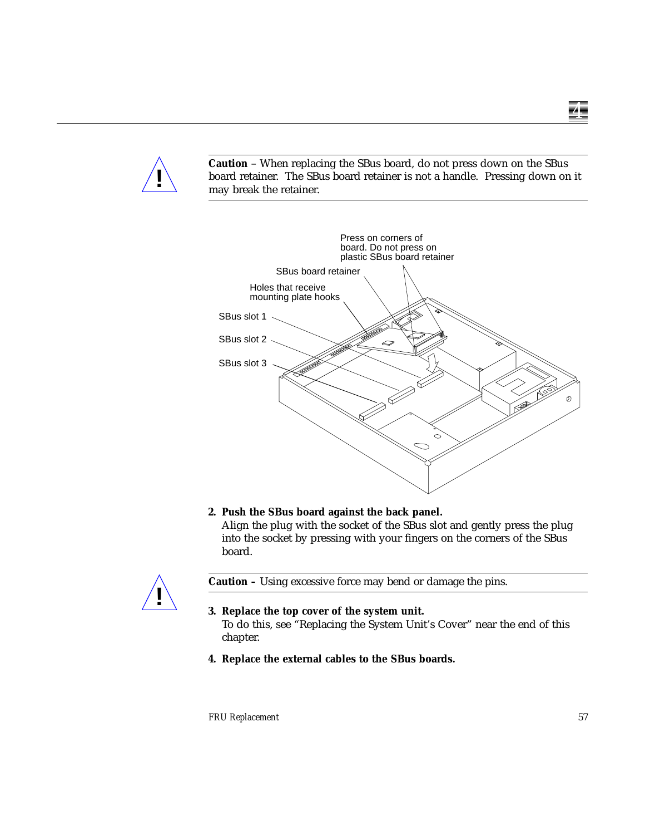

**Caution** – When replacing the SBus board, do not press down on the SBus board retainer. The SBus board retainer is not a handle. Pressing down on it may break the retainer.



#### **2. Push the SBus board against the back panel.**

Align the plug with the socket of the SBus slot and gently press the plug into the socket by pressing with your fingers on the corners of the SBus board.



**Caution –** Using excessive force may bend or damage the pins.

#### **3. Replace the top cover of the system unit.**

To do this, see "Replacing the System Unit's Cover" near the end of this chapter.

**4. Replace the external cables to the SBus boards.**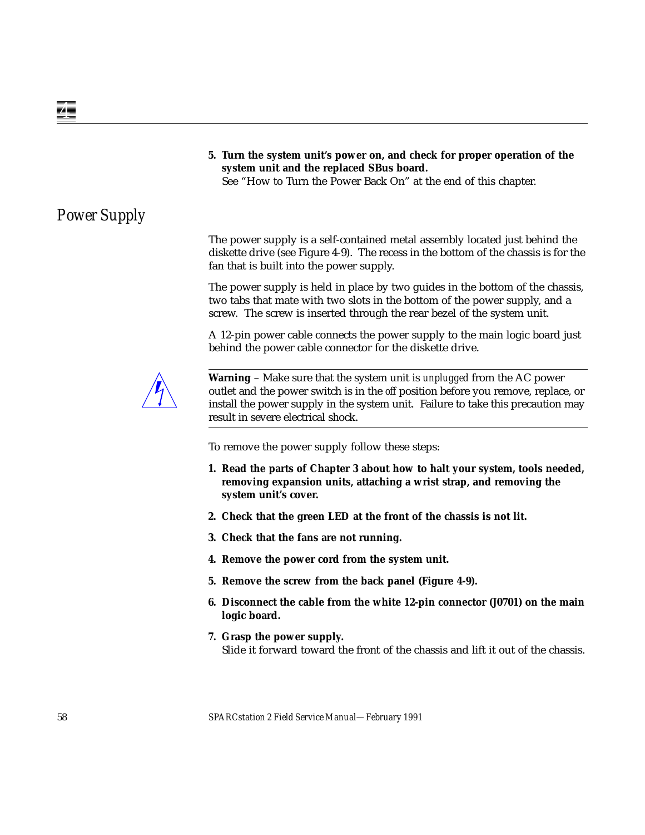**5. Turn the system unit's power on, and check for proper operation of the system unit and the replaced SBus board.**

See "How to Turn the Power Back On" at the end of this chapter.

# *Power Supply*

The power supply is a self-contained metal assembly located just behind the diskette drive (see Figure 4-9). The recess in the bottom of the chassis is for the fan that is built into the power supply.

The power supply is held in place by two guides in the bottom of the chassis, two tabs that mate with two slots in the bottom of the power supply, and a screw. The screw is inserted through the rear bezel of the system unit.

A 12-pin power cable connects the power supply to the main logic board just behind the power cable connector for the diskette drive.



**Warning** – Make sure that the system unit is *unplugged* from the AC power outlet and the power switch is in the *off* position before you remove, replace, or install the power supply in the system unit. Failure to take this precaution may result in severe electrical shock.

To remove the power supply follow these steps:

- **1. Read the parts of Chapter 3 about how to halt your system, tools needed, removing expansion units, attaching a wrist strap, and removing the system unit's cover.**
- **2. Check that the green LED at the front of the chassis is not lit.**
- **3. Check that the fans are not running.**
- **4. Remove the power cord from the system unit.**
- **5. Remove the screw from the back panel (Figure 4-9).**
- **6. Disconnect the cable from the white 12-pin connector (J0701) on the main logic board.**
- **7. Grasp the power supply.** Slide it forward toward the front of the chassis and lift it out of the chassis.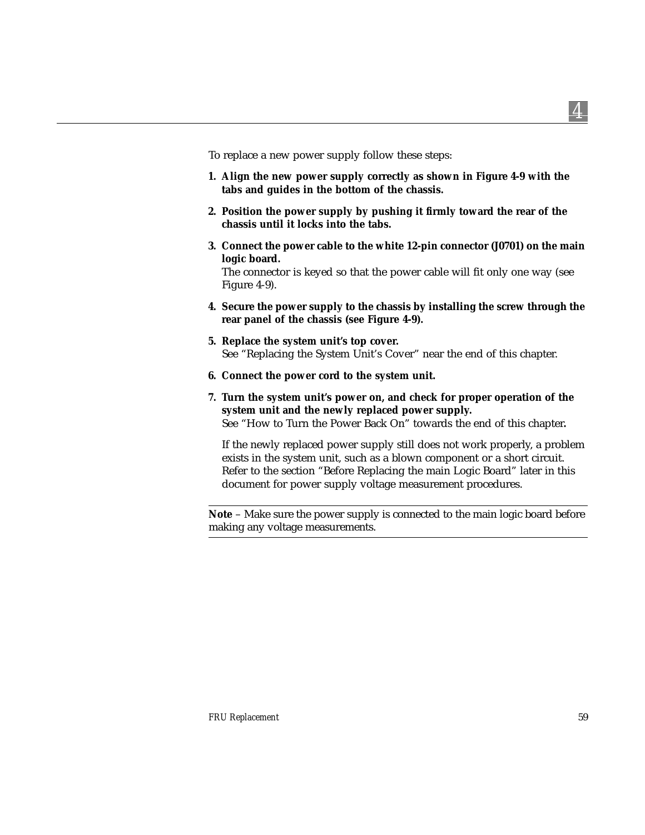To replace a new power supply follow these steps:

- **1. Align the new power supply correctly as shown in Figure 4-9 with the tabs and guides in the bottom of the chassis.**
- **2. Position the power supply by pushing it firmly toward the rear of the chassis until it locks into the tabs.**
- **3. Connect the power cable to the white 12-pin connector (J0701) on the main logic board.**

The connector is keyed so that the power cable will fit only one way (see Figure 4-9).

- **4. Secure the power supply to the chassis by installing the screw through the rear panel of the chassis (see Figure 4-9).**
- **5. Replace the system unit's top cover.** See "Replacing the System Unit's Cover" near the end of this chapter.
- **6. Connect the power cord to the system unit.**
- **7. Turn the system unit's power on, and check for proper operation of the system unit and the newly replaced power supply.** See "How to Turn the Power Back On" towards the end of this chapter**.**

If the newly replaced power supply still does not work properly, a problem exists in the system unit, such as a blown component or a short circuit. Refer to the section "Before Replacing the main Logic Board" later in this document for power supply voltage measurement procedures.

**Note** – Make sure the power supply is connected to the main logic board before making any voltage measurements.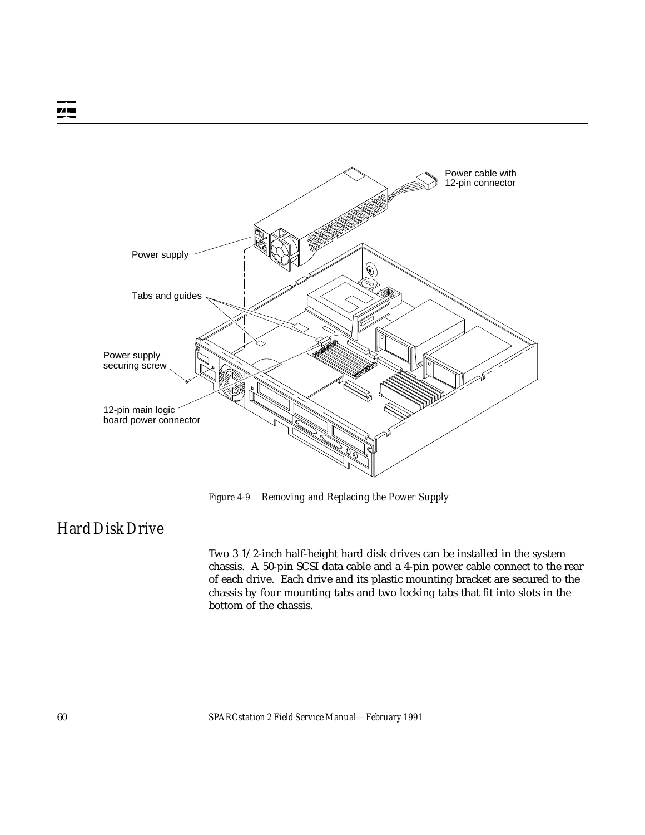

*Figure 4-9 Removing and Replacing the Power Supply*

# *Hard Disk Drive*

Two 3 1/2-inch half-height hard disk drives can be installed in the system chassis. A 50-pin SCSI data cable and a 4-pin power cable connect to the rear of each drive. Each drive and its plastic mounting bracket are secured to the chassis by four mounting tabs and two locking tabs that fit into slots in the bottom of the chassis.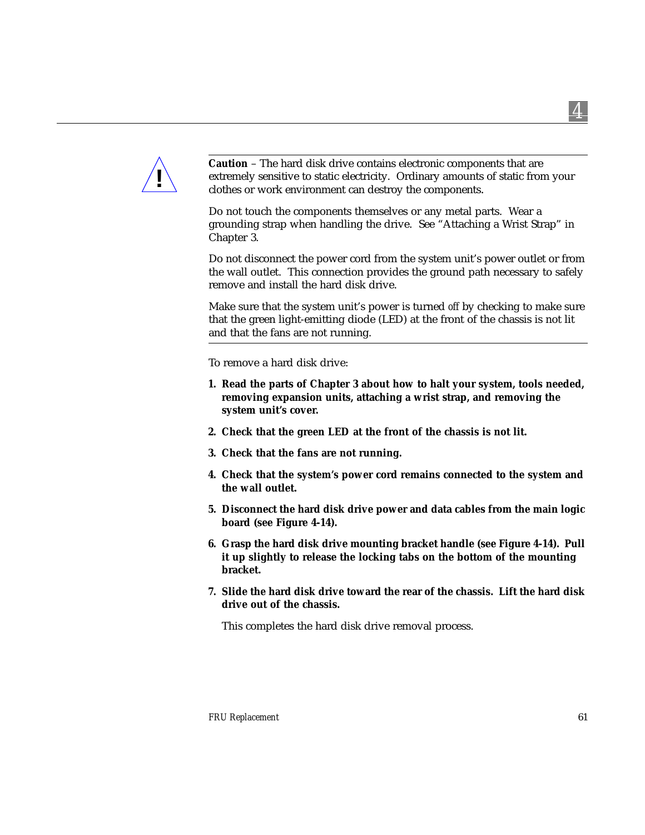

**Caution** – The hard disk drive contains electronic components that are extremely sensitive to static electricity. Ordinary amounts of static from your clothes or work environment can destroy the components.

Do not touch the components themselves or any metal parts. Wear a grounding strap when handling the drive. See "Attaching a Wrist Strap" in Chapter 3.

Do not disconnect the power cord from the system unit's power outlet or from the wall outlet. This connection provides the ground path necessary to safely remove and install the hard disk drive.

Make sure that the system unit's power is turned *off* by checking to make sure that the green light-emitting diode (LED) at the front of the chassis is not lit and that the fans are not running.

To remove a hard disk drive:

- **1. Read the parts of Chapter 3 about how to halt your system, tools needed, removing expansion units, attaching a wrist strap, and removing the system unit's cover.**
- **2. Check that the green LED at the front of the chassis is not lit.**
- **3. Check that the fans are not running.**
- **4. Check that the system's power cord remains connected to the system and the wall outlet.**
- **5. Disconnect the hard disk drive power and data cables from the main logic board (see Figure 4-14).**
- **6. Grasp the hard disk drive mounting bracket handle (see Figure 4-14). Pull it up slightly to release the locking tabs on the bottom of the mounting bracket.**
- **7. Slide the hard disk drive toward the rear of the chassis. Lift the hard disk drive out of the chassis.**

This completes the hard disk drive removal process.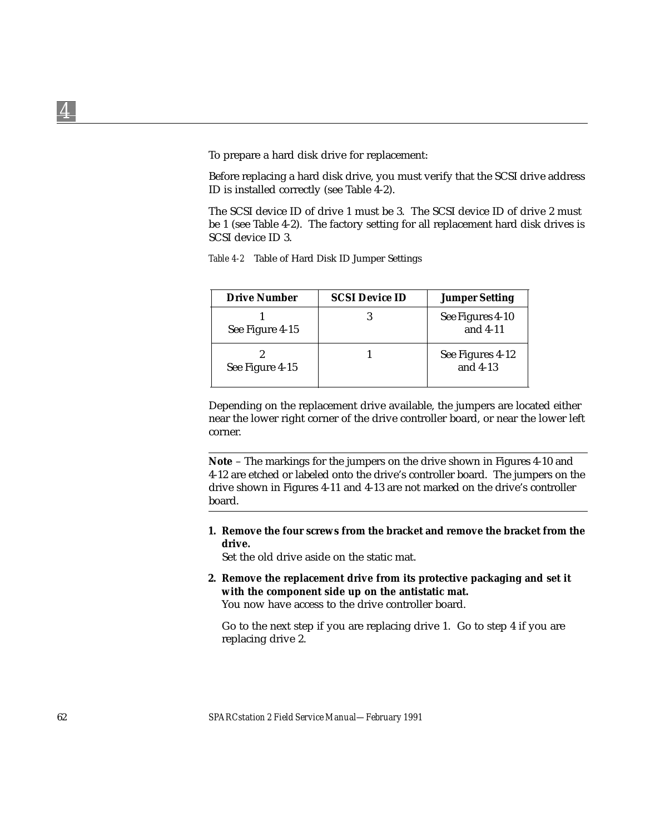*4*

To prepare a hard disk drive for replacement:

Before replacing a hard disk drive, you must verify that the SCSI drive address ID is installed correctly (see Table 4-2).

The SCSI device ID of drive 1 must be 3. The SCSI device ID of drive 2 must be 1 (see Table 4-2). The factory setting for all replacement hard disk drives is SCSI device ID 3.

|  | Table 4-2 Table of Hard Disk ID Jumper Settings |  |  |  |
|--|-------------------------------------------------|--|--|--|
|--|-------------------------------------------------|--|--|--|

| <b>Drive Number</b> | <b>SCSI Device ID</b> | <b>Jumper Setting</b>          |
|---------------------|-----------------------|--------------------------------|
| See Figure 4-15     |                       | See Figures 4-10<br>and $4-11$ |
| See Figure 4-15     |                       | See Figures 4-12<br>and $4-13$ |

Depending on the replacement drive available, the jumpers are located either near the lower right corner of the drive controller board, or near the lower left corner.

**Note** – The markings for the jumpers on the drive shown in Figures 4-10 and 4-12 are etched or labeled onto the drive's controller board. The jumpers on the drive shown in Figures 4-11 and 4-13 are not marked on the drive's controller board.

**1. Remove the four screws from the bracket and remove the bracket from the drive.**

Set the old drive aside on the static mat.

**2. Remove the replacement drive from its protective packaging and set it with the component side up on the antistatic mat.** You now have access to the drive controller board.

Go to the next step if you are replacing drive 1. Go to step 4 if you are replacing drive 2.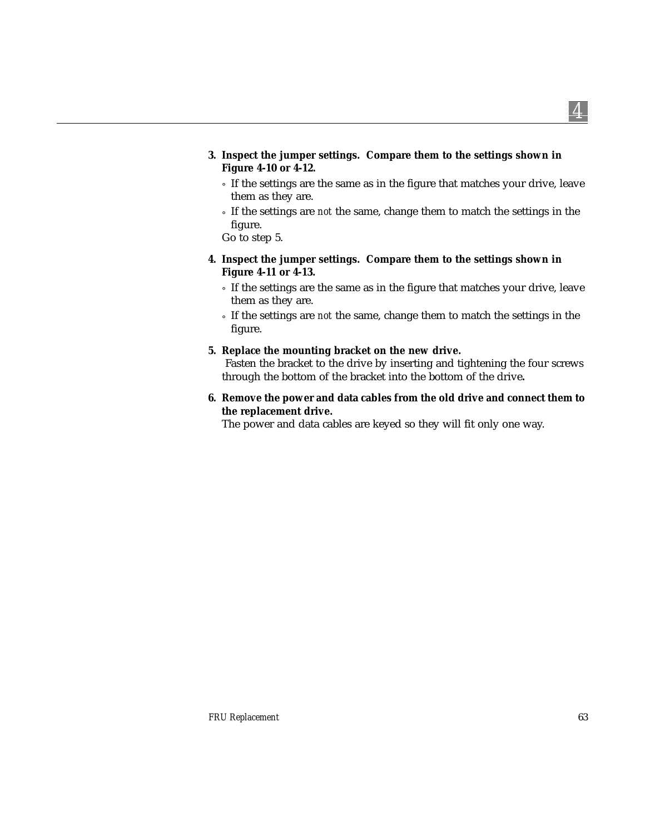- **3. Inspect the jumper settings. Compare them to the settings shown in Figure 4-10 or 4-12.**
	- ° If the settings are the same as in the figure that matches your drive, leave them as they are.
	- ° If the settings are *not* the same, change them to match the settings in the figure.

Go to step 5.

- **4. Inspect the jumper settings. Compare them to the settings shown in Figure 4-11 or 4-13.**
	- ° If the settings are the same as in the figure that matches your drive, leave them as they are.
	- ° If the settings are *not* the same, change them to match the settings in the figure.
- **5. Replace the mounting bracket on the new drive.**

Fasten the bracket to the drive by inserting and tightening the four screws through the bottom of the bracket into the bottom of the drive**.**

**6. Remove the power and data cables from the old drive and connect them to the replacement drive.**

The power and data cables are keyed so they will fit only one way.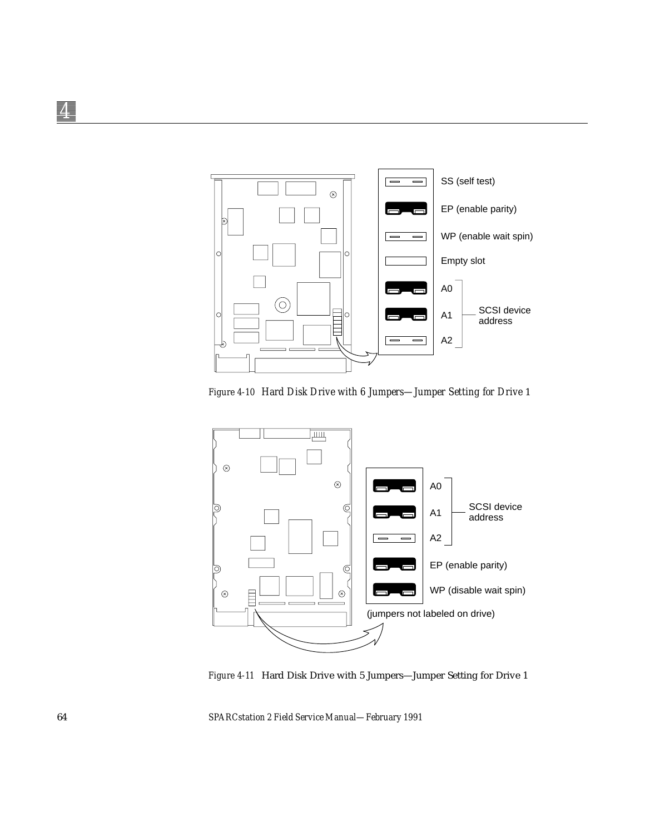

*Figure 4-10 Hard Disk Drive with 6 Jumpers—Jumper Setting for Drive* 1



*Figure 4-11* Hard Disk Drive with 5 Jumpers—Jumper Setting for Drive 1

64 *SPARCstation 2 Field Service Manual—February 1991*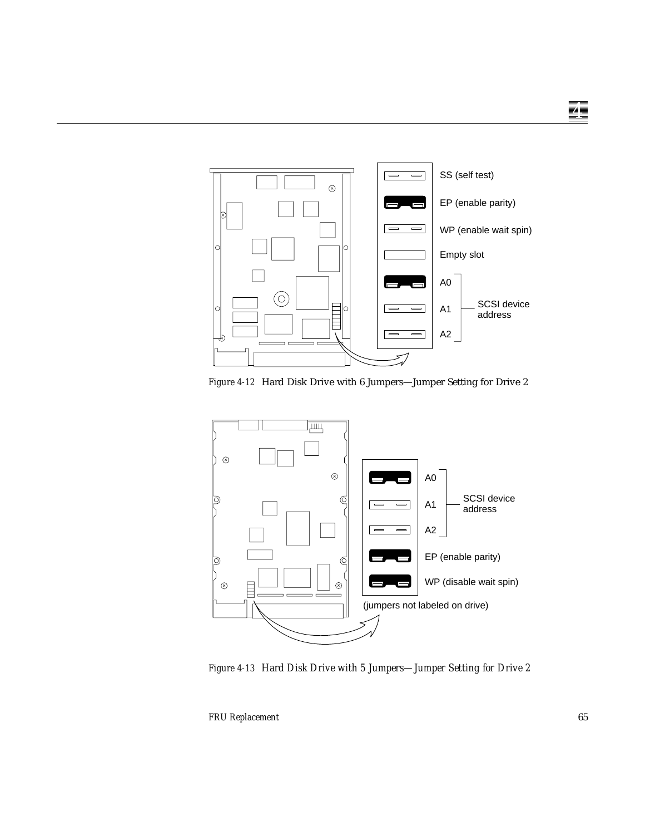

*Figure 4-12* Hard Disk Drive with 6 Jumpers—Jumper Setting for Drive 2



*Figure 4-13 Hard Disk Drive with 5 Jumpers—Jumper Setting for Drive 2*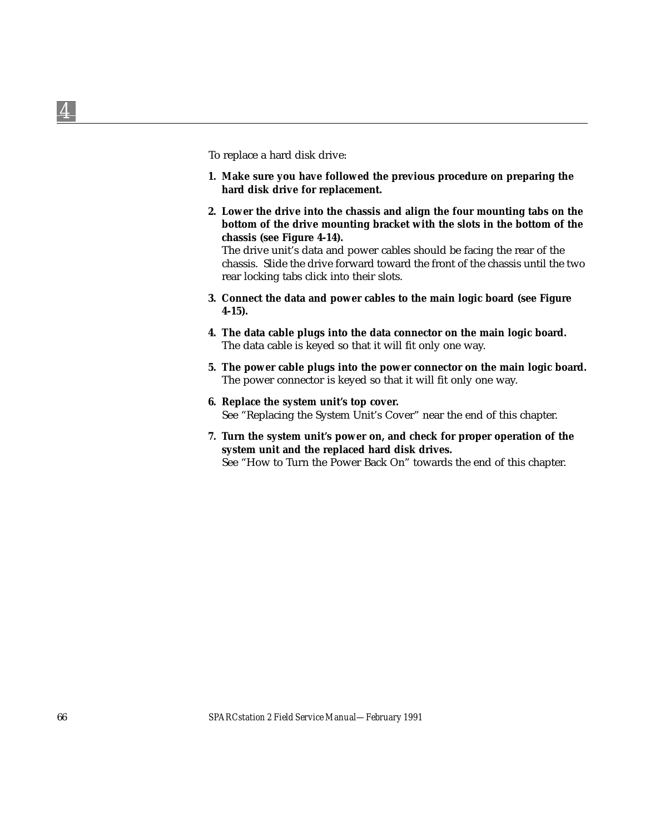To replace a hard disk drive:

- **1. Make sure you have followed the previous procedure on preparing the hard disk drive for replacement.**
- **2. Lower the drive into the chassis and align the four mounting tabs on the bottom of the drive mounting bracket with the slots in the bottom of the chassis (see Figure 4-14).**

The drive unit's data and power cables should be facing the rear of the chassis. Slide the drive forward toward the front of the chassis until the two rear locking tabs click into their slots.

- **3. Connect the data and power cables to the main logic board (see Figure 4-15).**
- **4. The data cable plugs into the data connector on the main logic board.** The data cable is keyed so that it will fit only one way.
- **5. The power cable plugs into the power connector on the main logic board.** The power connector is keyed so that it will fit only one way.
- **6. Replace the system unit's top cover.** See "Replacing the System Unit's Cover" near the end of this chapter.
- **7. Turn the system unit's power on, and check for proper operation of the system unit and the replaced hard disk drives.** See "How to Turn the Power Back On" towards the end of this chapter.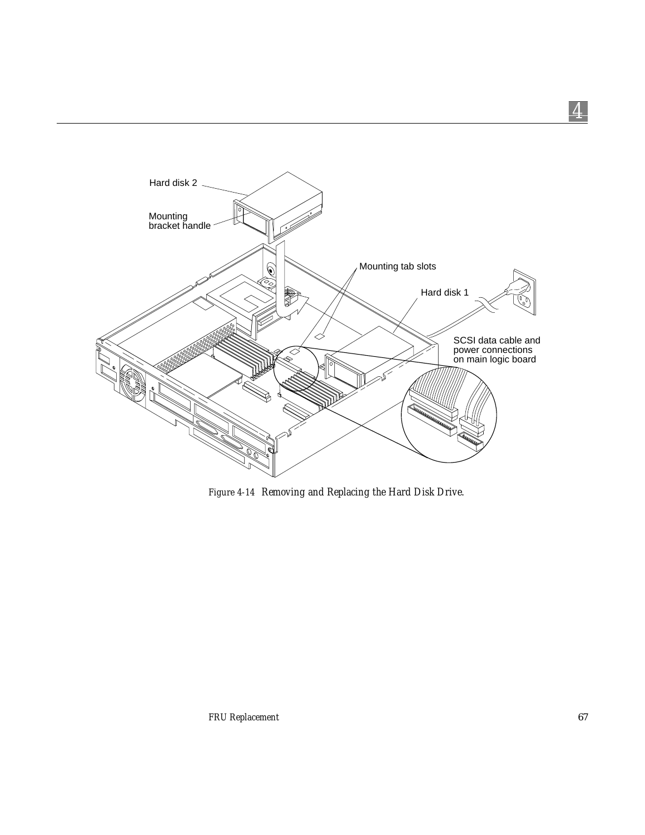

*Figure 4-14 Removing and Replacing the Hard Disk Drive.*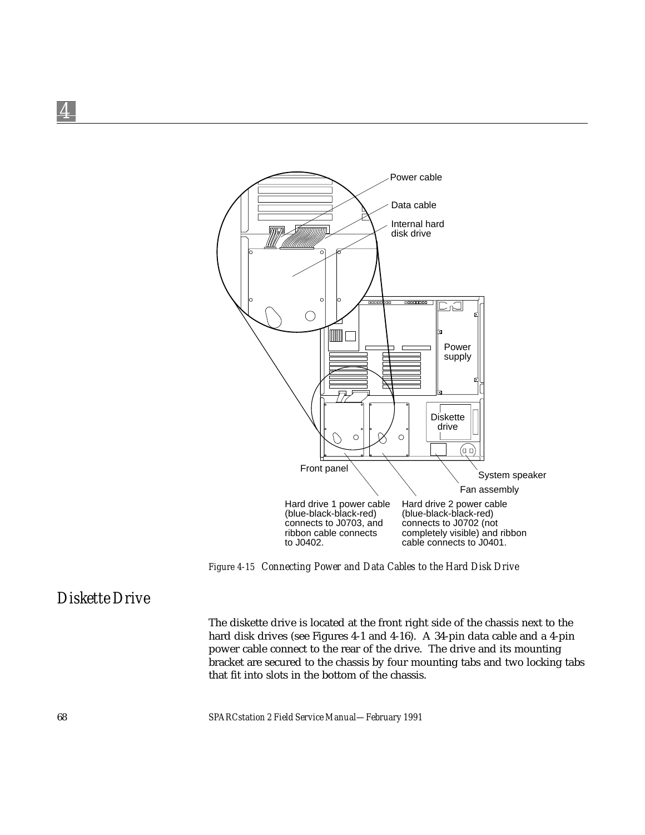

*Figure 4-15 Connecting Power and Data Cables to the Hard Disk Drive*

## *Diskette Drive*

The diskette drive is located at the front right side of the chassis next to the hard disk drives (see Figures 4-1 and 4-16). A 34-pin data cable and a 4-pin power cable connect to the rear of the drive. The drive and its mounting bracket are secured to the chassis by four mounting tabs and two locking tabs that fit into slots in the bottom of the chassis.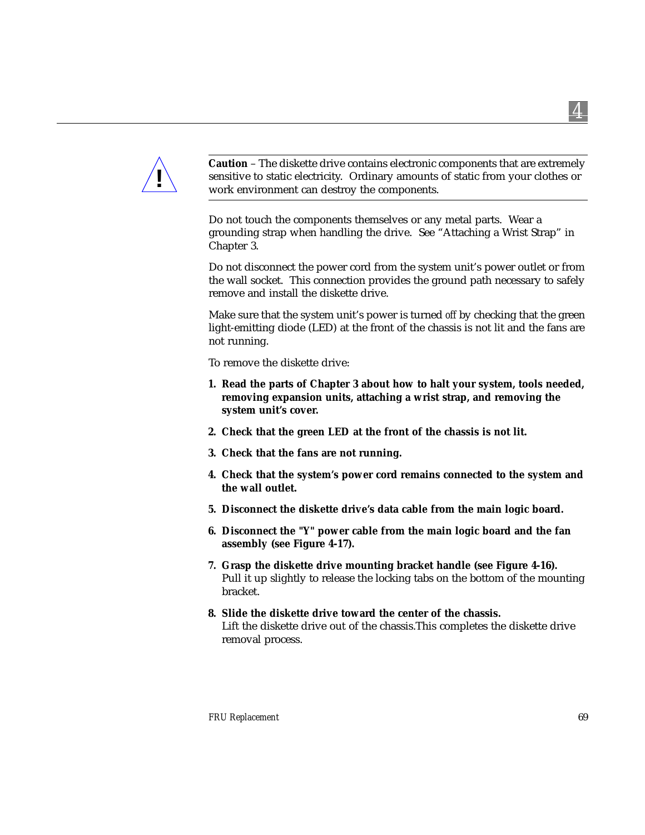

**Caution** – The diskette drive contains electronic components that are extremely sensitive to static electricity. Ordinary amounts of static from your clothes or work environment can destroy the components.

Do not touch the components themselves or any metal parts. Wear a grounding strap when handling the drive. See "Attaching a Wrist Strap" in Chapter 3.

Do not disconnect the power cord from the system unit's power outlet or from the wall socket. This connection provides the ground path necessary to safely remove and install the diskette drive.

Make sure that the system unit's power is turned *off* by checking that the green light-emitting diode (LED) at the front of the chassis is not lit and the fans are not running.

To remove the diskette drive:

- **1. Read the parts of Chapter 3 about how to halt your system, tools needed, removing expansion units, attaching a wrist strap, and removing the system unit's cover.**
- **2. Check that the green LED at the front of the chassis is not lit.**
- **3. Check that the fans are not running.**
- **4. Check that the system's power cord remains connected to the system and the wall outlet.**
- **5. Disconnect the diskette drive's data cable from the main logic board.**
- **6. Disconnect the "Y" power cable from the main logic board and the fan assembly (see Figure 4-17).**
- **7. Grasp the diskette drive mounting bracket handle (see Figure 4-16).** Pull it up slightly to release the locking tabs on the bottom of the mounting bracket.
- **8. Slide the diskette drive toward the center of the chassis.** Lift the diskette drive out of the chassis.This completes the diskette drive removal process.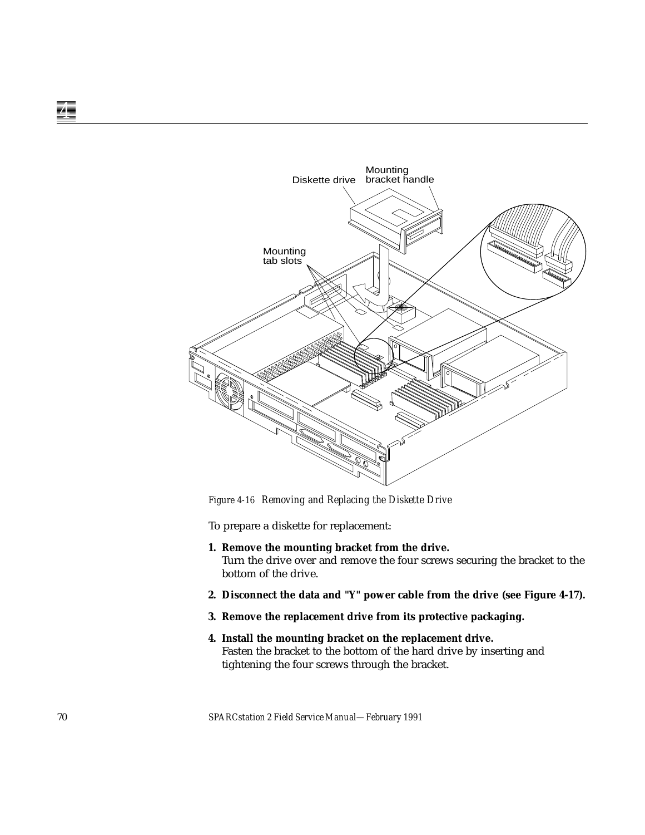

*Figure 4-16 Removing and Replacing the Diskette Drive*

To prepare a diskette for replacement:

- **1. Remove the mounting bracket from the drive.** Turn the drive over and remove the four screws securing the bracket to the bottom of the drive.
- **2. Disconnect the data and "Y" power cable from the drive (see Figure 4-17).**
- **3. Remove the replacement drive from its protective packaging.**
- **4. Install the mounting bracket on the replacement drive.** Fasten the bracket to the bottom of the hard drive by inserting and tightening the four screws through the bracket.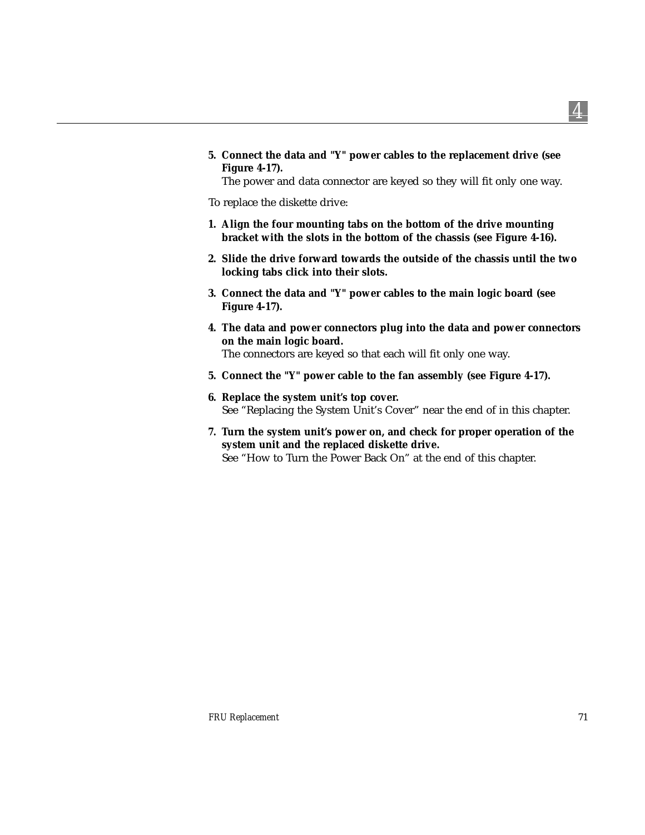**5. Connect the data and "Y" power cables to the replacement drive (see Figure 4-17).**

The power and data connector are keyed so they will fit only one way.

To replace the diskette drive:

- **1. Align the four mounting tabs on the bottom of the drive mounting bracket with the slots in the bottom of the chassis (see Figure 4-16).**
- **2. Slide the drive forward towards the outside of the chassis until the two locking tabs click into their slots.**
- **3. Connect the data and "Y" power cables to the main logic board (see Figure 4-17).**
- **4. The data and power connectors plug into the data and power connectors on the main logic board.** The connectors are keyed so that each will fit only one way.
- **5. Connect the "Y" power cable to the fan assembly (see Figure 4-17).**
- **6. Replace the system unit's top cover.** See "Replacing the System Unit's Cover" near the end of in this chapter.
- **7. Turn the system unit's power on, and check for proper operation of the system unit and the replaced diskette drive.**

See "How to Turn the Power Back On" at the end of this chapter.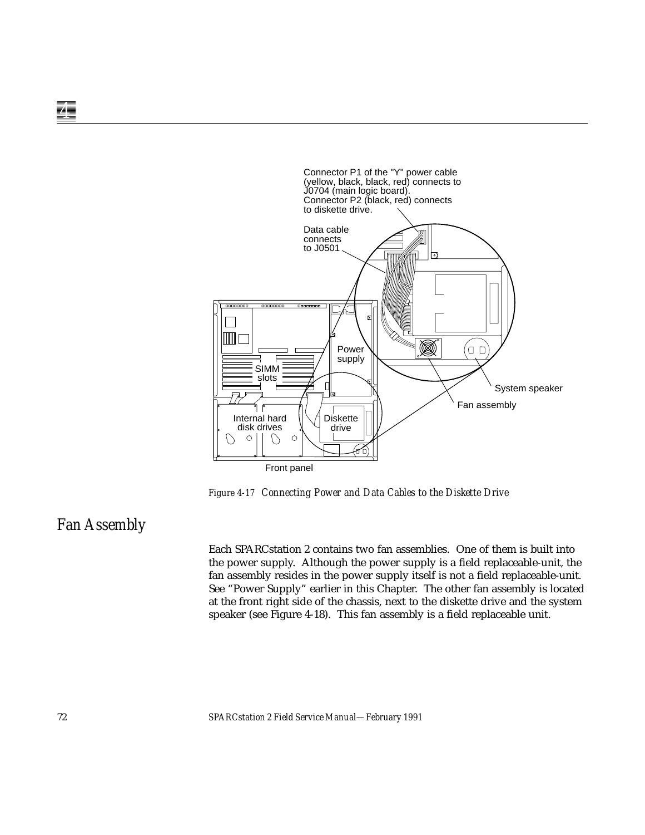

*Figure 4-17 Connecting Power and Data Cables to the Diskette Drive*

## *Fan Assembly*

*4*

Each SPARCstation 2 contains two fan assemblies. One of them is built into the power supply. Although the power supply is a field replaceable-unit, the fan assembly resides in the power supply itself is not a field replaceable-unit. See "Power Supply" earlier in this Chapter. The other fan assembly is located at the front right side of the chassis, next to the diskette drive and the system speaker (see Figure 4-18). This fan assembly is a field replaceable unit.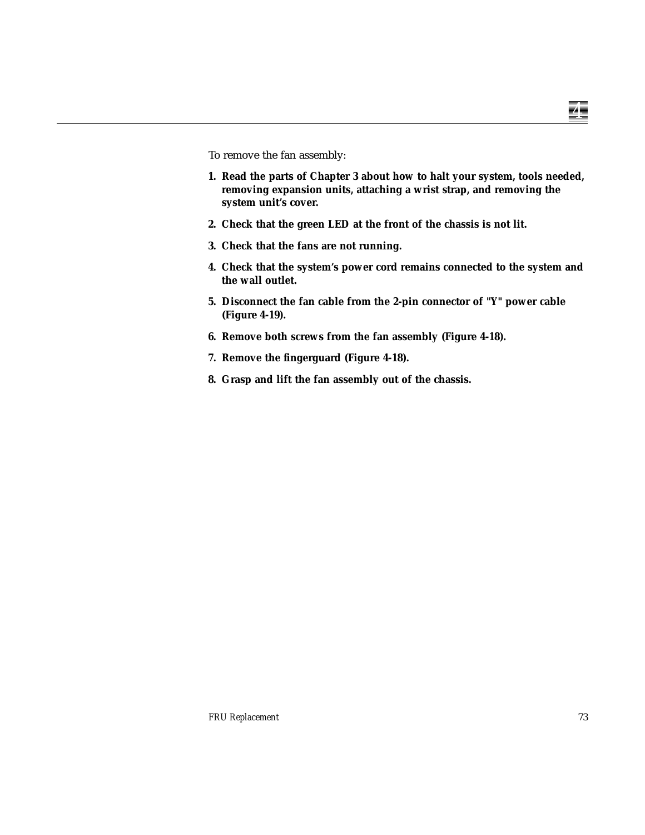To remove the fan assembly:

- **1. Read the parts of Chapter 3 about how to halt your system, tools needed, removing expansion units, attaching a wrist strap, and removing the system unit's cover.**
- **2. Check that the green LED at the front of the chassis is not lit.**
- **3. Check that the fans are not running.**
- **4. Check that the system's power cord remains connected to the system and the wall outlet.**
- **5. Disconnect the fan cable from the 2-pin connector of "Y" power cable (Figure 4-19).**
- **6. Remove both screws from the fan assembly (Figure 4-18).**
- **7. Remove the fingerguard (Figure 4-18).**
- **8. Grasp and lift the fan assembly out of the chassis.**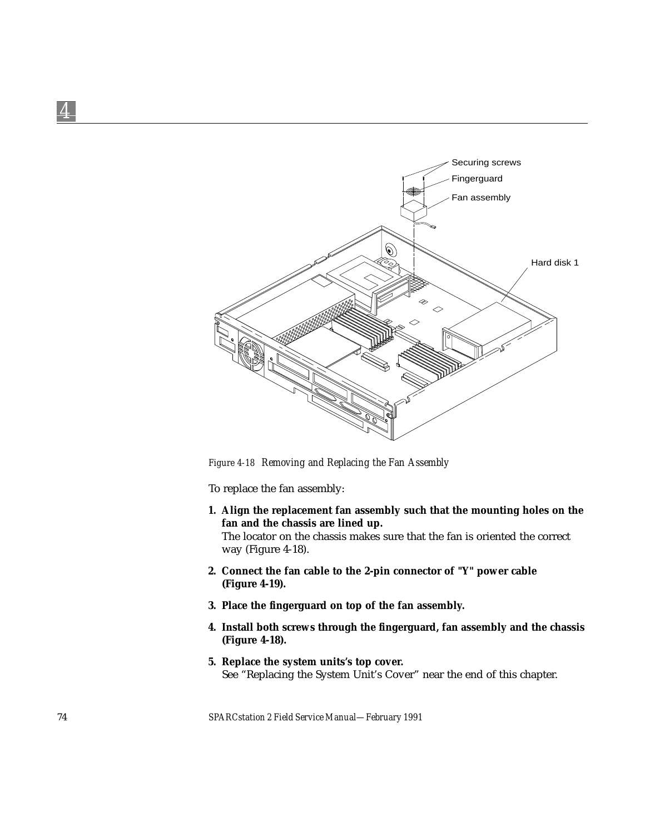

*Figure 4-18 Removing and Replacing the Fan Assembly*

To replace the fan assembly:

- **1. Align the replacement fan assembly such that the mounting holes on the fan and the chassis are lined up.** The locator on the chassis makes sure that the fan is oriented the correct way (Figure 4-18).
- **2. Connect the fan cable to the 2-pin connector of "Y" power cable (Figure 4-19).**
- **3. Place the fingerguard on top of the fan assembly.**
- **4. Install both screws through the fingerguard, fan assembly and the chassis (Figure 4-18).**
- **5. Replace the system units's top cover.** See "Replacing the System Unit's Cover" near the end of this chapter.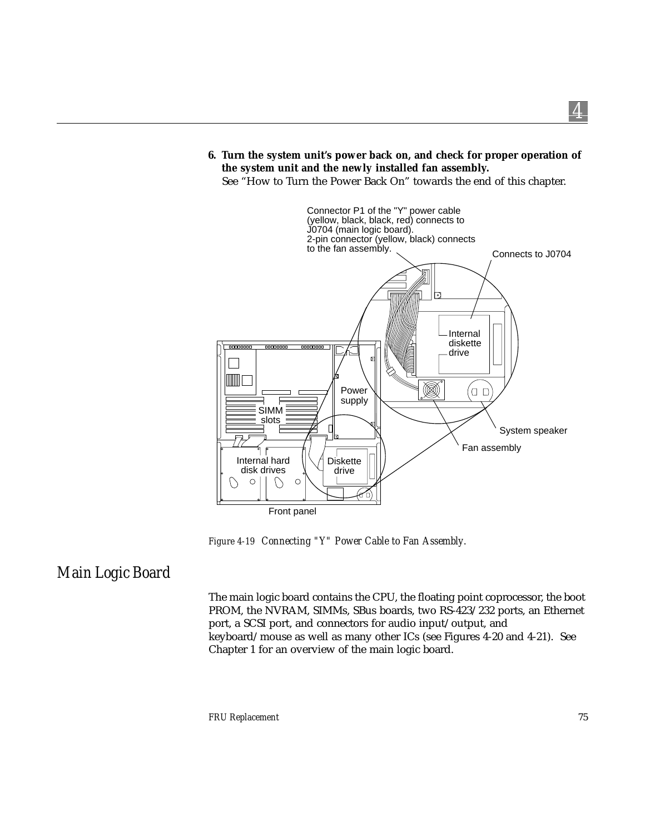#### **6. Turn the system unit's power back on, and check for proper operation of the system unit and the newly installed fan assembly.**

See "How to Turn the Power Back On" towards the end of this chapter.



*Figure 4-19 Connecting "Y" Power Cable to Fan Assembly.*

## *Main Logic Board*

The main logic board contains the CPU, the floating point coprocessor, the boot PROM, the NVRAM, SIMMs, SBus boards, two RS-423/232 ports, an Ethernet port, a SCSI port, and connectors for audio input/output, and keyboard/mouse as well as many other ICs (see Figures 4-20 and 4-21). See Chapter 1 for an overview of the main logic board.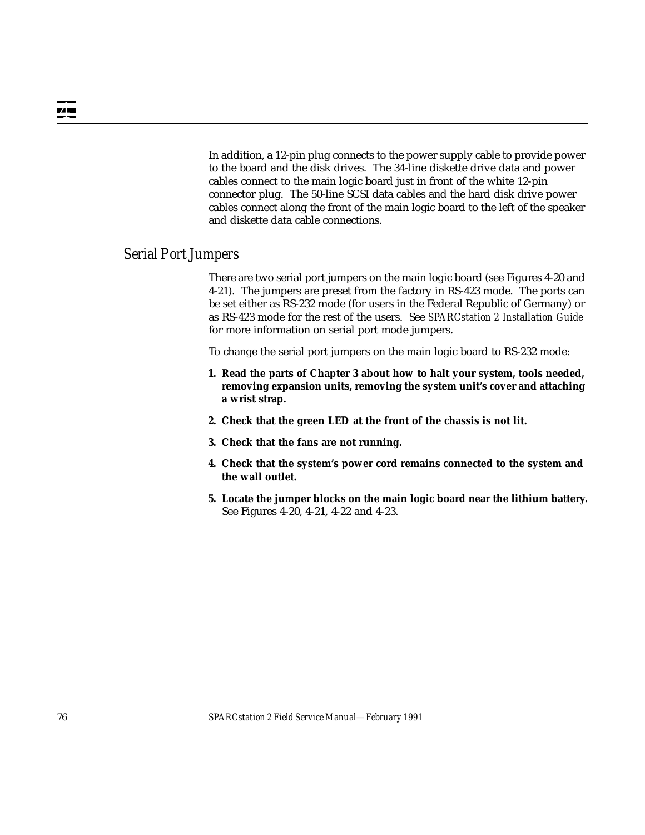In addition, a 12-pin plug connects to the power supply cable to provide power to the board and the disk drives. The 34-line diskette drive data and power cables connect to the main logic board just in front of the white 12-pin connector plug. The 50-line SCSI data cables and the hard disk drive power cables connect along the front of the main logic board to the left of the speaker and diskette data cable connections.

### *Serial Port Jumpers*

There are two serial port jumpers on the main logic board (see Figures 4-20 and 4-21). The jumpers are preset from the factory in RS-423 mode. The ports can be set either as RS-232 mode (for users in the Federal Republic of Germany) or as RS-423 mode for the rest of the users. See *SPARCstation 2 Installation Guide* for more information on serial port mode jumpers.

To change the serial port jumpers on the main logic board to RS-232 mode:

- **1. Read the parts of Chapter 3 about how to halt your system, tools needed, removing expansion units, removing the system unit's cover and attaching a wrist strap.**
- **2. Check that the green LED at the front of the chassis is not lit.**
- **3. Check that the fans are not running.**
- **4. Check that the system's power cord remains connected to the system and the wall outlet.**
- **5. Locate the jumper blocks on the main logic board near the lithium battery.** See Figures 4-20, 4-21, 4-22 and 4-23.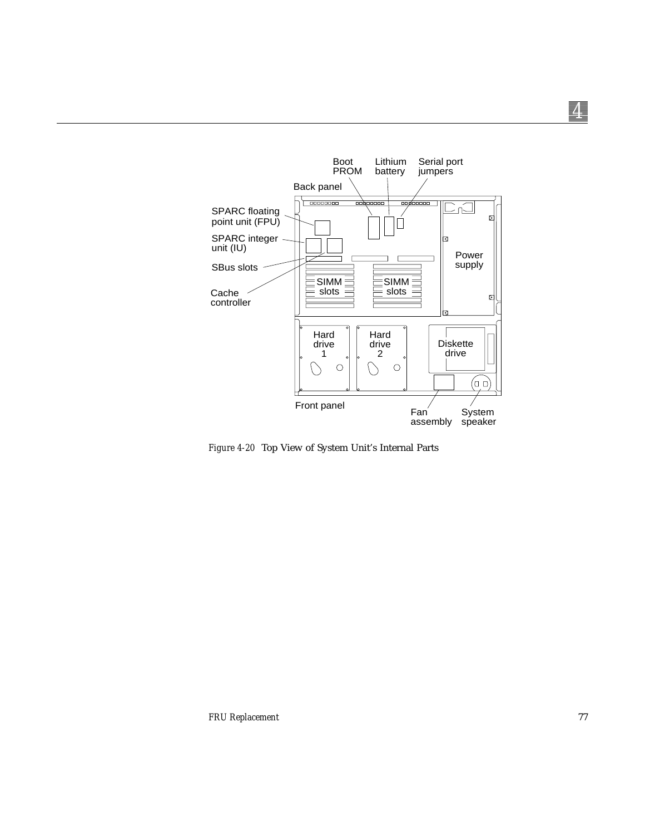

*Figure 4-20* Top View of System Unit's Internal Parts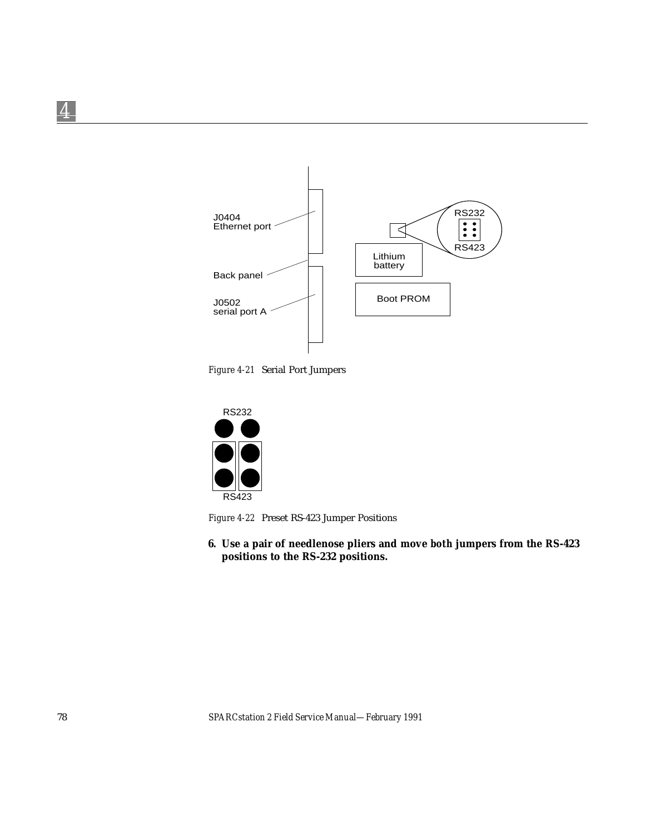

*Figure 4-21* Serial Port Jumpers



*Figure 4-22* Preset RS-423 Jumper Positions

**6. Use a pair of needlenose pliers and move** *both* **jumpers from the RS-423 positions to the RS-232 positions.**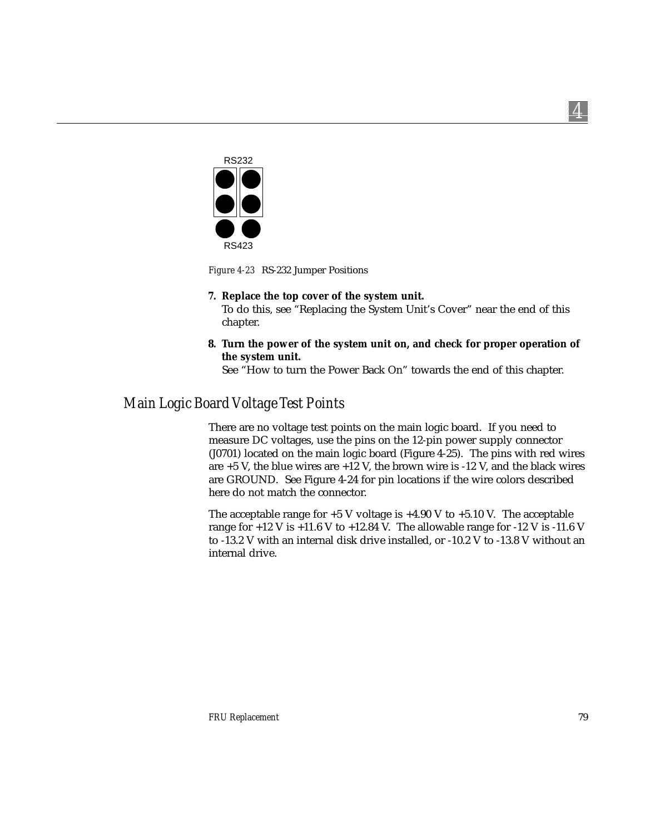

*Figure 4-23* RS-232 Jumper Positions

#### **7. Replace the top cover of the system unit.**

To do this, see "Replacing the System Unit's Cover" near the end of this chapter.

**8. Turn the power of the system unit on, and check for proper operation of the system unit.**

See "How to turn the Power Back On" towards the end of this chapter.

## *Main Logic Board Voltage Test Points*

There are no voltage test points on the main logic board. If you need to measure DC voltages, use the pins on the 12-pin power supply connector (J0701) located on the main logic board (Figure 4-25). The pins with red wires are +5 V, the blue wires are +12 V, the brown wire is -12 V, and the black wires are GROUND. See Figure 4-24 for pin locations if the wire colors described here do not match the connector.

The acceptable range for  $+5$  V voltage is  $+4.90$  V to  $+5.10$  V. The acceptable range for  $+12$  V is  $+11.6$  V to  $+12.84$  V. The allowable range for  $-12$  V is  $-11.6$  V to -13.2 V with an internal disk drive installed, or -10.2 V to -13.8 V without an internal drive.

*4*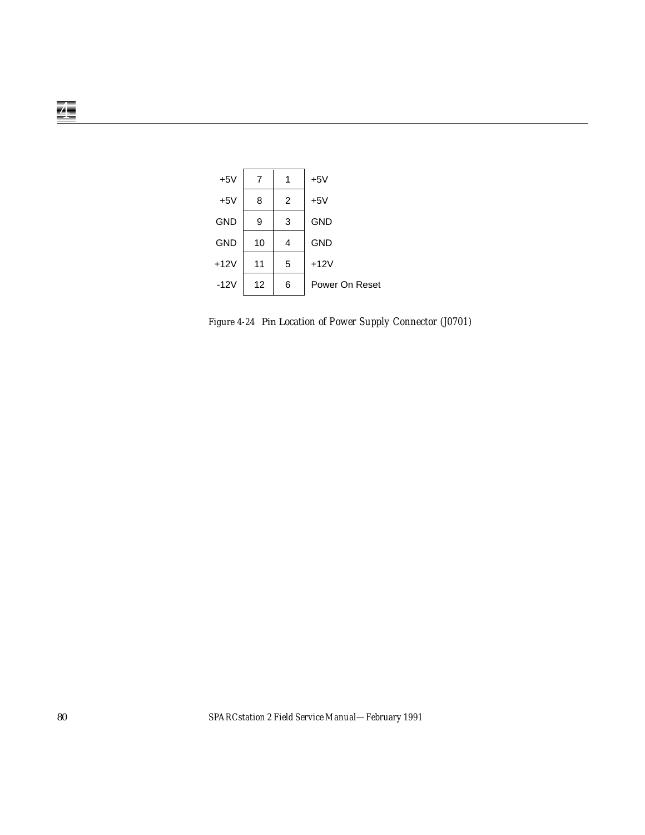

*Figure 4-24* Pin L*ocation of Power Supply Connector (J0701)*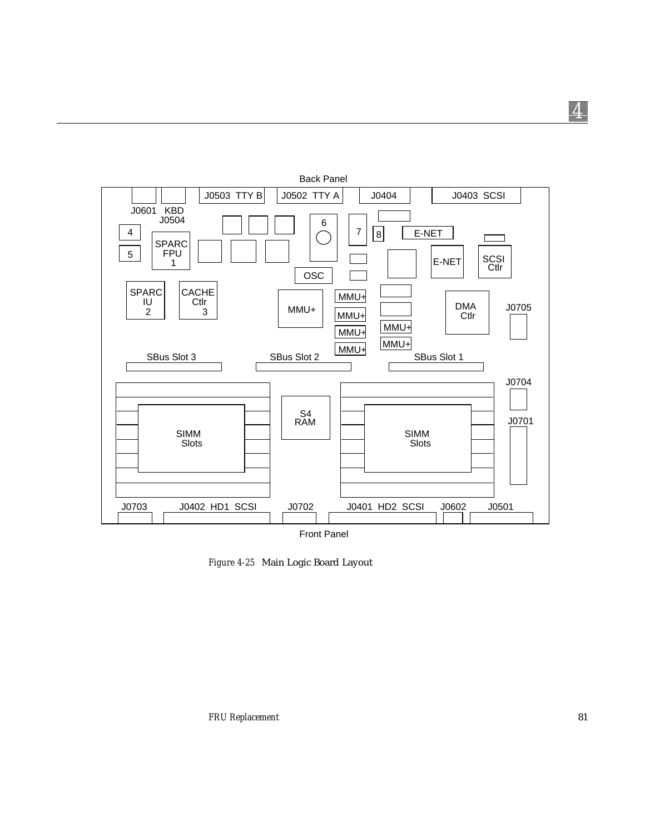

*Figure 4-25* Main Logic Board Layout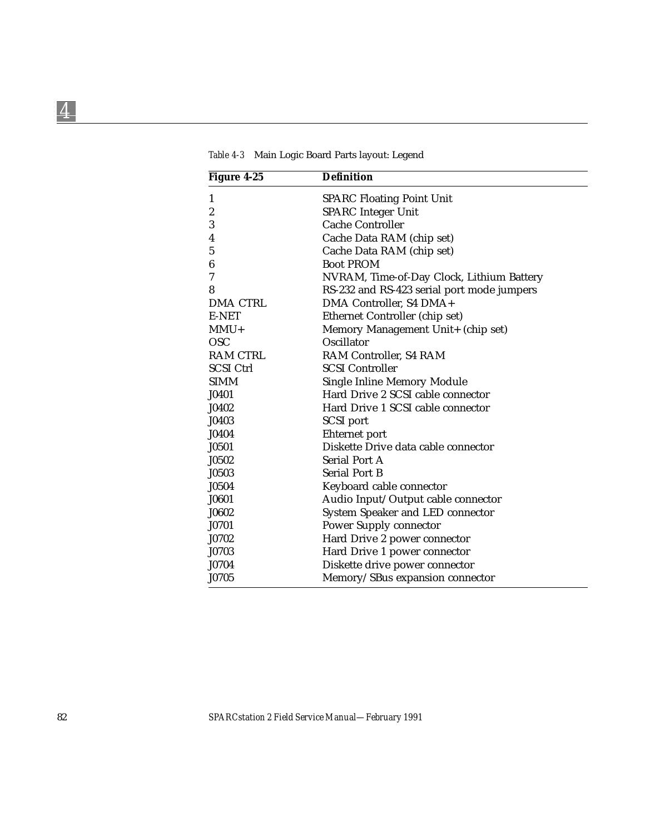| Figure 4-25      | <b>Definition</b>                          |  |
|------------------|--------------------------------------------|--|
| 1                | <b>SPARC Floating Point Unit</b>           |  |
| $\boldsymbol{2}$ | <b>SPARC</b> Integer Unit                  |  |
| $\boldsymbol{3}$ | <b>Cache Controller</b>                    |  |
| $\overline{4}$   | Cache Data RAM (chip set)                  |  |
| 5                | Cache Data RAM (chip set)                  |  |
| $\boldsymbol{6}$ | <b>Boot PROM</b>                           |  |
| 7                | NVRAM, Time-of-Day Clock, Lithium Battery  |  |
| 8                | RS-232 and RS-423 serial port mode jumpers |  |
| <b>DMA CTRL</b>  | DMA Controller, S4 DMA+                    |  |
| E-NET            | Ethernet Controller (chip set)             |  |
| $MMU+$           | Memory Management Unit+ (chip set)         |  |
| <b>OSC</b>       | Oscillator                                 |  |
| <b>RAM CTRL</b>  | RAM Controller, S4 RAM                     |  |
| <b>SCSI Ctrl</b> | <b>SCSI Controller</b>                     |  |
| <b>SIMM</b>      | Single Inline Memory Module                |  |
| J0401            | Hard Drive 2 SCSI cable connector          |  |
| J0402            | Hard Drive 1 SCSI cable connector          |  |
| J0403            | <b>SCSI</b> port                           |  |
| J0404            | Ehternet port                              |  |
| J0501            | Diskette Drive data cable connector        |  |
| J0502            | <b>Serial Port A</b>                       |  |
| J0503            | <b>Serial Port B</b>                       |  |
| J0504            | Keyboard cable connector                   |  |
| J0601            | Audio Input/Output cable connector         |  |
| J0602            | System Speaker and LED connector           |  |
| J0701            | <b>Power Supply connector</b>              |  |
| J0702            | Hard Drive 2 power connector               |  |
| J0703            | Hard Drive 1 power connector               |  |
| J0704            | Diskette drive power connector             |  |
| J0705            | Memory/SBus expansion connector            |  |

*Table 4-3* Main Logic Board Parts layout: Legend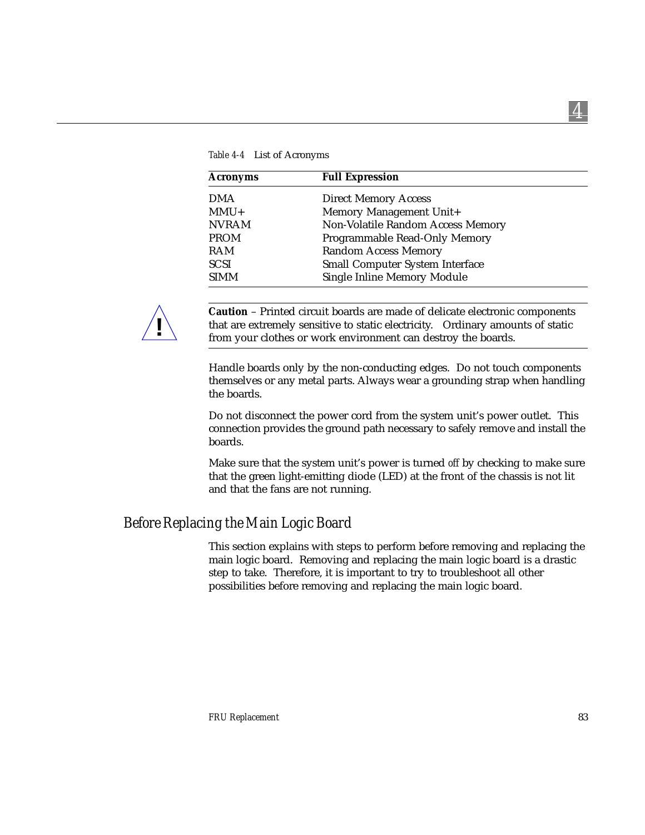| <b>Acronyms</b> | <b>Full Expression</b>                 |  |
|-----------------|----------------------------------------|--|
| <b>DMA</b>      | <b>Direct Memory Access</b>            |  |
| $MMU+$          | Memory Management Unit+                |  |
| <b>NVRAM</b>    | Non-Volatile Random Access Memory      |  |
| <b>PROM</b>     | Programmable Read-Only Memory          |  |
| <b>RAM</b>      | <b>Random Access Memory</b>            |  |
| <b>SCSI</b>     | <b>Small Computer System Interface</b> |  |
| <b>SIMM</b>     | <b>Single Inline Memory Module</b>     |  |

*Table 4-4* List of Acronyms



**Caution** – Printed circuit boards are made of delicate electronic components that are extremely sensitive to static electricity. Ordinary amounts of static from your clothes or work environment can destroy the boards.

Handle boards only by the non-conducting edges. Do not touch components themselves or any metal parts. Always wear a grounding strap when handling the boards.

Do not disconnect the power cord from the system unit's power outlet. This connection provides the ground path necessary to safely remove and install the boards.

Make sure that the system unit's power is turned *off* by checking to make sure that the green light-emitting diode (LED) at the front of the chassis is not lit and that the fans are not running.

### *Before Replacing the Main Logic Board*

This section explains with steps to perform before removing and replacing the main logic board. Removing and replacing the main logic board is a drastic step to take. Therefore, it is important to try to troubleshoot all other possibilities before removing and replacing the main logic board.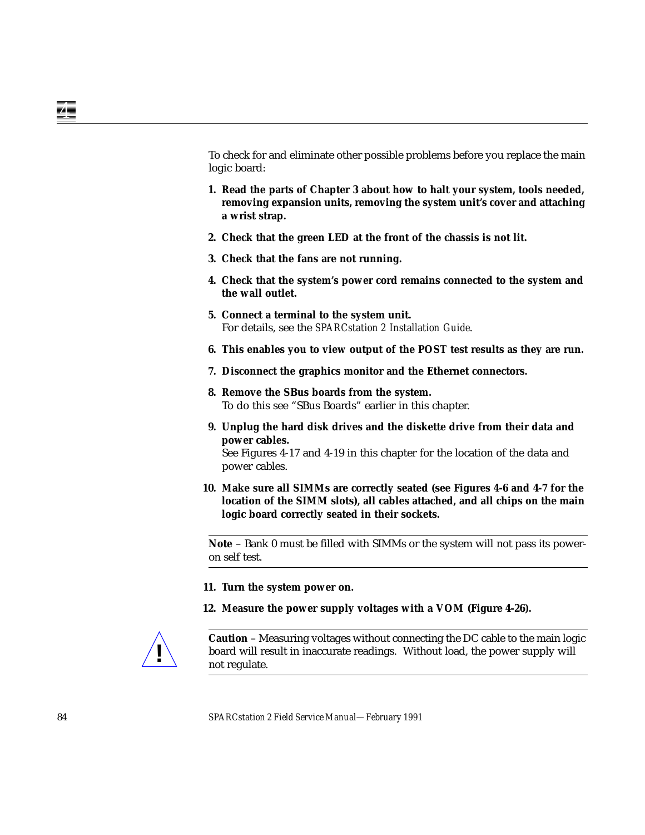To check for and eliminate other possible problems before you replace the main logic board:

- **1. Read the parts of Chapter 3 about how to halt your system, tools needed, removing expansion units, removing the system unit's cover and attaching a wrist strap.**
- **2. Check that the green LED at the front of the chassis is not lit.**
- **3. Check that the fans are not running.**
- **4. Check that the system's power cord remains connected to the system and the wall outlet.**
- **5. Connect a terminal to the system unit.** For details, see the *SPARCstation 2 Installation Guide*.
- **6. This enables you to view output of the POST test results as they are run.**
- **7. Disconnect the graphics monitor and the Ethernet connectors.**
- **8. Remove the SBus boards from the system.** To do this see "SBus Boards" earlier in this chapter.
- **9. Unplug the hard disk drives and the diskette drive from their data and power cables.**

See Figures 4-17 and 4-19 in this chapter for the location of the data and power cables.

**10. Make sure all SIMMs are correctly seated (see Figures 4-6 and 4-7 for the location of the SIMM slots), all cables attached, and all chips on the main logic board correctly seated in their sockets.**

**Note** – Bank 0 must be filled with SIMMs or the system will not pass its poweron self test.

- **11. Turn the system power on.**
- **12. Measure the power supply voltages with a VOM (Figure 4-26).**



**Caution** – Measuring voltages without connecting the DC cable to the main logic **board will result in inaccurate readings.** Without load, the power supply will not regulate.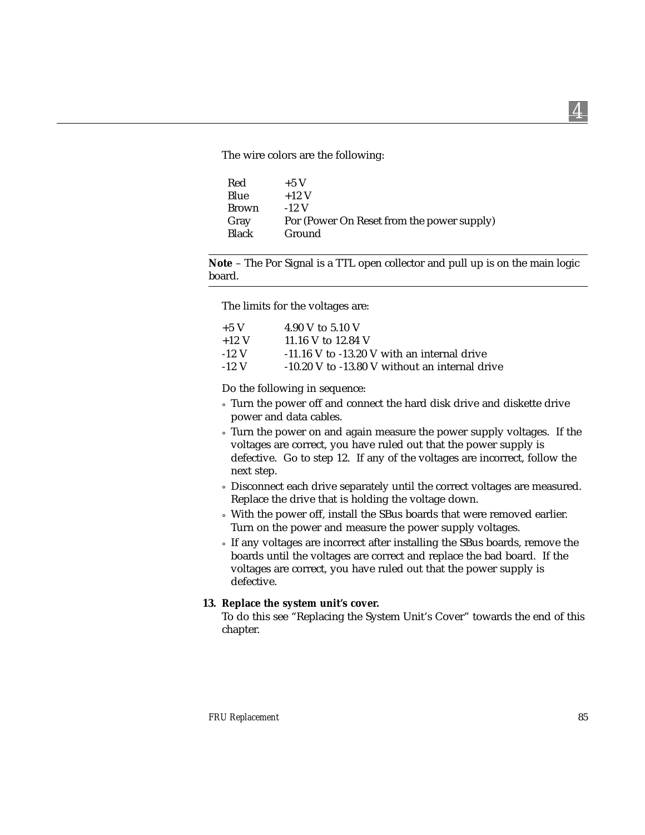The wire colors are the following:

| Red          | $+5$ V                                     |
|--------------|--------------------------------------------|
| Blue         | $+12$ V                                    |
| <b>Brown</b> | $-12$ V                                    |
| Gray         | Por (Power On Reset from the power supply) |
| <b>Black</b> | Ground                                     |
|              |                                            |

**Note** – The Por Signal is a TTL open collector and pull up is on the main logic board.

The limits for the voltages are:

| $+5$ V  | 4.90 V to 5.10 V                                |
|---------|-------------------------------------------------|
| $+12$ V | 11.16 V to 12.84 V                              |
| $-12$ V | $-11.16$ V to $-13.20$ V with an internal drive |
| $-12$ V | -10.20 V to -13.80 V without an internal drive  |

Do the following in sequence:

- ° Turn the power off and connect the hard disk drive and diskette drive power and data cables.
- ° Turn the power on and again measure the power supply voltages. If the voltages are correct, you have ruled out that the power supply is defective. Go to step 12. If any of the voltages are incorrect, follow the next step.
- ° Disconnect each drive separately until the correct voltages are measured. Replace the drive that is holding the voltage down.
- ° With the power off, install the SBus boards that were removed earlier. Turn on the power and measure the power supply voltages.
- ° If any voltages are incorrect after installing the SBus boards, remove the boards until the voltages are correct and replace the bad board. If the voltages are correct, you have ruled out that the power supply is defective.

#### **13. Replace the system unit's cover.**

To do this see "Replacing the System Unit's Cover" towards the end of this chapter.

*4*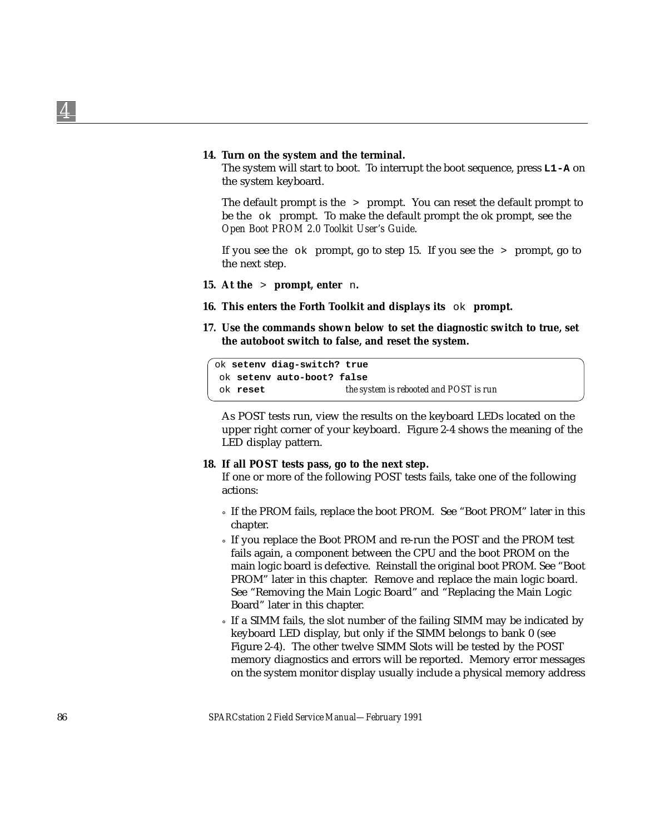#### **14. Turn on the system and the terminal.**

The system will start to boot. To interrupt the boot sequence, press **L1-A** on the system keyboard.

The default prompt is the > prompt. You can reset the default prompt to be the ok prompt. To make the default prompt the ok prompt, see the *Open Boot PROM 2.0 Toolkit User's Guide*.

If you see the  $\circ$ k prompt, go to step 15. If you see the  $\circ$  prompt, go to the next step.

- **15. At the** > **prompt, enter** n**.**
- **16. This enters the Forth Toolkit and displays its** ok **prompt.**
- **17. Use the commands shown below to set the diagnostic switch to true, set the autoboot switch to false, and reset the system.**

ok **setenv diag-switch? true** ok **setenv auto-boot? false** ok **reset** *the system is rebooted and POST is run*

As POST tests run, view the results on the keyboard LEDs located on the upper right corner of your keyboard. Figure 2-4 shows the meaning of the LED display pattern.

#### **18. If all POST tests pass, go to the next step.**

If one or more of the following POST tests fails, take one of the following actions:

- ° If the PROM fails, replace the boot PROM. See "Boot PROM" later in this chapter.
- ° If you replace the Boot PROM and re-run the POST and the PROM test fails again, a component between the CPU and the boot PROM on the main logic board is defective. Reinstall the original boot PROM. See "Boot PROM" later in this chapter. Remove and replace the main logic board. See "Removing the Main Logic Board" and "Replacing the Main Logic Board" later in this chapter.
- ° If a SIMM fails, the slot number of the failing SIMM may be indicated by keyboard LED display, but only if the SIMM belongs to bank 0 (see Figure 2-4). The other twelve SIMM Slots will be tested by the POST memory diagnostics and errors will be reported. Memory error messages on the system monitor display usually include a physical memory address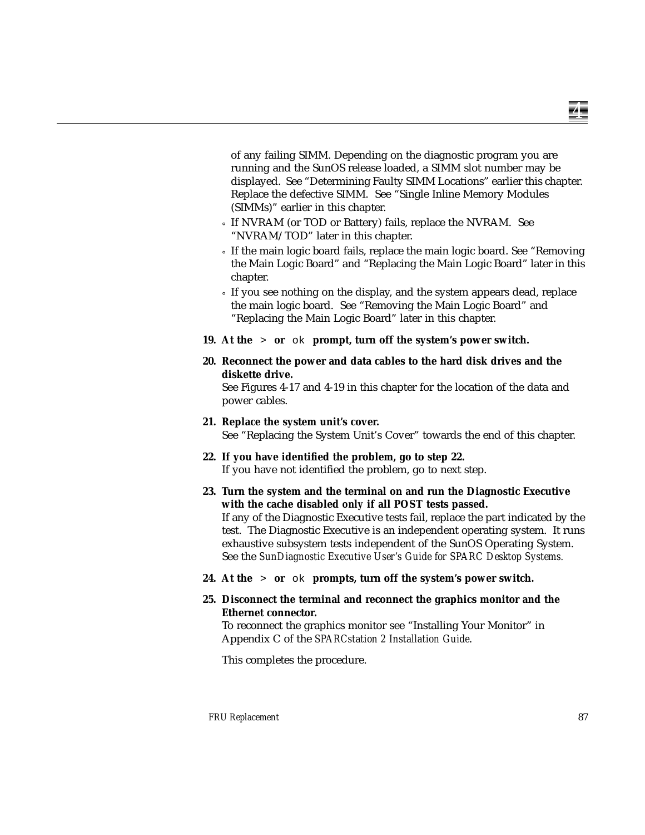of any failing SIMM. Depending on the diagnostic program you are running and the SunOS release loaded, a SIMM slot number may be displayed. See "Determining Faulty SIMM Locations" earlier this chapter. Replace the defective SIMM. See "Single Inline Memory Modules (SIMMs)" earlier in this chapter.

- ° If NVRAM (or TOD or Battery) fails, replace the NVRAM. See "NVRAM/TOD" later in this chapter.
- ° If the main logic board fails, replace the main logic board. See "Removing the Main Logic Board" and "Replacing the Main Logic Board" later in this chapter.
- ° If you see nothing on the display, and the system appears dead, replace the main logic board. See "Removing the Main Logic Board" and "Replacing the Main Logic Board" later in this chapter.
- **19. At the** > **or** ok **prompt, turn off the system's power switch.**
- **20. Reconnect the power and data cables to the hard disk drives and the diskette drive.**

See Figures 4-17 and 4-19 in this chapter for the location of the data and power cables.

### **21. Replace the system unit's cover.** See "Replacing the System Unit's Cover" towards the end of this chapter.

- **22. If you have identified the problem, go to step 22.** If you have not identified the problem, go to next step.
- **23. Turn the system and the terminal on and run the Diagnostic Executive with the cache disabled** *only* **if all POST tests passed.**

If any of the Diagnostic Executive tests fail, replace the part indicated by the test. The Diagnostic Executive is an independent operating system. It runs exhaustive subsystem tests independent of the SunOS Operating System. See the *SunDiagnostic Executive User's Guide for SPARC Desktop Systems.*

- **24. At the** > **or** ok **prompts, turn off the system's power switch.**
- **25. Disconnect the terminal and reconnect the graphics monitor and the Ethernet connector.**

To reconnect the graphics monitor see "Installing Your Monitor" in Appendix C of the *SPARCstation 2 Installation Guide*.

This completes the procedure.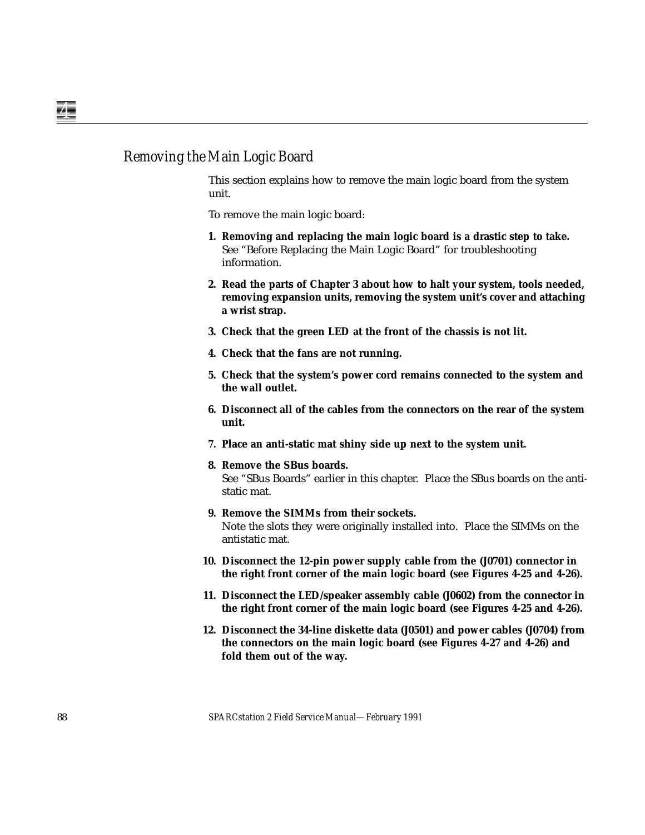## *Removing the Main Logic Board*

This section explains how to remove the main logic board from the system unit.

To remove the main logic board:

- **1. Removing and replacing the main logic board is a drastic step to take.** See "Before Replacing the Main Logic Board" for troubleshooting information.
- **2. Read the parts of Chapter 3 about how to halt your system, tools needed, removing expansion units, removing the system unit's cover and attaching a wrist strap.**
- **3. Check that the green LED at the front of the chassis is not lit.**
- **4. Check that the fans are not running.**
- **5. Check that the system's power cord remains connected to the system and the wall outlet.**
- **6. Disconnect all of the cables from the connectors on the rear of the system unit.**
- **7. Place an anti-static mat shiny side up next to the system unit.**
- **8. Remove the SBus boards.**

See "SBus Boards" earlier in this chapter. Place the SBus boards on the antistatic mat.

**9. Remove the SIMMs from their sockets.**

Note the slots they were originally installed into. Place the SIMMs on the antistatic mat.

- **10. Disconnect the 12-pin power supply cable from the (J0701) connector in the right front corner of the main logic board (see Figures 4-25 and 4-26).**
- **11. Disconnect the LED/speaker assembly cable (J0602) from the connector in the right front corner of the main logic board (see Figures 4-25 and 4-26).**
- **12. Disconnect the 34-line diskette data (J0501) and power cables (J0704) from the connectors on the main logic board (see Figures 4-27 and 4-26) and fold them out of the way.**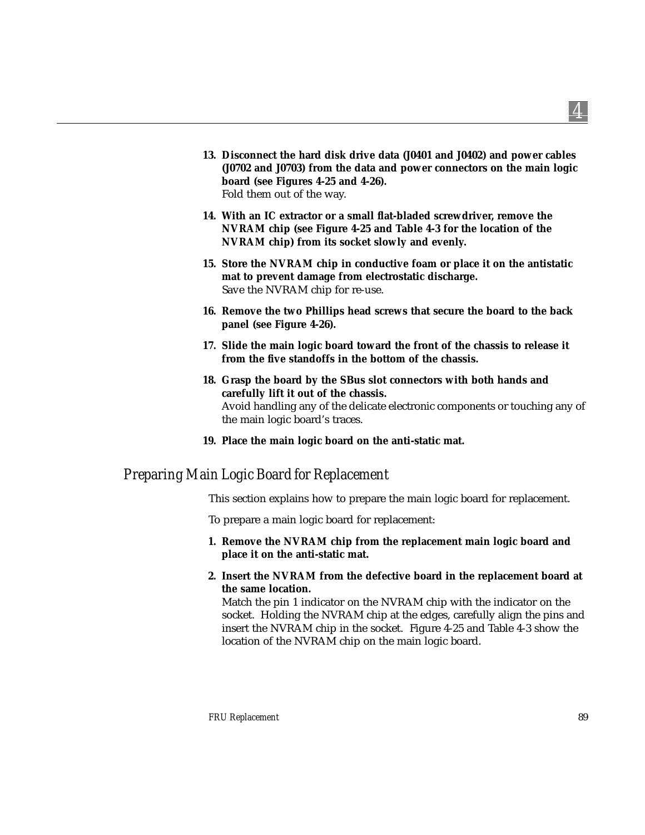- **13. Disconnect the hard disk drive data (J0401 and J0402) and power cables (J0702 and J0703) from the data and power connectors on the main logic board (see Figures 4-25 and 4-26).** Fold them out of the way.
- **14. With an IC extractor or a small flat-bladed screwdriver, remove the NVRAM chip (see Figure 4-25 and Table 4-3 for the location of the NVRAM chip) from its socket slowly and evenly.**
- **15. Store the NVRAM chip in conductive foam or place it on the antistatic mat to prevent damage from electrostatic discharge.** Save the NVRAM chip for re-use.
- **16. Remove the two Phillips head screws that secure the board to the back panel (see Figure 4-26).**
- **17. Slide the main logic board toward the front of the chassis to release it from the five standoffs in the bottom of the chassis.**
- **18. Grasp the board by the SBus slot connectors with both hands and carefully lift it out of the chassis.** Avoid handling any of the delicate electronic components or touching any of the main logic board's traces.
- **19. Place the main logic board on the anti-static mat.**

### *Preparing Main Logic Board for Replacement*

This section explains how to prepare the main logic board for replacement.

To prepare a main logic board for replacement:

- **1. Remove the NVRAM chip from the replacement main logic board and place it on the anti-static mat.**
- **2. Insert the NVRAM from the defective board in the replacement board at the same location.**

Match the pin 1 indicator on the NVRAM chip with the indicator on the socket. Holding the NVRAM chip at the edges, carefully align the pins and insert the NVRAM chip in the socket. Figure 4-25 and Table 4-3 show the location of the NVRAM chip on the main logic board.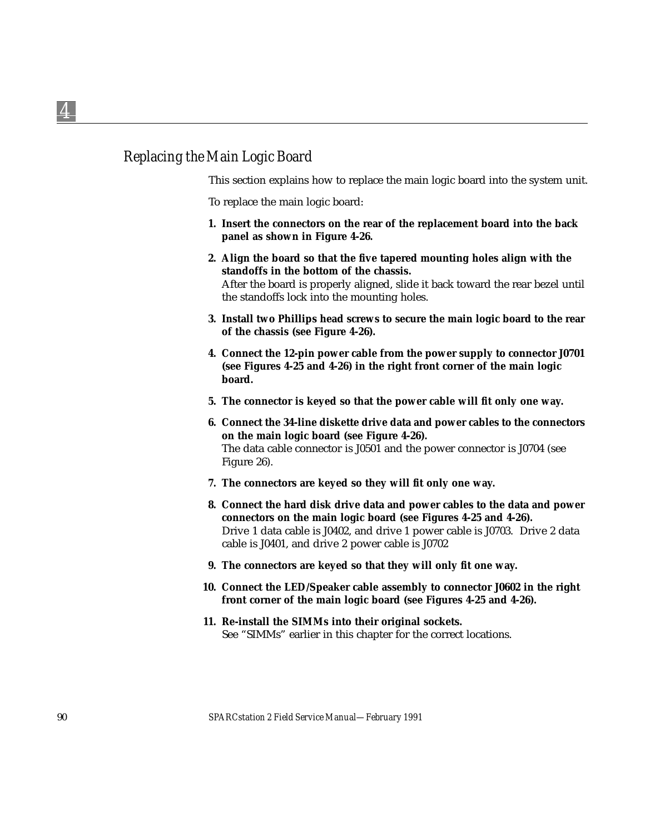## *Replacing the Main Logic Board*

This section explains how to replace the main logic board into the system unit.

To replace the main logic board:

- **1. Insert the connectors on the rear of the replacement board into the back panel as shown in Figure 4-26.**
- **2. Align the board so that the five tapered mounting holes align with the standoffs in the bottom of the chassis.** After the board is properly aligned, slide it back toward the rear bezel until the standoffs lock into the mounting holes.
- **3. Install two Phillips head screws to secure the main logic board to the rear of the chassis (see Figure 4-26).**
- **4. Connect the 12-pin power cable from the power supply to connector J0701 (see Figures 4-25 and 4-26) in the right front corner of the main logic board.**
- **5. The connector is keyed so that the power cable will fit only one way.**
- **6. Connect the 34-line diskette drive data and power cables to the connectors on the main logic board (see Figure 4-26).** The data cable connector is J0501 and the power connector is J0704 (see Figure 26).
- **7. The connectors are keyed so they will fit only one way.**
- **8. Connect the hard disk drive data and power cables to the data and power connectors on the main logic board (see Figures 4-25 and 4-26).** Drive 1 data cable is J0402, and drive 1 power cable is J0703. Drive 2 data cable is J0401, and drive 2 power cable is J0702
- **9. The connectors are keyed so that they will only fit one way.**
- **10. Connect the LED/Speaker cable assembly to connector J0602 in the right front corner of the main logic board (see Figures 4-25 and 4-26).**
- **11. Re-install the SIMMs into their original sockets.** See "SIMMs" earlier in this chapter for the correct locations.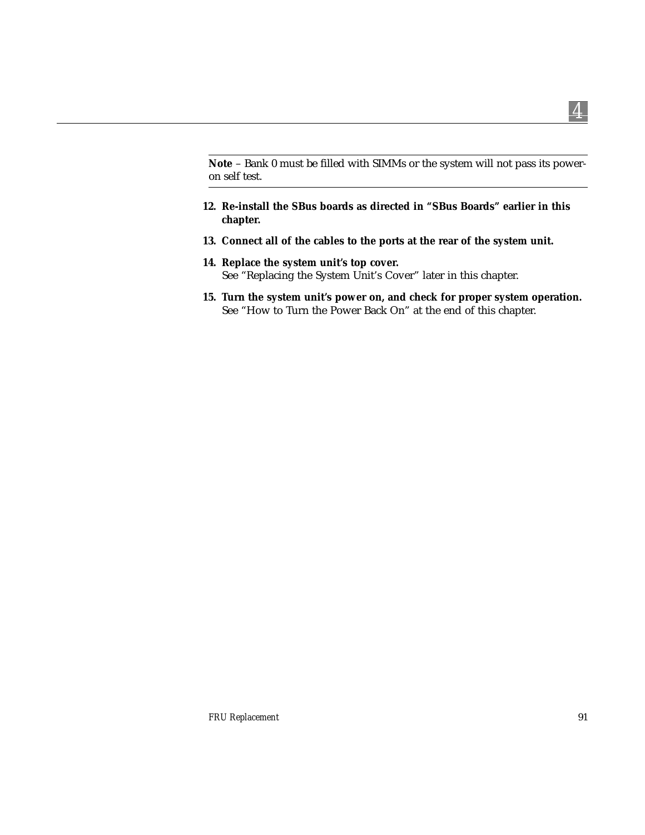**Note** – Bank 0 must be filled with SIMMs or the system will not pass its poweron self test.

- **12. Re-install the SBus boards as directed in "SBus Boards" earlier in this chapter.**
- **13. Connect all of the cables to the ports at the rear of the system unit.**
- **14. Replace the system unit's top cover.** See "Replacing the System Unit's Cover" later in this chapter.
- **15. Turn the system unit's power on, and check for proper system operation.** See "How to Turn the Power Back On" at the end of this chapter.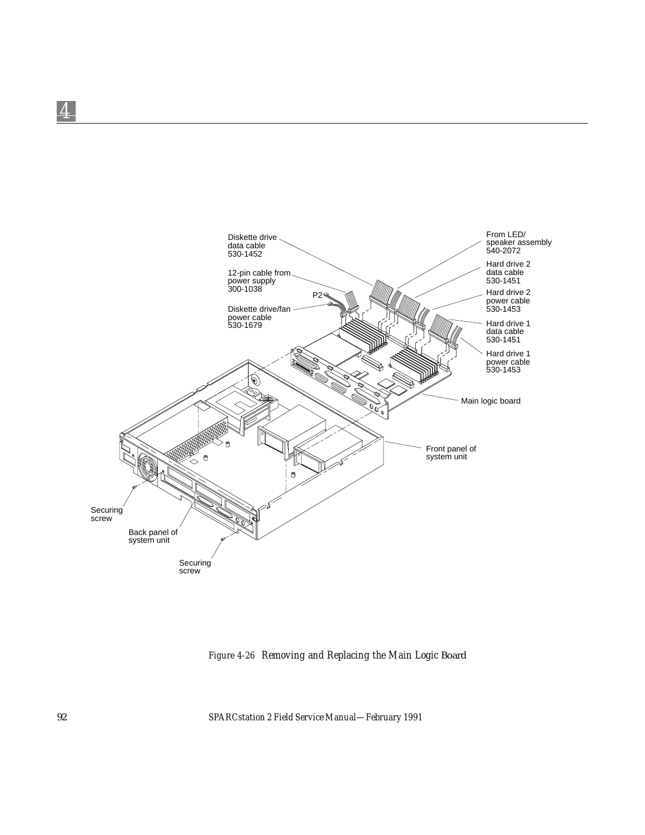

*Figure 4-26 Removing and Replacing the Main Logic* Board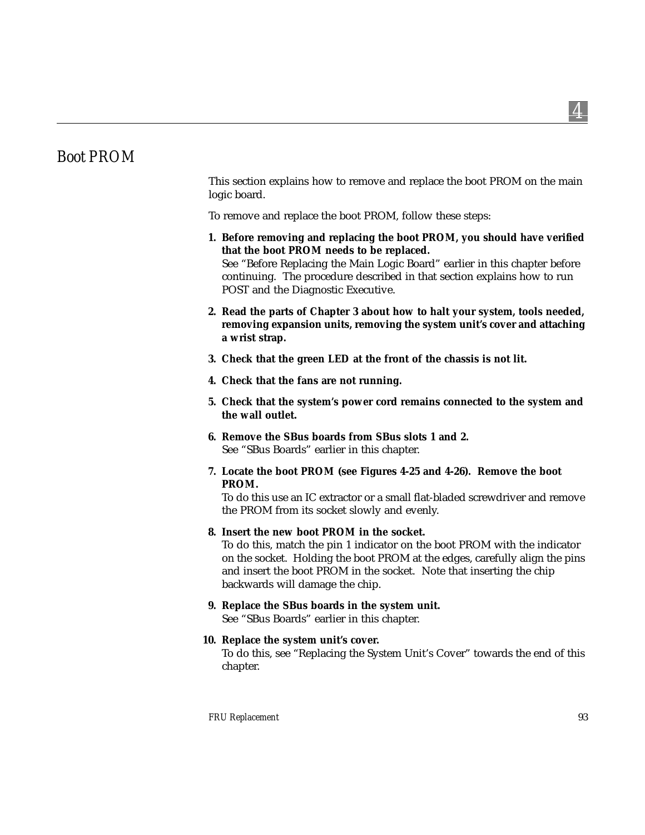# *Boot PROM*

This section explains how to remove and replace the boot PROM on the main logic board.

To remove and replace the boot PROM, follow these steps:

- **1. Before removing and replacing the boot PROM, you should have verified that the boot PROM needs to be replaced.** See "Before Replacing the Main Logic Board" earlier in this chapter before continuing. The procedure described in that section explains how to run POST and the Diagnostic Executive.
- **2. Read the parts of Chapter 3 about how to halt your system, tools needed, removing expansion units, removing the system unit's cover and attaching a wrist strap.**
- **3. Check that the green LED at the front of the chassis is not lit.**
- **4. Check that the fans are not running.**
- **5. Check that the system's power cord remains connected to the system and the wall outlet.**
- **6. Remove the SBus boards from SBus slots 1 and 2.** See "SBus Boards" earlier in this chapter.
- **7. Locate the boot PROM (see Figures 4-25 and 4-26). Remove the boot PROM.**

To do this use an IC extractor or a small flat-bladed screwdriver and remove the PROM from its socket slowly and evenly.

#### **8. Insert the new boot PROM in the socket.**

To do this, match the pin 1 indicator on the boot PROM with the indicator on the socket. Holding the boot PROM at the edges, carefully align the pins and insert the boot PROM in the socket. Note that inserting the chip backwards will damage the chip.

#### **9. Replace the SBus boards in the system unit.**

See "SBus Boards" earlier in this chapter.

#### **10. Replace the system unit's cover.**

To do this, see "Replacing the System Unit's Cover" towards the end of this chapter.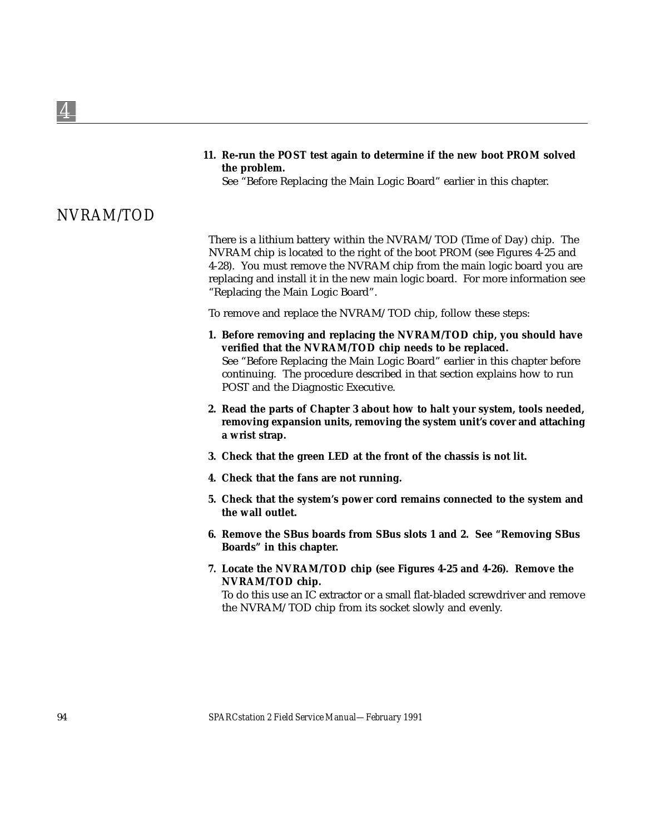**11. Re-run the POST test again to determine if the new boot PROM solved the problem.**

See "Before Replacing the Main Logic Board" earlier in this chapter.

# *NVRAM/TOD*

There is a lithium battery within the NVRAM/TOD (Time of Day) chip. The NVRAM chip is located to the right of the boot PROM (see Figures 4-25 and 4-28). You must remove the NVRAM chip from the main logic board you are replacing and install it in the new main logic board. For more information see "Replacing the Main Logic Board".

To remove and replace the NVRAM/TOD chip, follow these steps:

- **1. Before removing and replacing the NVRAM/TOD chip, you should have verified that the NVRAM/TOD chip needs to be replaced.** See "Before Replacing the Main Logic Board" earlier in this chapter before continuing. The procedure described in that section explains how to run POST and the Diagnostic Executive.
- **2. Read the parts of Chapter 3 about how to halt your system, tools needed, removing expansion units, removing the system unit's cover and attaching a wrist strap.**
- **3. Check that the green LED at the front of the chassis is not lit.**
- **4. Check that the fans are not running.**
- **5. Check that the system's power cord remains connected to the system and the wall outlet.**
- **6. Remove the SBus boards from SBus slots 1 and 2. See "Removing SBus Boards" in this chapter.**
- **7. Locate the NVRAM/TOD chip (see Figures 4-25 and 4-26). Remove the NVRAM/TOD chip.**

To do this use an IC extractor or a small flat-bladed screwdriver and remove the NVRAM/TOD chip from its socket slowly and evenly.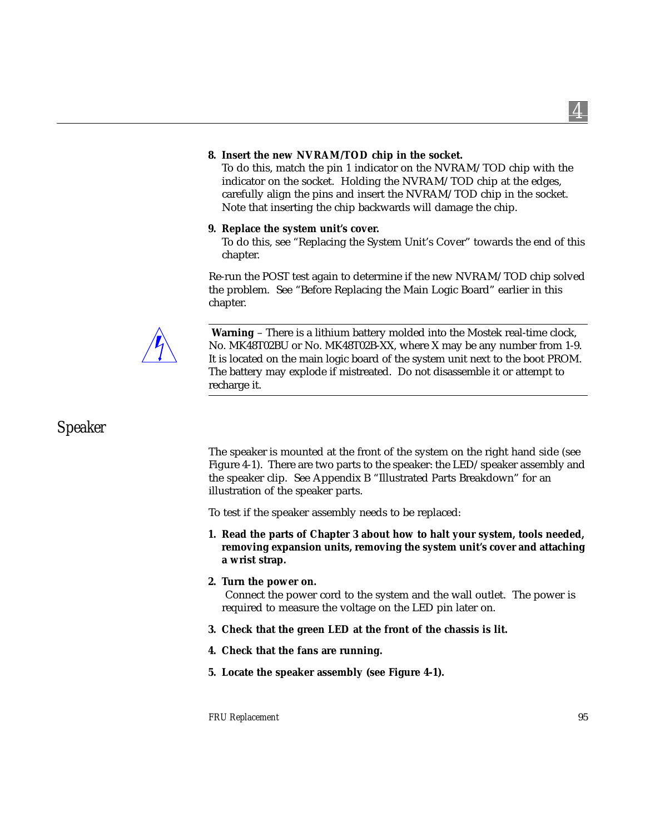#### **8. Insert the new NVRAM/TOD chip in the socket.**

To do this, match the pin 1 indicator on the NVRAM/TOD chip with the indicator on the socket. Holding the NVRAM/TOD chip at the edges, carefully align the pins and insert the NVRAM/TOD chip in the socket. Note that inserting the chip backwards will damage the chip.

#### **9. Replace the system unit's cover.**

To do this, see "Replacing the System Unit's Cover" towards the end of this chapter.

Re-run the POST test again to determine if the new NVRAM/TOD chip solved the problem. See "Before Replacing the Main Logic Board" earlier in this chapter.



**Warning** – There is a lithium battery molded into the Mostek real-time clock, No. MK48T02BU or No. MK48T02B-XX, where X may be any number from 1-9. It is located on the main logic board of the system unit next to the boot PROM. The battery may explode if mistreated. Do not disassemble it or attempt to recharge it.

## *Speaker*

The speaker is mounted at the front of the system on the right hand side (see Figure 4-1). There are two parts to the speaker: the LED/speaker assembly and the speaker clip. See Appendix B "Illustrated Parts Breakdown" for an illustration of the speaker parts.

To test if the speaker assembly needs to be replaced:

- **1. Read the parts of Chapter 3 about how to halt your system, tools needed, removing expansion units, removing the system unit's cover and attaching a wrist strap.**
- **2. Turn the power on.**

Connect the power cord to the system and the wall outlet. The power is required to measure the voltage on the LED pin later on.

- **3. Check that the green LED at the front of the chassis is lit.**
- **4. Check that the fans are running.**
- **5. Locate the speaker assembly (see Figure 4-1).**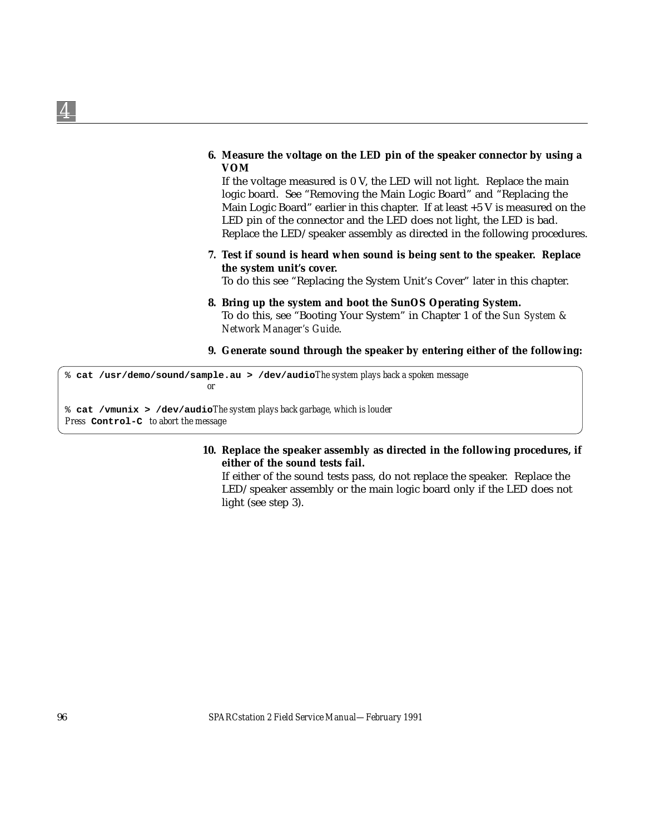#### **6. Measure the voltage on the LED pin of the speaker connector by using a VOM**

If the voltage measured is 0 V, the LED will not light. Replace the main logic board. See "Removing the Main Logic Board" and "Replacing the Main Logic Board" earlier in this chapter. If at least  $+5$  V is measured on the LED pin of the connector and the LED does not light, the LED is bad. Replace the LED/speaker assembly as directed in the following procedures.

**7. Test if sound is heard when sound is being sent to the speaker. Replace the system unit's cover.**

To do this see "Replacing the System Unit's Cover" later in this chapter.

- **8. Bring up the system and boot the SunOS Operating System.** To do this, see "Booting Your System" in Chapter 1 of the *Sun System & Network Manager's Guide*.
- **9. Generate sound through the speaker by entering either of the following:**

% **cat /usr/demo/sound/sample.au > /dev/audio***The system plays back a spoken message or*

% **cat /vmunix > /dev/audio***The system plays back garbage, which is louder Press* **Control-C** *to abort the message*

#### **10. Replace the speaker assembly as directed in the following procedures, if either of the sound tests fail.**

If either of the sound tests pass, do not replace the speaker. Replace the LED/speaker assembly or the main logic board only if the LED does not light (see step 3).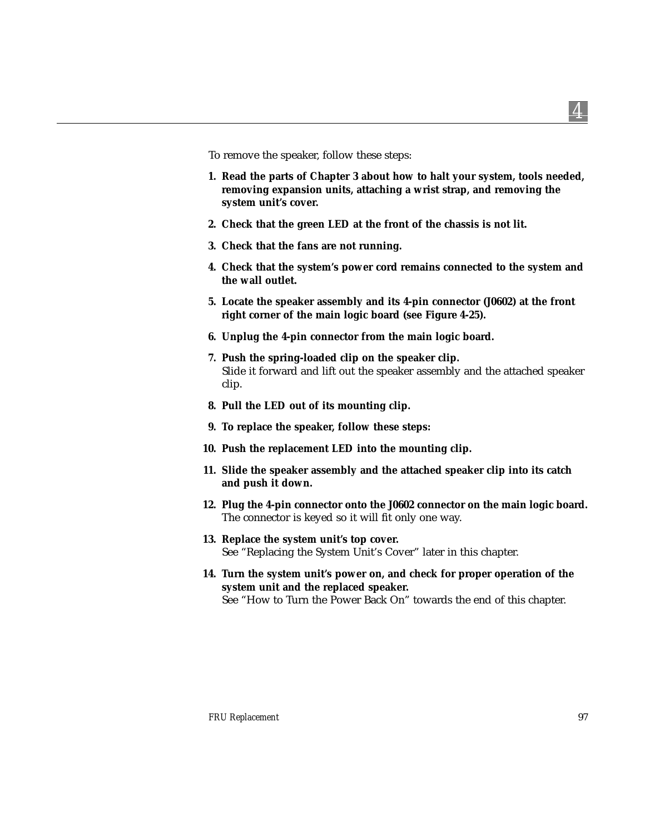To remove the speaker, follow these steps:

- **1. Read the parts of Chapter 3 about how to halt your system, tools needed, removing expansion units, attaching a wrist strap, and removing the system unit's cover.**
- **2. Check that the green LED at the front of the chassis is not lit.**
- **3. Check that the fans are not running.**
- **4. Check that the system's power cord remains connected to the system and the wall outlet.**
- **5. Locate the speaker assembly and its 4-pin connector (J0602) at the front right corner of the main logic board (see Figure 4-25).**
- **6. Unplug the 4-pin connector from the main logic board.**
- **7. Push the spring-loaded clip on the speaker clip.** Slide it forward and lift out the speaker assembly and the attached speaker clip.
- **8. Pull the LED out of its mounting clip.**
- **9. To replace the speaker, follow these steps:**
- **10. Push the replacement LED into the mounting clip.**
- **11. Slide the speaker assembly and the attached speaker clip into its catch and push it down.**
- **12. Plug the 4-pin connector onto the J0602 connector on the main logic board.** The connector is keyed so it will fit only one way.
- **13. Replace the system unit's top cover.** See "Replacing the System Unit's Cover" later in this chapter.
- **14. Turn the system unit's power on, and check for proper operation of the system unit and the replaced speaker.** See "How to Turn the Power Back On" towards the end of this chapter.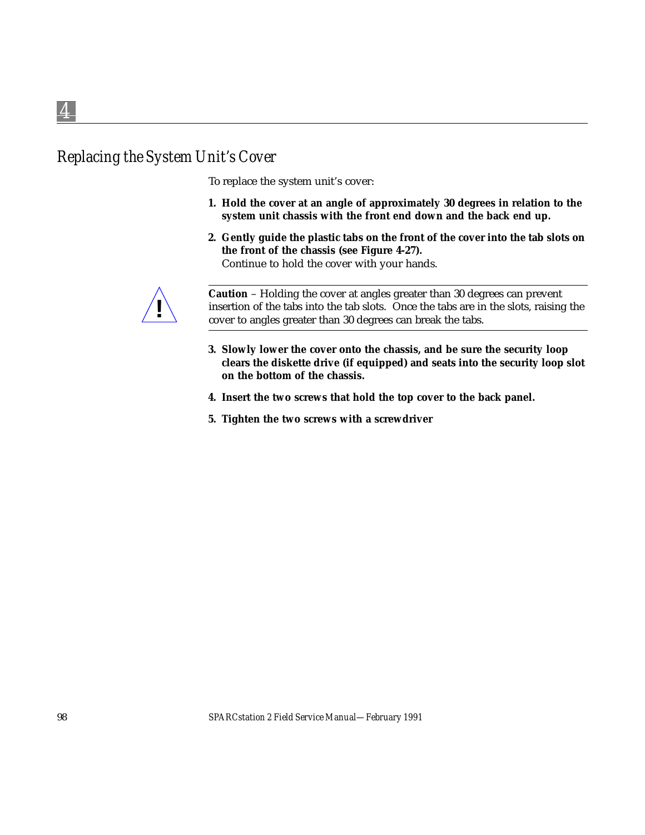# *Replacing the System Unit's Cover*

To replace the system unit's cover:

- **1. Hold the cover at an angle of approximately 30 degrees in relation to the system unit chassis with the front end down and the back end up.**
- **2. Gently guide the plastic tabs on the front of the cover into the tab slots on the front of the chassis (see Figure 4-27).** Continue to hold the cover with your hands.



**Caution** – Holding the cover at angles greater than 30 degrees can prevent insertion of the tabs into the tab slots. Once the tabs are in the slots, raising the cover to angles greater than 30 degrees can break the tabs.

- **3. Slowly lower the cover onto the chassis, and be sure the security loop clears the diskette drive (if equipped) and seats into the security loop slot on the bottom of the chassis.**
- **4. Insert the two screws that hold the top cover to the back panel.**
- **5. Tighten the two screws with a screwdriver**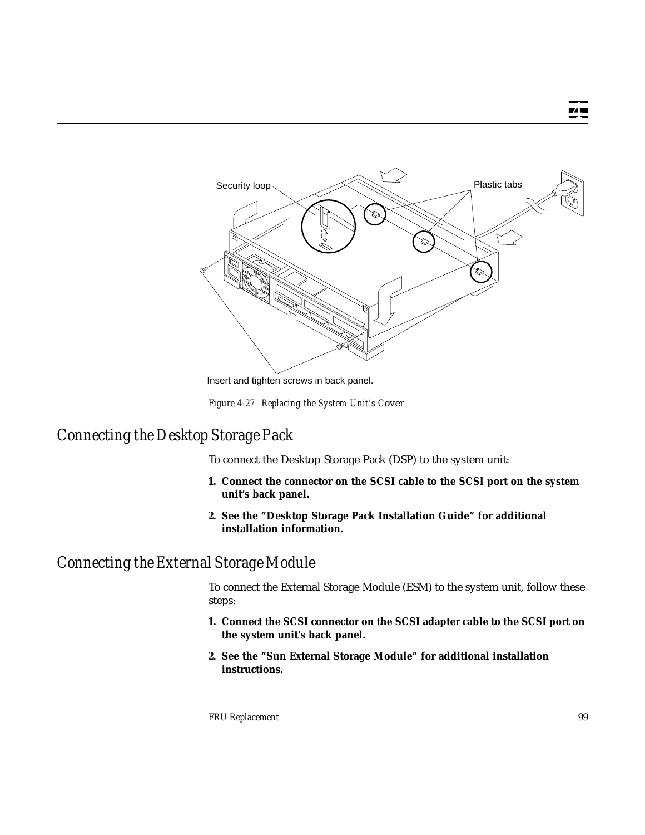

Insert and tighten screws in back panel.

*Figure 4-27 Replacing the System Unit's C*over

# *Connecting the Desktop Storage Pack*

To connect the Desktop Storage Pack (DSP) to the system unit:

- **1. Connect the connector on the SCSI cable to the SCSI port on the system unit's back panel.**
- **2. See the "Desktop Storage Pack Installation Guide" for additional installation information.**

# *Connecting the External Storage Module*

To connect the External Storage Module (ESM) to the system unit, follow these steps:

- **1. Connect the SCSI connector on the SCSI adapter cable to the SCSI port on the system unit's back panel.**
- **2. See the "Sun External Storage Module" for additional installation instructions.**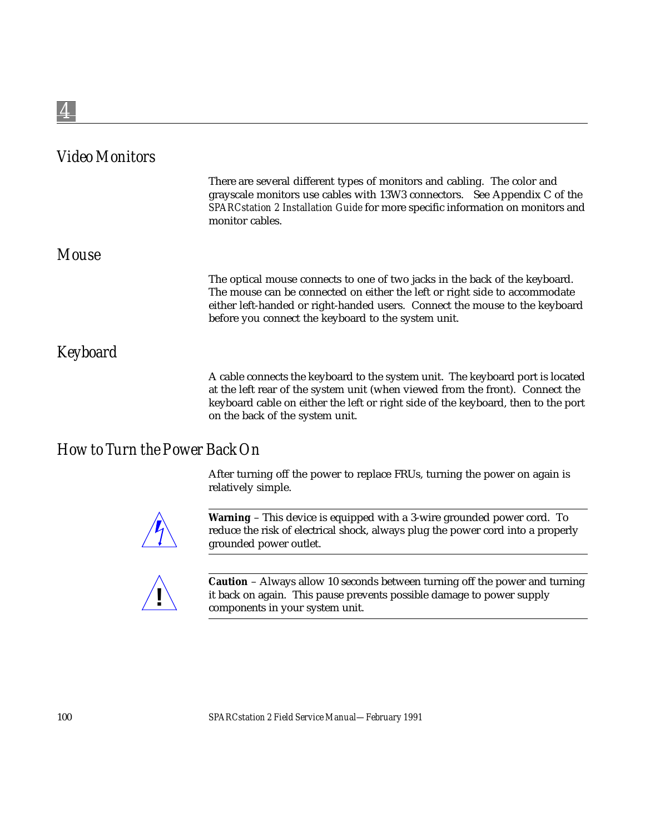| <b>Video Monitors</b> |                                                                                                                                                                                                                                                                                                 |
|-----------------------|-------------------------------------------------------------------------------------------------------------------------------------------------------------------------------------------------------------------------------------------------------------------------------------------------|
|                       | There are several different types of monitors and cabling. The color and<br>grayscale monitors use cables with 13W3 connectors. See Appendix C of the<br>SPARCstation 2 Installation Guide for more specific information on monitors and<br>monitor cables.                                     |
| <b>Mouse</b>          |                                                                                                                                                                                                                                                                                                 |
|                       | The optical mouse connects to one of two jacks in the back of the keyboard.<br>The mouse can be connected on either the left or right side to accommodate<br>either left-handed or right-handed users. Connect the mouse to the keyboard<br>before you connect the keyboard to the system unit. |
| <b>Keyboard</b>       |                                                                                                                                                                                                                                                                                                 |
|                       | A cable connects the keyboard to the system unit. The keyboard port is located<br>at the left rear of the system unit (when viewed from the front). Connect the<br>keyboard cable on either the left or right side of the keyboard, then to the port<br>on the back of the system unit.         |

# *How to Turn the Power Back On*

After turning off the power to replace FRUs, turning the power on again is relatively simple.



**Warning** – This device is equipped with a 3-wire grounded power cord. To reduce the risk of electrical shock, always plug the power cord into a properly grounded power outlet.



**Caution** – Always allow 10 seconds between turning off the power and turning it back on again. This pause prevents possible damage to power supply components in your system unit. **!**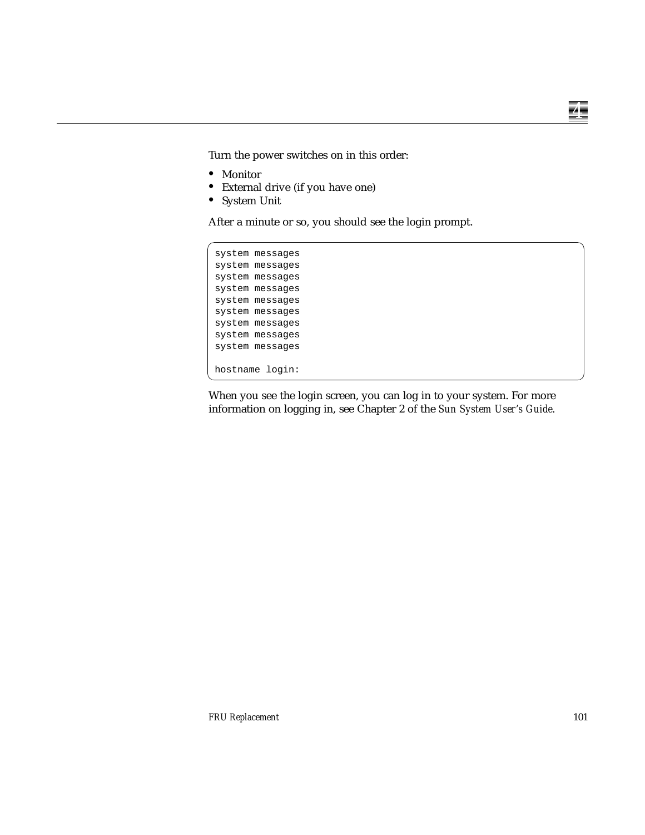*4*

Turn the power switches on in this order:

- **•** Monitor
- **•** External drive (if you have one)
- **•** System Unit

After a minute or so, you should see the login prompt.

```
system messages
system messages
system messages
system messages
system messages
system messages
system messages
system messages
system messages
hostname login:
```
When you see the login screen, you can log in to your system. For more information on logging in, see Chapter 2 of the *Sun System User's Guide*.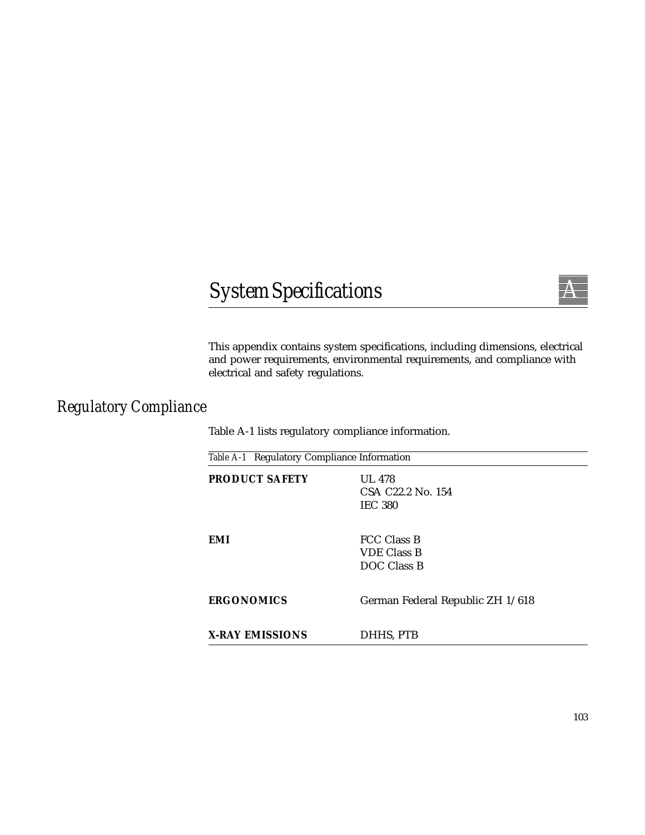# $SystemSpecifications$



This appendix contains system specifications, including dimensions, electrical and power requirements, environmental requirements, and compliance with electrical and safety regulations.

# *Regulatory Compliance*

Table A-1 lists regulatory compliance information.

| Table A-1 Regulatory Compliance Information |                                                                  |
|---------------------------------------------|------------------------------------------------------------------|
| <b>PRODUCT SAFETY</b>                       | <b>UL 478</b><br>CSA C <sub>22.2</sub> No. 154<br><b>IEC 380</b> |
| EMI                                         | <b>FCC Class B</b><br><b>VDE Class B</b><br>DOC Class B          |
| <b>ERGONOMICS</b>                           | German Federal Republic ZH 1/618                                 |
| <b>X-RAY EMISSIONS</b>                      | DHHS, PTB                                                        |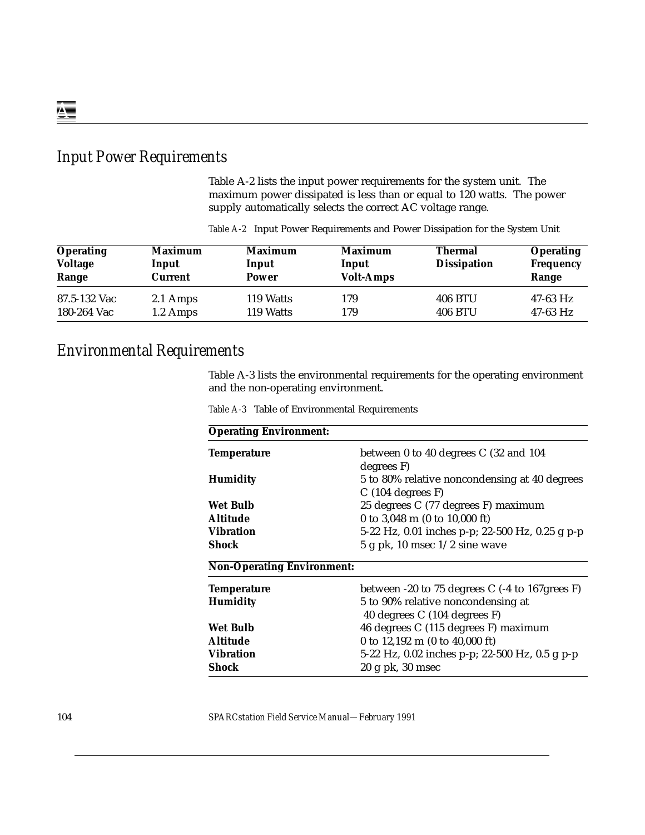# *Input Power Requirements*

Table A-2 lists the input power requirements for the system unit. The maximum power dissipated is less than or equal to 120 watts. The power supply automatically selects the correct AC voltage range.

| <b>Operating</b><br><b>Voltage</b><br>Range | <b>Maximum</b><br>Input<br>Current | <b>Maximum</b><br>Input<br>Power | <b>Maximum</b><br>Input<br><b>Volt-Amps</b> | <b>Thermal</b><br><b>Dissipation</b> | <b>Operating</b><br><b>Frequency</b><br>Range |
|---------------------------------------------|------------------------------------|----------------------------------|---------------------------------------------|--------------------------------------|-----------------------------------------------|
| 87.5-132 Vac                                | 2.1 Amps                           | 119 Watts                        | 179                                         | 406 BTU                              | $47-63$ Hz                                    |
| 180-264 Vac                                 | 1.2 Amps                           | 119 Watts                        | 179                                         | 406 BTU                              | $47-63$ Hz                                    |

*Table A-2* Input Power Requirements and Power Dissipation for the System Unit

#### *Environmental Requirements*

Table A-3 lists the environmental requirements for the operating environment and the non-operating environment.

| <b>Operating Environment:</b>     |                                                                       |
|-----------------------------------|-----------------------------------------------------------------------|
| <b>Temperature</b>                | between 0 to 40 degrees C (32 and 104<br>degrees F)                   |
| <b>Humidity</b>                   | 5 to 80% relative noncondensing at 40 degrees<br>$C(104$ degrees $F)$ |
| Wet Bulb                          | 25 degrees C (77 degrees F) maximum                                   |
| <b>Altitude</b>                   | 0 to 3,048 m $(0 \text{ to } 10,000 \text{ ft})$                      |
| <b>Vibration</b>                  | 5-22 Hz, 0.01 inches p-p; 22-500 Hz, 0.25 g p-p                       |
| Shock                             | $5$ g pk, 10 msec $1/2$ sine wave                                     |
| <b>Non-Operating Environment:</b> |                                                                       |
| <b>Temperature</b>                | between -20 to 75 degrees C (-4 to 167grees F)                        |
| <b>Humidity</b>                   | 5 to 90% relative noncondensing at                                    |
|                                   | 40 degrees C (104 degrees F)                                          |
| Wet Bulb                          | 46 degrees C (115 degrees F) maximum                                  |
| <b>Altitude</b>                   | 0 to $12,192 \text{ m}$ (0 to $40,000 \text{ ft}$ )                   |
| <b>Vibration</b>                  | 5-22 Hz, 0.02 inches p-p; 22-500 Hz, 0.5 g p-p                        |
| Shock                             | $20 \text{ g}$ pk, $30 \text{ msec}$                                  |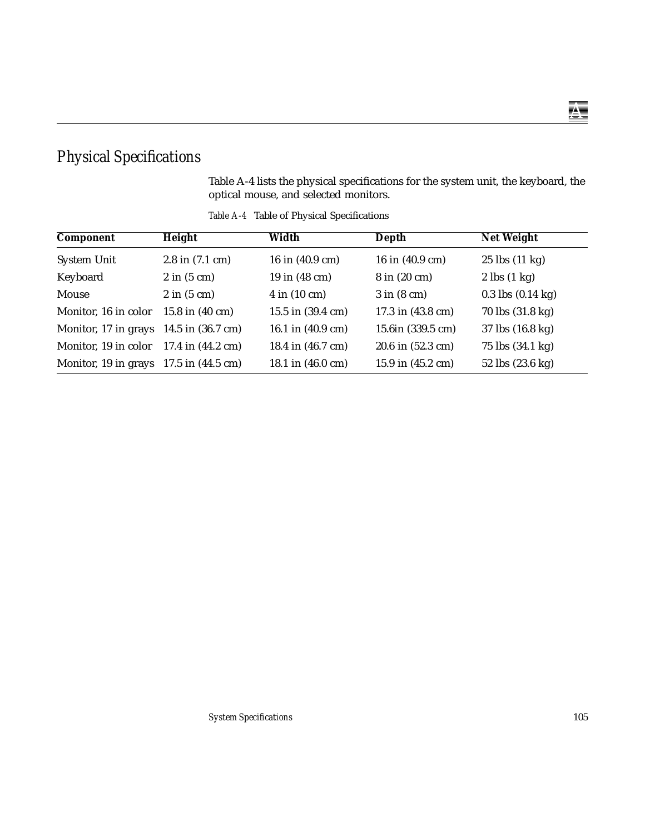# *Physical Specifications*

Table A-4 lists the physical specifications for the system unit, the keyboard, the optical mouse, and selected monitors.

| Component                                          | Height                         | Width                         | Depth                   | <b>Net Weight</b>             |
|----------------------------------------------------|--------------------------------|-------------------------------|-------------------------|-------------------------------|
| <b>System Unit</b>                                 | $2.8$ in $(7.1$ cm)            | 16 in (40.9 cm)               | 16 in (40.9 cm)         | $25$ lbs $(11 \text{ kg})$    |
| Keyboard                                           | $2 \text{ in } (5 \text{ cm})$ | 19 in (48 cm)                 | 8 in (20 cm)            | $2$ lbs $(1 \text{ kg})$      |
| Mouse                                              | $2$ in $(5 \text{ cm})$        | $4$ in $(10 \text{ cm})$      | $3$ in $(8 \text{ cm})$ | $0.3$ lbs $(0.14 \text{ kg})$ |
| Monitor, 16 in color                               | 15.8 in $(40 \text{ cm})$      | $15.5$ in $(39.4 \text{ cm})$ | 17.3 in (43.8 cm)       | 70 lbs (31.8 kg)              |
| Monitor, 17 in grays $14.5$ in $(36.7 \text{ cm})$ |                                | 16.1 in (40.9 cm)             | 15.6in (339.5 cm)       | $37$ lbs $(16.8 \text{ kg})$  |
| Monitor, 19 in color $17.4$ in $(44.2 \text{ cm})$ |                                | 18.4 in (46.7 cm)             | 20.6 in (52.3 cm)       | 75 lbs (34.1 kg)              |
| Monitor, 19 in grays $17.5$ in $(44.5 \text{ cm})$ |                                | 18.1 in (46.0 cm)             | 15.9 in (45.2 cm)       | 52 lbs $(23.6 \text{ kg})$    |

*Table A-4* Table of Physical Specifications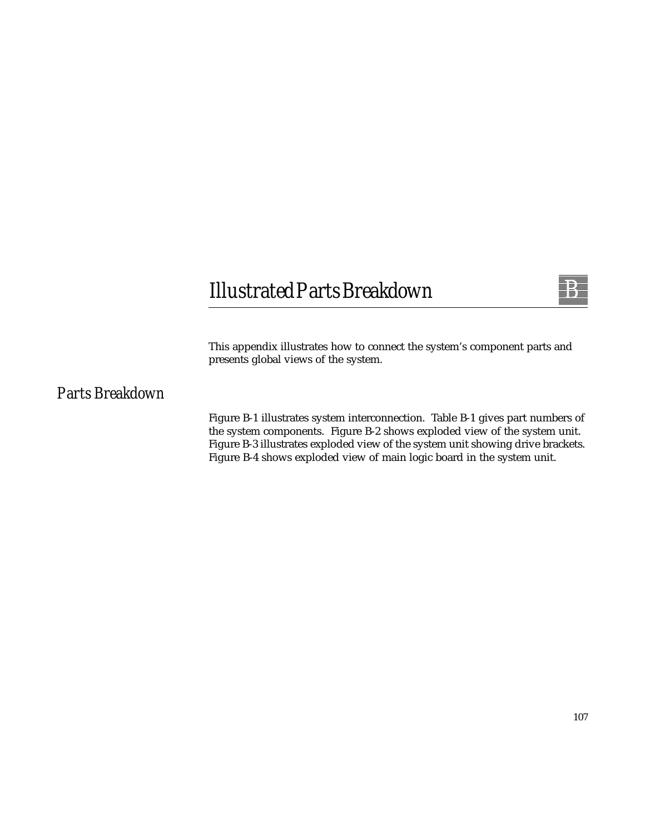# *Illustrated Parts Breakdown*



This appendix illustrates how to connect the system's component parts and presents global views of the system.

# *Parts Breakdown*

Figure B-1 illustrates system interconnection. Table B-1 gives part numbers of the system components. Figure B-2 shows exploded view of the system unit. Figure B-3 illustrates exploded view of the system unit showing drive brackets. Figure B-4 shows exploded view of main logic board in the system unit.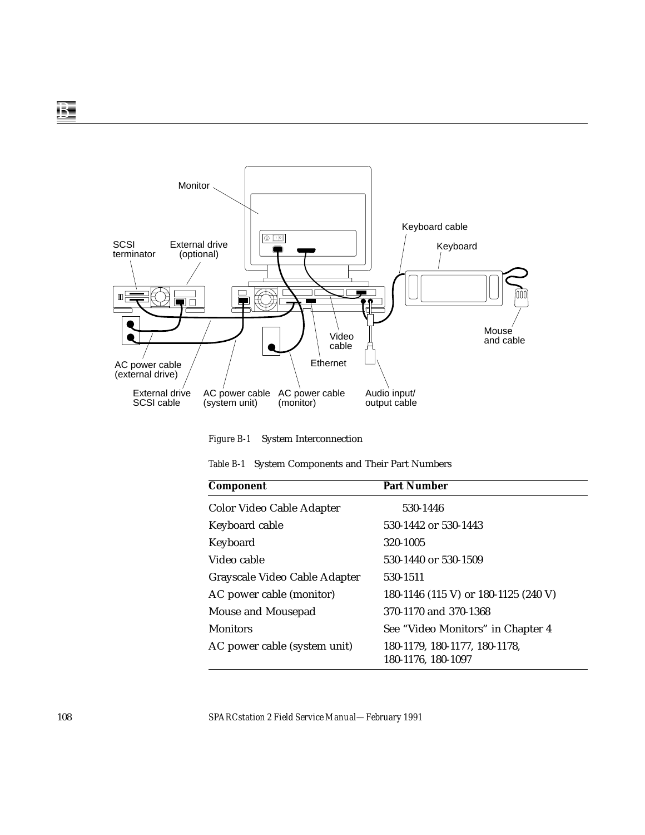

*Figure B-1* System Interconnection

|  |  | Table B-1 System Components and Their Part Numbers |  |  |  |  |
|--|--|----------------------------------------------------|--|--|--|--|
|--|--|----------------------------------------------------|--|--|--|--|

| Component                     | <b>Part Number</b>                                  |
|-------------------------------|-----------------------------------------------------|
| Color Video Cable Adapter     | 530-1446                                            |
| Keyboard cable                | 530-1442 or 530-1443                                |
| Keyboard                      | 320-1005                                            |
| Video cable                   | 530-1440 or 530-1509                                |
| Grayscale Video Cable Adapter | 530-1511                                            |
| AC power cable (monitor)      | 180-1146 (115 V) or 180-1125 (240 V)                |
| Mouse and Mousepad            | 370-1170 and 370-1368                               |
| <b>Monitors</b>               | See "Video Monitors" in Chapter 4                   |
| AC power cable (system unit)  | 180-1179, 180-1177, 180-1178,<br>180-1176, 180-1097 |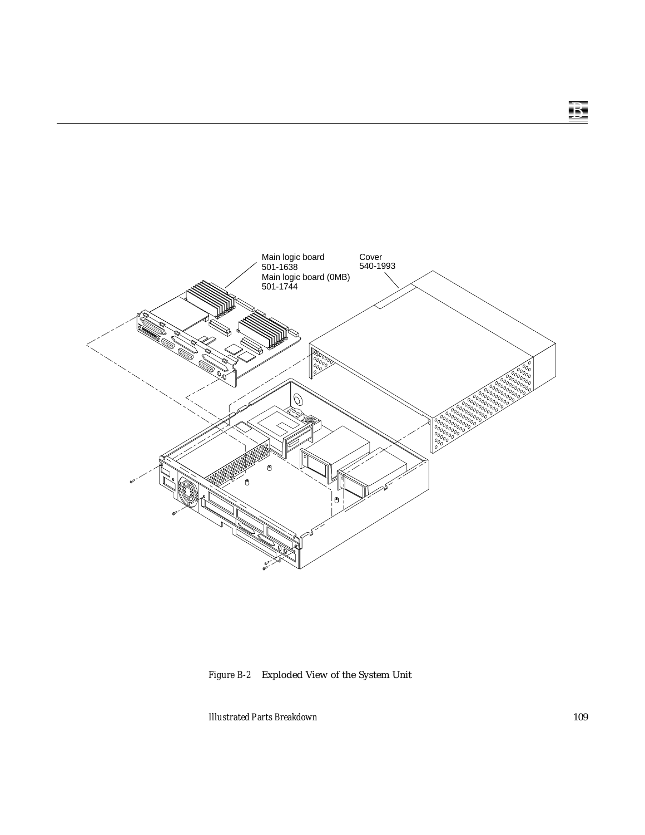

*Figure B-2* Exploded View of the System Unit

*Illustrated Parts Breakdown* 109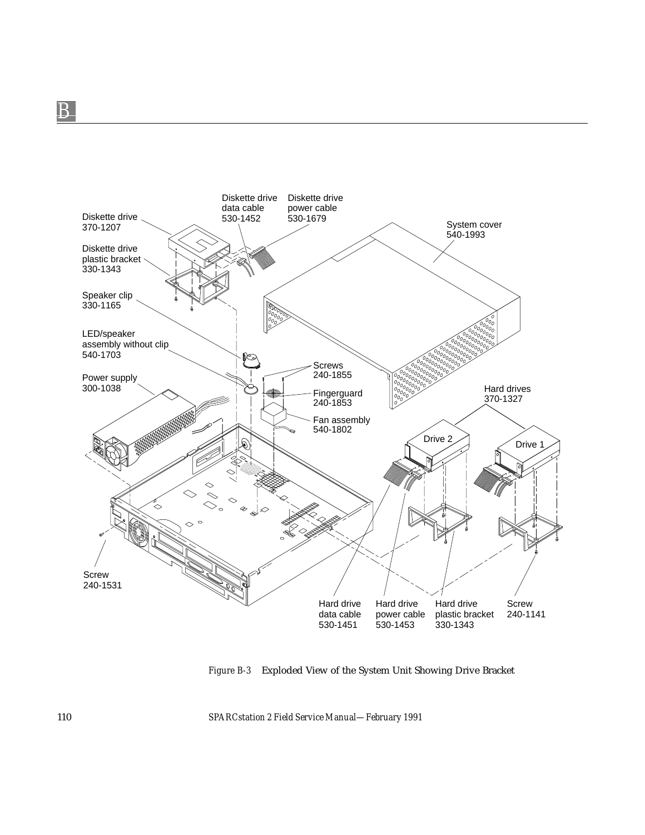

*Figure B-3* Exploded View of the System Unit Showing Drive Bracket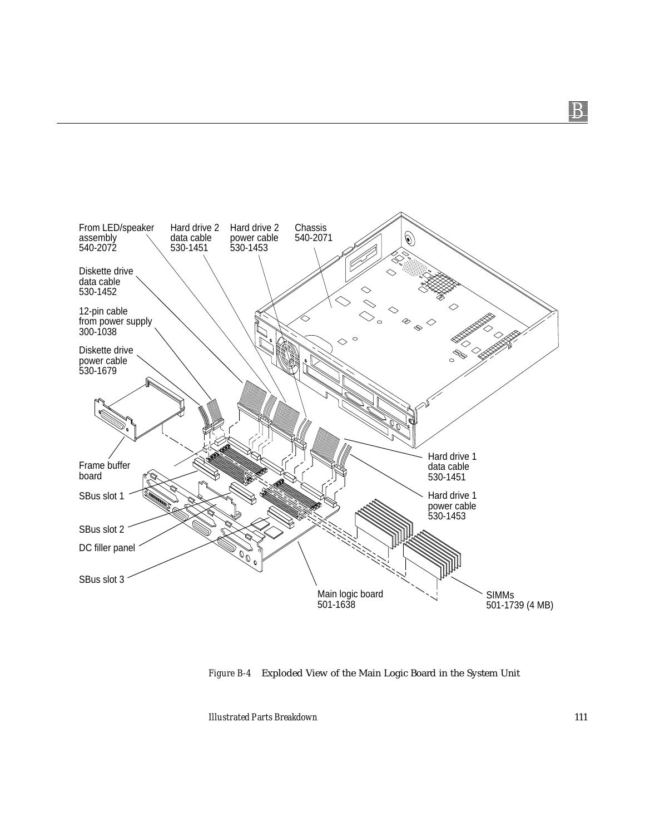

*Figure B-4* Exploded View of the Main Logic Board in the System Unit

*Illustrated Parts Breakdown* 111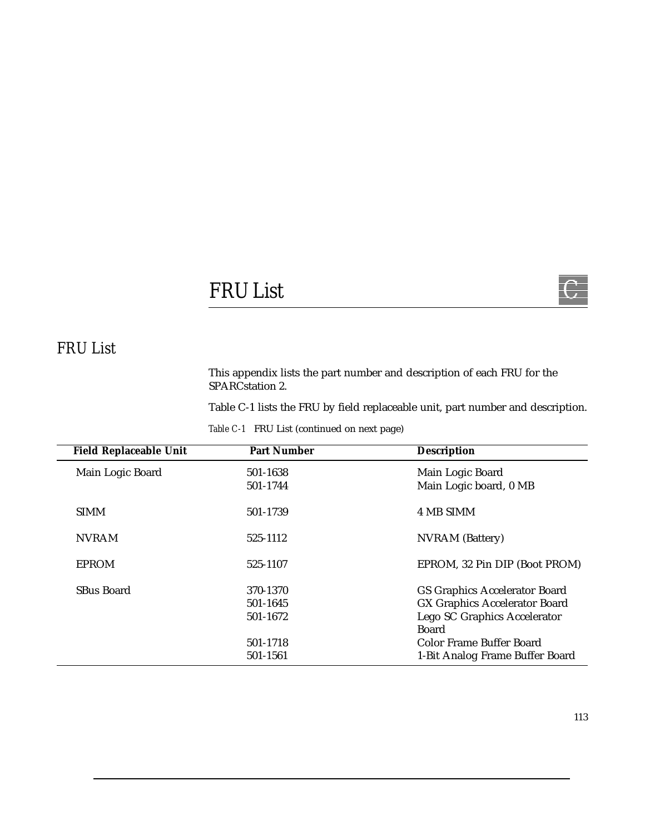# $FRUList$

# *FRU List*

This appendix lists the part number and description of each FRU for the SPARCstation 2.

Table C-1 lists the FRU by field replaceable unit, part number and description.

|  |  |  | Table C-1 FRU List (continued on next page) |  |  |  |
|--|--|--|---------------------------------------------|--|--|--|
|--|--|--|---------------------------------------------|--|--|--|

| <b>Field Replaceable Unit</b> | <b>Part Number</b>                           | <b>Description</b>                                                                                                                                |
|-------------------------------|----------------------------------------------|---------------------------------------------------------------------------------------------------------------------------------------------------|
| Main Logic Board              | 501-1638<br>501-1744                         | Main Logic Board<br>Main Logic board, 0 MB                                                                                                        |
| <b>SIMM</b>                   | 501-1739                                     | 4 MB SIMM                                                                                                                                         |
| <b>NVRAM</b>                  | 525-1112                                     | <b>NVRAM</b> (Battery)                                                                                                                            |
| <b>EPROM</b>                  | 525-1107                                     | EPROM, 32 Pin DIP (Boot PROM)                                                                                                                     |
| SBus Board                    | 370-1370<br>501-1645<br>501-1672<br>501-1718 | <b>GS Graphics Accelerator Board</b><br><b>GX Graphics Accelerator Board</b><br>Lego SC Graphics Accelerator<br>Board<br>Color Frame Buffer Board |
|                               | 501-1561                                     | 1-Bit Analog Frame Buffer Board                                                                                                                   |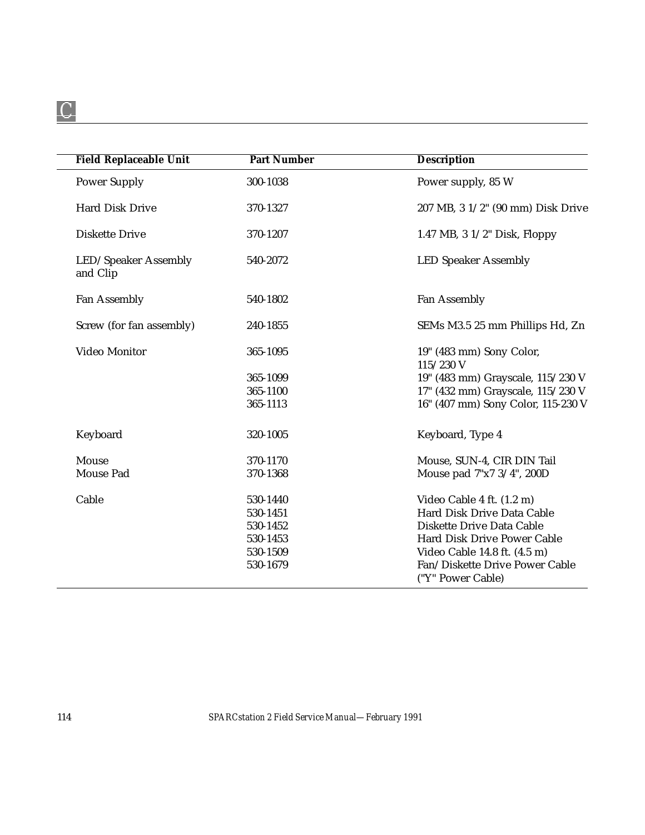| <b>Field Replaceable Unit</b>    | <b>Part Number</b> | <b>Description</b>                      |
|----------------------------------|--------------------|-----------------------------------------|
| <b>Power Supply</b>              | 300-1038           | Power supply, 85 W                      |
| <b>Hard Disk Drive</b>           | 370-1327           | 207 MB, 3 1/2" (90 mm) Disk Drive       |
| <b>Diskette Drive</b>            | 370-1207           | 1.47 MB, $3 \frac{1}{2}$ " Disk, Floppy |
| LED/Speaker Assembly<br>and Clip | 540-2072           | <b>LED Speaker Assembly</b>             |
| Fan Assembly                     | 540-1802           | <b>Fan Assembly</b>                     |
| Screw (for fan assembly)         | 240-1855           | SEMs M3.5 25 mm Phillips Hd, Zn         |
| Video Monitor                    | 365-1095           | 19" (483 mm) Sony Color,<br>115/230 V   |
|                                  | 365-1099           | 19" (483 mm) Grayscale, 115/230 V       |
|                                  | 365-1100           | 17" (432 mm) Grayscale, 115/230 V       |
|                                  | 365-1113           | 16" (407 mm) Sony Color, 115-230 V      |
| Keyboard                         | 320-1005           | Keyboard, Type 4                        |
| Mouse                            | 370-1170           | Mouse, SUN-4, CIR DIN Tail              |
| Mouse Pad                        | 370-1368           | Mouse pad 7"x7 3/4", 200D               |
| Cable                            | 530-1440           | Video Cable 4 ft. (1.2 m)               |
|                                  | 530-1451           | Hard Disk Drive Data Cable              |
|                                  | 530-1452           | Diskette Drive Data Cable               |
|                                  | 530-1453           | Hard Disk Drive Power Cable             |
|                                  | 530-1509           | Video Cable 14.8 ft. (4.5 m)            |
|                                  | 530-1679           | Fan/Diskette Drive Power Cable          |
|                                  |                    | ("Y" Power Cable)                       |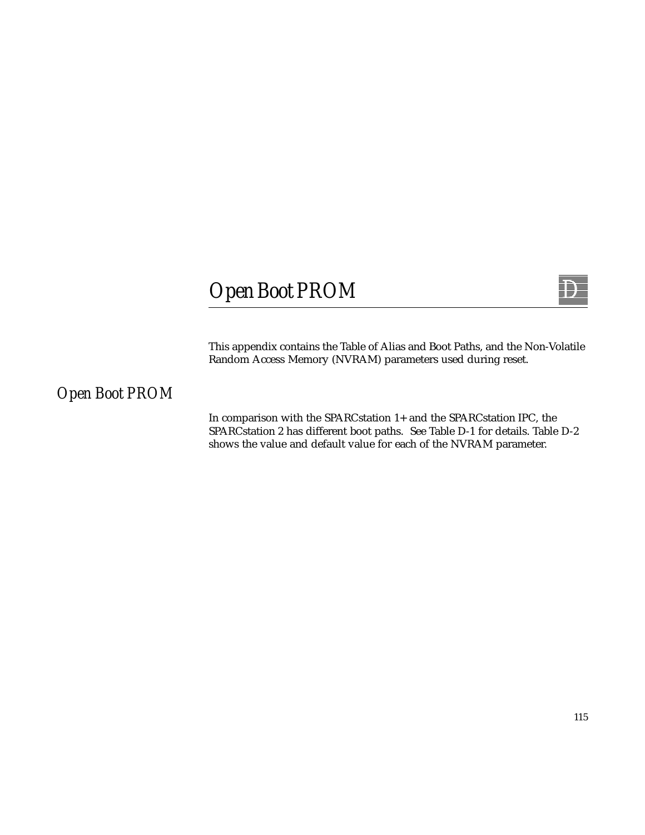# $Open$  *Boot PROM*



This appendix contains the Table of Alias and Boot Paths, and the Non-Volatile Random Access Memory (NVRAM) parameters used during reset.

# *Open Boot PROM*

In comparison with the SPARCstation 1+ and the SPARCstation IPC, the SPARCstation 2 has different boot paths. See Table D-1 for details. Table D-2 shows the value and default value for each of the NVRAM parameter.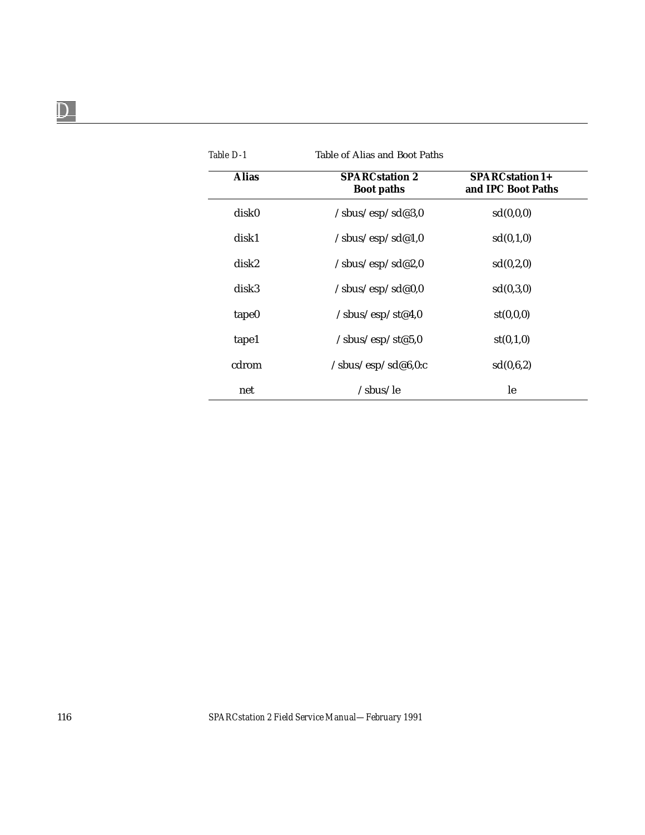| Table D-1    |                                               |                                       |
|--------------|-----------------------------------------------|---------------------------------------|
| <b>Alias</b> | <b>SPARCstation 2</b><br><b>Boot paths</b>    | SPARCstation 1+<br>and IPC Boot Paths |
| disk0        | $\mathsf{/sbus}/\mathrm{esp}/\mathrm{sd}@3,0$ | sd(0,0,0)                             |
| disk1        | /sbus/esp/sd@1,0                              | sd(0,1,0)                             |
| disk2        | $\mathsf{y}_s$ bus/esp/sd@2,0                 | sd(0,2,0)                             |
| disk3        | /sbus/esp/sd@0,0                              | sd(0,3,0)                             |
| tape0        | /sbus/esp/st@4,0                              | st(0,0,0)                             |
| tape1        | /sbus/esp/st@5,0                              | st(0,1,0)                             |
| cdrom        | $\sqrt{\text{sbus}}/\text{esp/sd@6,0:c}$      | sd(0,6,2)                             |
| net          | /sbus/le                                      | le                                    |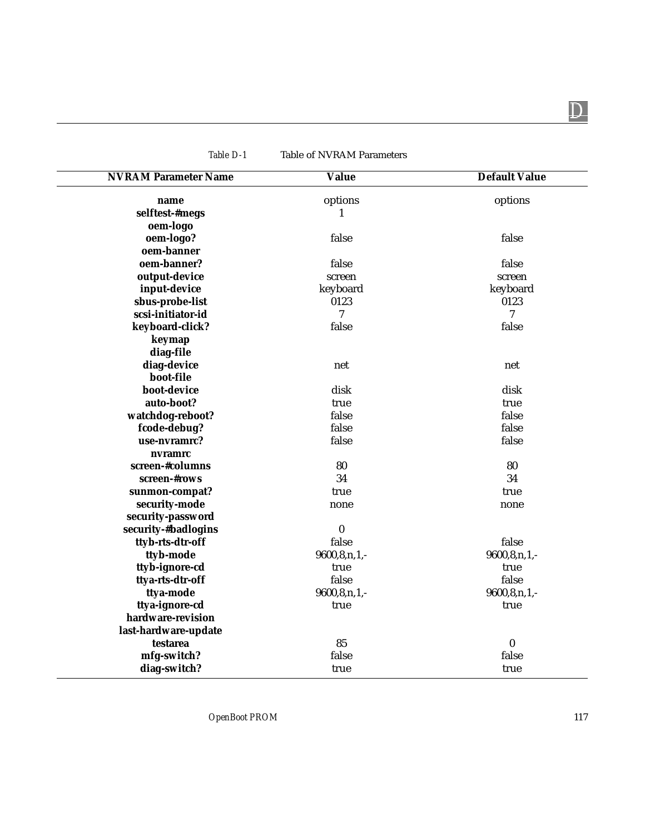| <b>NVRAM Parameter Name</b> | <b>Value</b>       | <b>Default Value</b> |
|-----------------------------|--------------------|----------------------|
|                             | options            |                      |
| name<br>selftest-#megs      | 1                  | options              |
| oem-logo                    |                    |                      |
|                             | false              | false                |
| oem-logo?<br>oem-banner     |                    |                      |
| oem-banner?                 | false              | false                |
|                             |                    |                      |
| output-device               | screen             | screen               |
| input-device                | keyboard           | keyboard             |
| sbus-probe-list             | 0123               | 0123                 |
| scsi-initiator-id           | $\overline{7}$     | 7                    |
| keyboard-click?             | false              | false                |
| keymap                      |                    |                      |
| diag-file                   |                    |                      |
| diag-device                 | net                | net                  |
| boot-file                   |                    |                      |
| boot-device                 | disk               | disk                 |
| auto-boot?                  | true               | true                 |
| watchdog-reboot?            | false              | false                |
| fcode-debug?                | false              | false                |
| use-nvramrc?                | false              | false                |
| nvramrc                     |                    |                      |
| screen-#columns             | 80                 | 80                   |
| screen-#rows                | 34                 | 34                   |
| sunmon-compat?              | true               | true                 |
| security-mode               | none               | none                 |
| security-password           |                    |                      |
| security-#badlogins         | $\bf{0}$           |                      |
| ttyb-rts-dtr-off            | false              | false                |
| ttyb-mode                   | $9600, 8, n, 1, -$ | $9600, 8, n, 1, -$   |
| ttyb-ignore-cd              | true               | true                 |
| ttya-rts-dtr-off            | false              | false                |
| ttya-mode                   | $9600, 8, n, 1, -$ | $9600, 8, n, 1, -$   |
| ttya-ignore-cd              | true               | true                 |
| hardware-revision           |                    |                      |
| last-hardware-update        |                    |                      |
| testarea                    | 85                 | $\boldsymbol{0}$     |
| mfg-switch?                 | false              | false                |
| diag-switch?                | true               | true                 |

*Table D-1* Table of NVRAM Parameters

 $\overline{\phantom{0}}$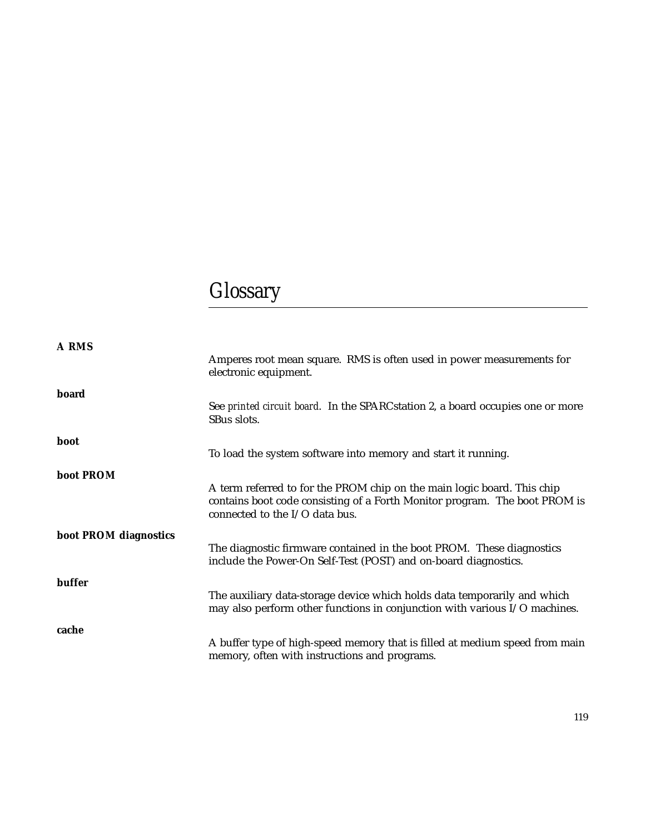# *Glossary*

| A RMS                 |                                                                                                                                                                                         |
|-----------------------|-----------------------------------------------------------------------------------------------------------------------------------------------------------------------------------------|
|                       | Amperes root mean square. RMS is often used in power measurements for<br>electronic equipment.                                                                                          |
| board                 |                                                                                                                                                                                         |
|                       | See printed circuit board. In the SPARCstation 2, a board occupies one or more<br>SBus slots.                                                                                           |
| boot                  |                                                                                                                                                                                         |
|                       | To load the system software into memory and start it running.                                                                                                                           |
| boot PROM             |                                                                                                                                                                                         |
|                       | A term referred to for the PROM chip on the main logic board. This chip<br>contains boot code consisting of a Forth Monitor program. The boot PROM is<br>connected to the I/O data bus. |
| boot PROM diagnostics |                                                                                                                                                                                         |
|                       | The diagnostic firmware contained in the boot PROM. These diagnostics<br>include the Power-On Self-Test (POST) and on-board diagnostics.                                                |
| buffer                |                                                                                                                                                                                         |
|                       | The auxiliary data-storage device which holds data temporarily and which<br>may also perform other functions in conjunction with various I/O machines.                                  |
| cache                 |                                                                                                                                                                                         |
|                       | A buffer type of high-speed memory that is filled at medium speed from main<br>memory, often with instructions and programs.                                                            |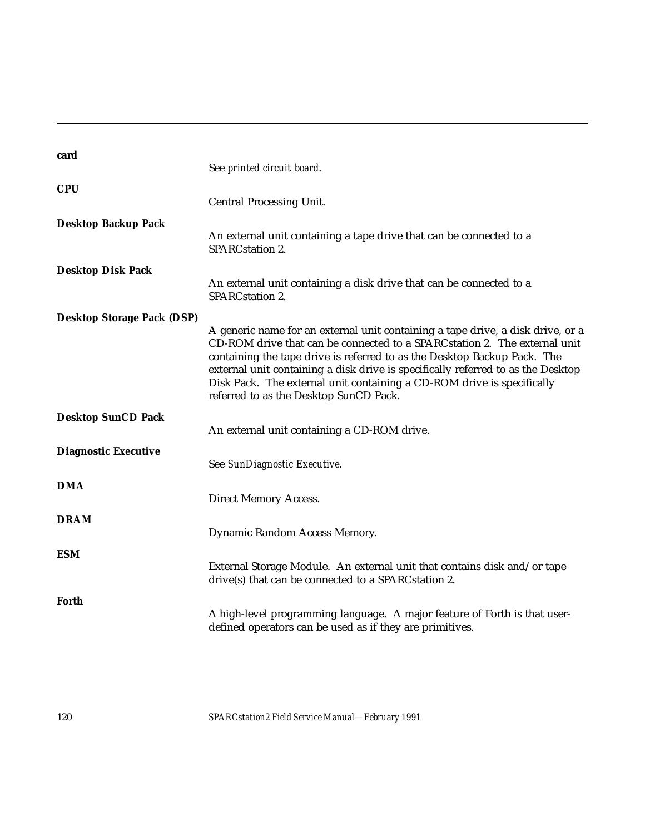| card                              | See printed circuit board.                                                                                                                                                                                                                                                                                                                                                                                                                        |
|-----------------------------------|---------------------------------------------------------------------------------------------------------------------------------------------------------------------------------------------------------------------------------------------------------------------------------------------------------------------------------------------------------------------------------------------------------------------------------------------------|
| <b>CPU</b>                        | <b>Central Processing Unit.</b>                                                                                                                                                                                                                                                                                                                                                                                                                   |
| <b>Desktop Backup Pack</b>        | An external unit containing a tape drive that can be connected to a<br>SPARCstation 2.                                                                                                                                                                                                                                                                                                                                                            |
| <b>Desktop Disk Pack</b>          | An external unit containing a disk drive that can be connected to a<br>SPARCstation 2.                                                                                                                                                                                                                                                                                                                                                            |
| <b>Desktop Storage Pack (DSP)</b> | A generic name for an external unit containing a tape drive, a disk drive, or a<br>CD-ROM drive that can be connected to a SPARC station 2. The external unit<br>containing the tape drive is referred to as the Desktop Backup Pack. The<br>external unit containing a disk drive is specifically referred to as the Desktop<br>Disk Pack. The external unit containing a CD-ROM drive is specifically<br>referred to as the Desktop SunCD Pack. |
| <b>Desktop SunCD Pack</b>         | An external unit containing a CD-ROM drive.                                                                                                                                                                                                                                                                                                                                                                                                       |
| <b>Diagnostic Executive</b>       | See SunDiagnostic Executive.                                                                                                                                                                                                                                                                                                                                                                                                                      |
| <b>DMA</b>                        | <b>Direct Memory Access.</b>                                                                                                                                                                                                                                                                                                                                                                                                                      |
| <b>DRAM</b>                       | Dynamic Random Access Memory.                                                                                                                                                                                                                                                                                                                                                                                                                     |
| <b>ESM</b>                        | External Storage Module. An external unit that contains disk and/or tape<br>drive(s) that can be connected to a SPARC station 2.                                                                                                                                                                                                                                                                                                                  |
| Forth                             | A high-level programming language. A major feature of Forth is that user-<br>defined operators can be used as if they are primitives.                                                                                                                                                                                                                                                                                                             |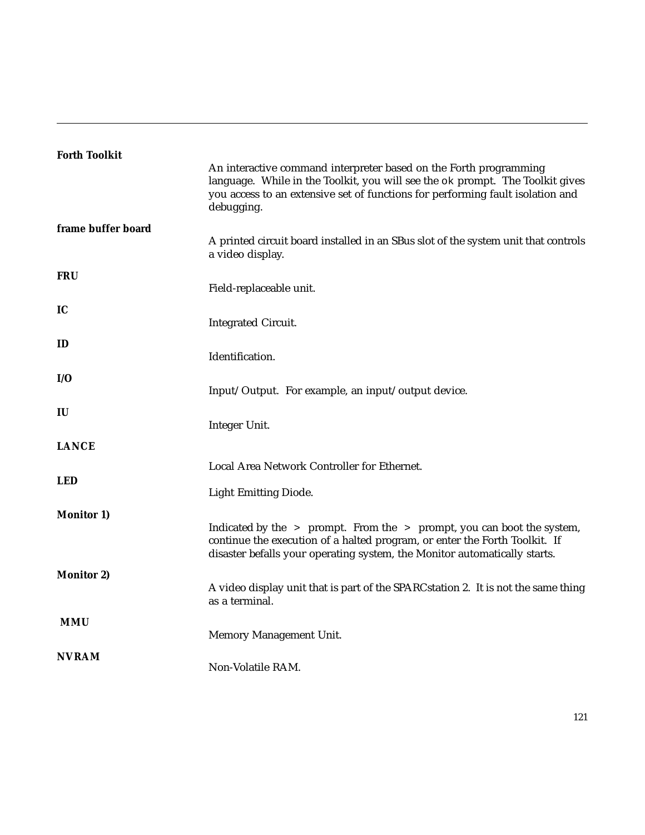| <b>Forth Toolkit</b> |                                                                                                                                                                                                                                                    |
|----------------------|----------------------------------------------------------------------------------------------------------------------------------------------------------------------------------------------------------------------------------------------------|
|                      | An interactive command interpreter based on the Forth programming<br>language. While in the Toolkit, you will see the ok prompt. The Toolkit gives<br>you access to an extensive set of functions for performing fault isolation and<br>debugging. |
| frame buffer board   |                                                                                                                                                                                                                                                    |
|                      | A printed circuit board installed in an SBus slot of the system unit that controls<br>a video display.                                                                                                                                             |
| <b>FRU</b>           |                                                                                                                                                                                                                                                    |
|                      | Field-replaceable unit.                                                                                                                                                                                                                            |
| IC                   |                                                                                                                                                                                                                                                    |
|                      | <b>Integrated Circuit.</b>                                                                                                                                                                                                                         |
| ID                   |                                                                                                                                                                                                                                                    |
|                      | Identification.                                                                                                                                                                                                                                    |
| I/O                  |                                                                                                                                                                                                                                                    |
|                      | Input/Output. For example, an input/output device.                                                                                                                                                                                                 |
| IU                   |                                                                                                                                                                                                                                                    |
|                      | Integer Unit.                                                                                                                                                                                                                                      |
| <b>LANCE</b>         |                                                                                                                                                                                                                                                    |
|                      |                                                                                                                                                                                                                                                    |
| <b>LED</b>           | Local Area Network Controller for Ethernet.                                                                                                                                                                                                        |
|                      | <b>Light Emitting Diode.</b>                                                                                                                                                                                                                       |
|                      |                                                                                                                                                                                                                                                    |
| <b>Monitor 1)</b>    | Indicated by the > prompt. From the > prompt, you can boot the system,                                                                                                                                                                             |
|                      | continue the execution of a halted program, or enter the Forth Toolkit. If                                                                                                                                                                         |
|                      | disaster befalls your operating system, the Monitor automatically starts.                                                                                                                                                                          |
| <b>Monitor 2)</b>    |                                                                                                                                                                                                                                                    |
|                      | A video display unit that is part of the SPARC station 2. It is not the same thing<br>as a terminal.                                                                                                                                               |
| <b>MMU</b>           |                                                                                                                                                                                                                                                    |
|                      | Memory Management Unit.                                                                                                                                                                                                                            |
| <b>NVRAM</b>         |                                                                                                                                                                                                                                                    |
|                      | Non-Volatile RAM.                                                                                                                                                                                                                                  |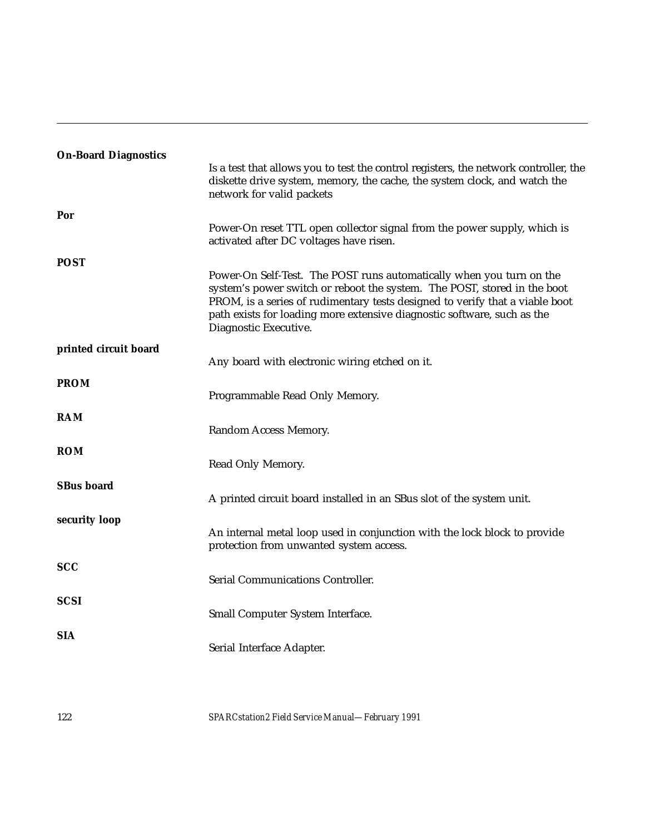| <b>On-Board Diagnostics</b> |                                                                                                                                                                                                                                                                                                                                      |
|-----------------------------|--------------------------------------------------------------------------------------------------------------------------------------------------------------------------------------------------------------------------------------------------------------------------------------------------------------------------------------|
|                             | Is a test that allows you to test the control registers, the network controller, the<br>diskette drive system, memory, the cache, the system clock, and watch the<br>network for valid packets                                                                                                                                       |
| Por                         |                                                                                                                                                                                                                                                                                                                                      |
|                             | Power-On reset TTL open collector signal from the power supply, which is<br>activated after DC voltages have risen.                                                                                                                                                                                                                  |
| <b>POST</b>                 |                                                                                                                                                                                                                                                                                                                                      |
|                             | Power-On Self-Test. The POST runs automatically when you turn on the<br>system's power switch or reboot the system. The POST, stored in the boot<br>PROM, is a series of rudimentary tests designed to verify that a viable boot<br>path exists for loading more extensive diagnostic software, such as the<br>Diagnostic Executive. |
| printed circuit board       |                                                                                                                                                                                                                                                                                                                                      |
|                             | Any board with electronic wiring etched on it.                                                                                                                                                                                                                                                                                       |
| <b>PROM</b>                 |                                                                                                                                                                                                                                                                                                                                      |
|                             | Programmable Read Only Memory.                                                                                                                                                                                                                                                                                                       |
| <b>RAM</b>                  |                                                                                                                                                                                                                                                                                                                                      |
|                             | Random Access Memory.                                                                                                                                                                                                                                                                                                                |
| <b>ROM</b>                  |                                                                                                                                                                                                                                                                                                                                      |
|                             | Read Only Memory.                                                                                                                                                                                                                                                                                                                    |
|                             |                                                                                                                                                                                                                                                                                                                                      |
| <b>SBus board</b>           | A printed circuit board installed in an SBus slot of the system unit.                                                                                                                                                                                                                                                                |
|                             |                                                                                                                                                                                                                                                                                                                                      |
| security loop               | An internal metal loop used in conjunction with the lock block to provide<br>protection from unwanted system access.                                                                                                                                                                                                                 |
| <b>SCC</b>                  |                                                                                                                                                                                                                                                                                                                                      |
|                             | Serial Communications Controller.                                                                                                                                                                                                                                                                                                    |
| <b>SCSI</b>                 |                                                                                                                                                                                                                                                                                                                                      |
|                             | Small Computer System Interface.                                                                                                                                                                                                                                                                                                     |
| <b>SIA</b>                  |                                                                                                                                                                                                                                                                                                                                      |
|                             | Serial Interface Adapter.                                                                                                                                                                                                                                                                                                            |
|                             |                                                                                                                                                                                                                                                                                                                                      |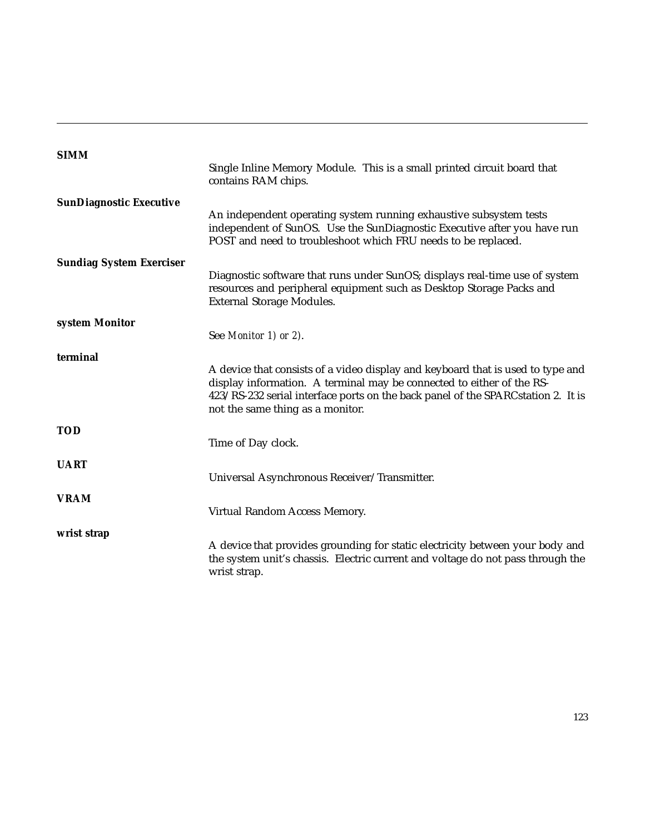| <b>SIMM</b>                     |                                                                                                                                                                                                                                                                                  |
|---------------------------------|----------------------------------------------------------------------------------------------------------------------------------------------------------------------------------------------------------------------------------------------------------------------------------|
|                                 | Single Inline Memory Module. This is a small printed circuit board that<br>contains RAM chips.                                                                                                                                                                                   |
| <b>SunDiagnostic Executive</b>  |                                                                                                                                                                                                                                                                                  |
|                                 | An independent operating system running exhaustive subsystem tests<br>independent of SunOS. Use the SunDiagnostic Executive after you have run<br>POST and need to troubleshoot which FRU needs to be replaced.                                                                  |
| <b>Sundiag System Exerciser</b> |                                                                                                                                                                                                                                                                                  |
|                                 | Diagnostic software that runs under SunOS; displays real-time use of system<br>resources and peripheral equipment such as Desktop Storage Packs and<br><b>External Storage Modules.</b>                                                                                          |
| system Monitor                  |                                                                                                                                                                                                                                                                                  |
|                                 | See Monitor 1) or 2).                                                                                                                                                                                                                                                            |
| terminal                        |                                                                                                                                                                                                                                                                                  |
|                                 | A device that consists of a video display and keyboard that is used to type and<br>display information. A terminal may be connected to either of the RS-<br>423/RS-232 serial interface ports on the back panel of the SPARCstation 2. It is<br>not the same thing as a monitor. |
| <b>TOD</b>                      |                                                                                                                                                                                                                                                                                  |
|                                 | Time of Day clock.                                                                                                                                                                                                                                                               |
| <b>UART</b>                     |                                                                                                                                                                                                                                                                                  |
|                                 | Universal Asynchronous Receiver/Transmitter.                                                                                                                                                                                                                                     |
| <b>VRAM</b>                     |                                                                                                                                                                                                                                                                                  |
|                                 | Virtual Random Access Memory.                                                                                                                                                                                                                                                    |
| wrist strap                     |                                                                                                                                                                                                                                                                                  |
|                                 | A device that provides grounding for static electricity between your body and<br>the system unit's chassis. Electric current and voltage do not pass through the<br>wrist strap.                                                                                                 |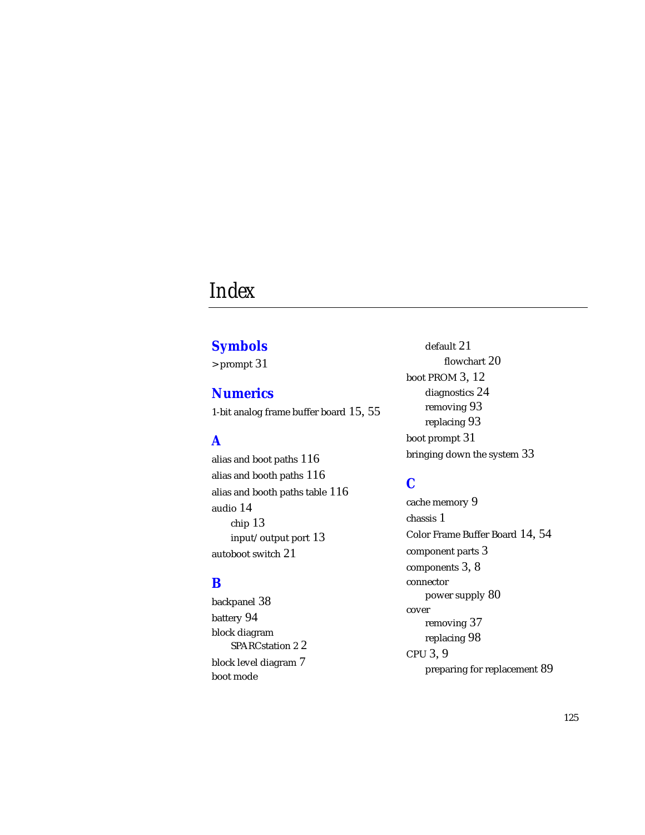# *Index*

## **Symbols**

> prompt 31

**Numerics** 1-bit analog frame buffer board 15, 55

# **A**

alias and boot paths 116 alias and booth paths 116 alias and booth paths table 116 audio 14 chip 13 input/output port 13 autoboot switch 21

#### **B**

backpanel 38 battery 94 block diagram SPARCstation 2 2 block level diagram 7 boot mode

default 21 flowchart 20 boot PROM 3, 12 diagnostics 24 removing 93 replacing 93 boot prompt 31 bringing down the system 33

# **C**

cache memory 9 chassis 1 Color Frame Buffer Board 14, 54 component parts 3 components 3, 8 connector power supply 80 cover removing 37 replacing 98 CPU 3, 9 preparing for replacement 89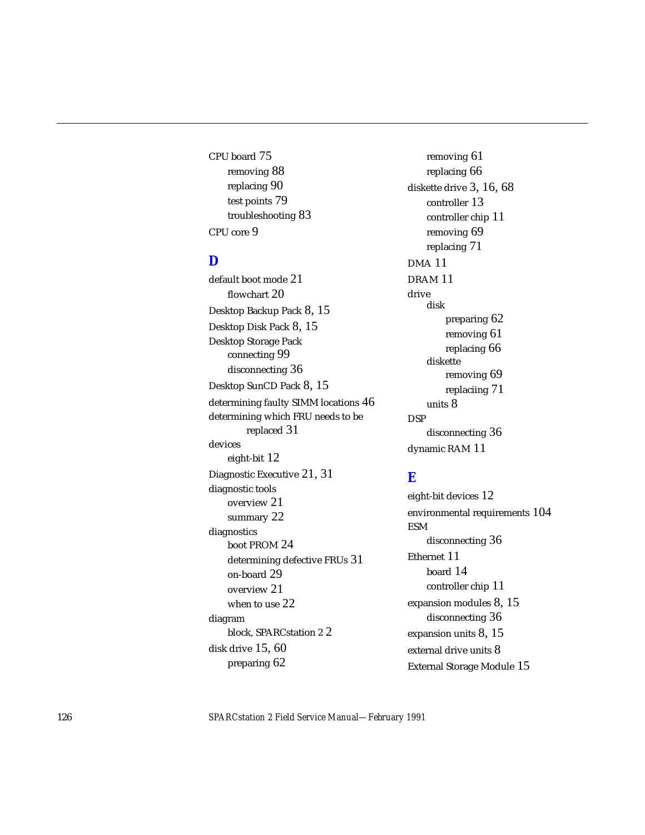CPU board 75 removing 88 replacing 90 test points 79 troubleshooting 83 CPU core 9

#### **D**

default boot mode 21 flowchart 20 Desktop Backup Pack 8, 15 Desktop Disk Pack 8, 15 Desktop Storage Pack connecting 99 disconnecting 36 Desktop SunCD Pack 8, 15 determining faulty SIMM locations 46 determining which FRU needs to be replaced 31 devices eight-bit 12 Diagnostic Executive 21, 31 diagnostic tools overview 21 summary 22 diagnostics boot PROM 24 determining defective FRUs 31 on-board 29 overview 21 when to use 22 diagram block, SPARCstation 2 2 disk drive 15, 60 preparing 62

removing 61 replacing 66 diskette drive 3, 16, 68 controller 13 controller chip 11 removing 69 replacing 71 DMA 11 DRAM 11 drive disk preparing 62 removing 61 replacing 66 diskette removing 69 replaciing 71 units 8 DSP disconnecting 36 dynamic RAM 11

#### **E**

eight-bit devices 12 environmental requirements 104 ESM disconnecting 36 Ethernet 11 board 14 controller chip 11 expansion modules 8, 15 disconnecting 36 expansion units 8, 15 external drive units 8 External Storage Module 15

126 *SPARCstation 2 Field Service Manual—February 1991*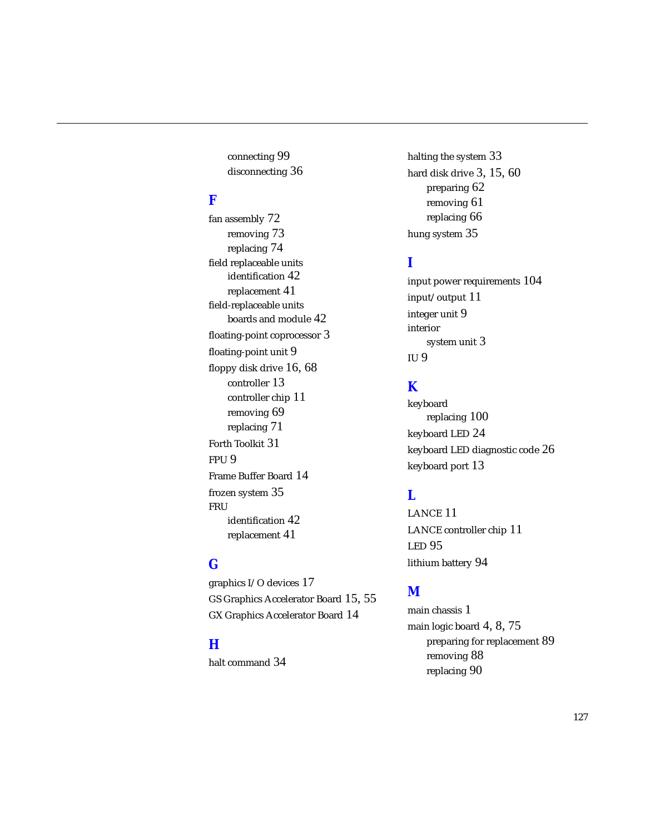connecting 99 disconnecting 36

#### **F**

fan assembly 72 removing 73 replacing 74 field replaceable units identification 42 replacement 41 field-replaceable units boards and module 42 floating-point coprocessor 3 floating-point unit 9 floppy disk drive 16, 68 controller 13 controller chip 11 removing 69 replacing 71 Forth Toolkit 31 FPU 9 Frame Buffer Board 14 frozen system 35 FRU identification 42 replacement 41

## **G**

graphics I/O devices 17 GS Graphics Accelerator Board 15, 55 GX Graphics Accelerator Board 14

#### **H**

halt command 34

halting the system 33 hard disk drive 3, 15, 60 preparing 62 removing 61 replacing 66 hung system 35

#### **I**

input power requirements 104 input/output 11 integer unit 9 interior system unit 3 IU 9

## **K**

keyboard replacing 100 keyboard LED 24 keyboard LED diagnostic code 26 keyboard port 13

#### **L**

LANCE 11 LANCE controller chip 11 LED 95 lithium battery 94

#### **M**

main chassis 1 main logic board 4, 8, 75 preparing for replacement 89 removing 88 replacing 90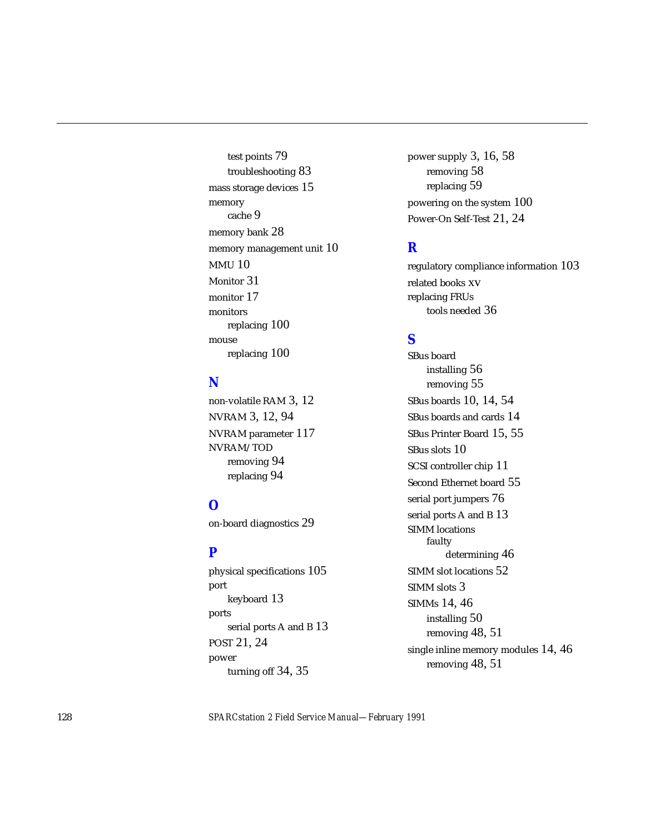test points 79 troubleshooting 83 mass storage devices 15 memory cache 9 memory bank 28 memory management unit 10 MMU 10 Monitor 31 monitor 17 monitors replacing 100 mouse replacing 100

## **N**

non-volatile RAM 3, 12 NVRAM 3, 12, 94 NVRAM parameter 117 NVRAM/TOD removing 94 replacing 94

## **O**

on-board diagnostics 29

#### **P**

physical specifications 105 port keyboard 13 ports serial ports A and B 13 POST 21, 24 power turning off 34, 35

power supply 3, 16, 58 removing 58 replacing 59 powering on the system 100 Power-On Self-Test 21, 24

#### **R**

regulatory compliance information 103 related books xv replacing FRUs tools needed 36

#### **S**

SBus board installing 56 removing 55 SBus boards 10, 14, 54 SBus boards and cards 14 SBus Printer Board 15, 55 SBus slots 10 SCSI controller chip 11 Second Ethernet board 55 serial port jumpers 76 serial ports A and B 13 SIMM locations faulty determining 46 SIMM slot locations 52 SIMM slots 3 SIMMs 14, 46 installing 50 removing 48, 51 single inline memory modules 14, 46 removing 48, 51